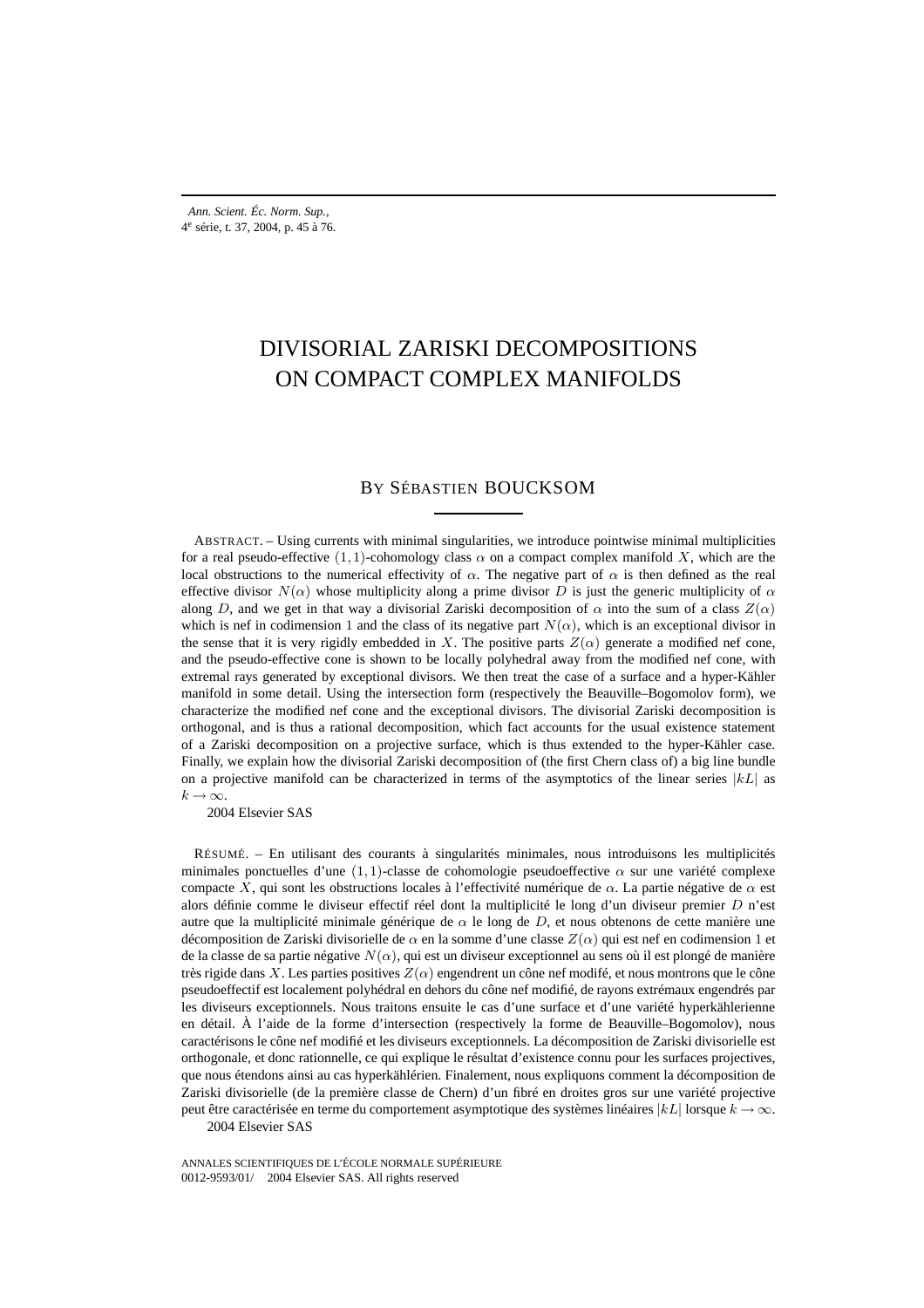# DIVISORIAL ZARISKI DECOMPOSITIONS ON COMPACT COMPLEX MANIFOLDS

# BY SÉBASTIEN BOUCKSOM

ABSTRACT. – Using currents with minimal singularities, we introduce pointwise minimal multiplicities for a real pseudo-effective  $(1, 1)$ -cohomology class  $\alpha$  on a compact complex manifold X, which are the local obstructions to the numerical effectivity of  $\alpha$ . The negative part of  $\alpha$  is then defined as the real effective divisor  $N(\alpha)$  whose multiplicity along a prime divisor D is just the generic multiplicity of  $\alpha$ along D, and we get in that way a divisorial Zariski decomposition of  $\alpha$  into the sum of a class  $Z(\alpha)$ which is nef in codimension 1 and the class of its negative part  $N(\alpha)$ , which is an exceptional divisor in the sense that it is very rigidly embedded in X. The positive parts  $Z(\alpha)$  generate a modified nef cone, and the pseudo-effective cone is shown to be locally polyhedral away from the modified nef cone, with extremal rays generated by exceptional divisors. We then treat the case of a surface and a hyper-Kähler manifold in some detail. Using the intersection form (respectively the Beauville–Bogomolov form), we characterize the modified nef cone and the exceptional divisors. The divisorial Zariski decomposition is orthogonal, and is thus a rational decomposition, which fact accounts for the usual existence statement of a Zariski decomposition on a projective surface, which is thus extended to the hyper-Kähler case. Finally, we explain how the divisorial Zariski decomposition of (the first Chern class of) a big line bundle on a projective manifold can be characterized in terms of the asymptotics of the linear series  $|kL|$  as  $k \to \infty$ .

2004 Elsevier SAS

RÉSUMÉ. – En utilisant des courants à singularités minimales, nous introduisons les multiplicités minimales ponctuelles d'une  $(1, 1)$ -classe de cohomologie pseudoeffective  $\alpha$  sur une variété complexe compacte X, qui sont les obstructions locales à l'effectivité numérique de  $\alpha$ . La partie négative de  $\alpha$  est alors définie comme le diviseur effectif réel dont la multiplicité le long d'un diviseur premier D n'est autre que la multiplicité minimale générique de  $\alpha$  le long de D, et nous obtenons de cette manière une décomposition de Zariski divisorielle de  $\alpha$  en la somme d'une classe  $Z(\alpha)$  qui est nef en codimension 1 et de la classe de sa partie négative  $N(\alpha)$ , qui est un diviseur exceptionnel au sens où il est plongé de manière très rigide dans X. Les parties positives  $Z(\alpha)$  engendrent un cône nef modifé, et nous montrons que le cône pseudoeffectif est localement polyhédral en dehors du cône nef modifié, de rayons extrémaux engendrés par les diviseurs exceptionnels. Nous traitons ensuite le cas d'une surface et d'une variété hyperkählerienne en détail. À l'aide de la forme d'intersection (respectively la forme de Beauville–Bogomolov), nous caractérisons le cône nef modifié et les diviseurs exceptionnels. La décomposition de Zariski divisorielle est orthogonale, et donc rationnelle, ce qui explique le résultat d'existence connu pour les surfaces projectives, que nous étendons ainsi au cas hyperkählérien. Finalement, nous expliquons comment la décomposition de Zariski divisorielle (de la première classe de Chern) d'un fibré en droites gros sur une variété projective peut être caractérisée en terme du comportement asymptotique des systèmes linéaires  $|kL|$  lorsque  $k \to \infty$ .

2004 Elsevier SAS

ANNALES SCIENTIFIQUES DE L'ÉCOLE NORMALE SUPÉRIEURE 0012-9593/01/© 2004 Elsevier SAS. All rights reserved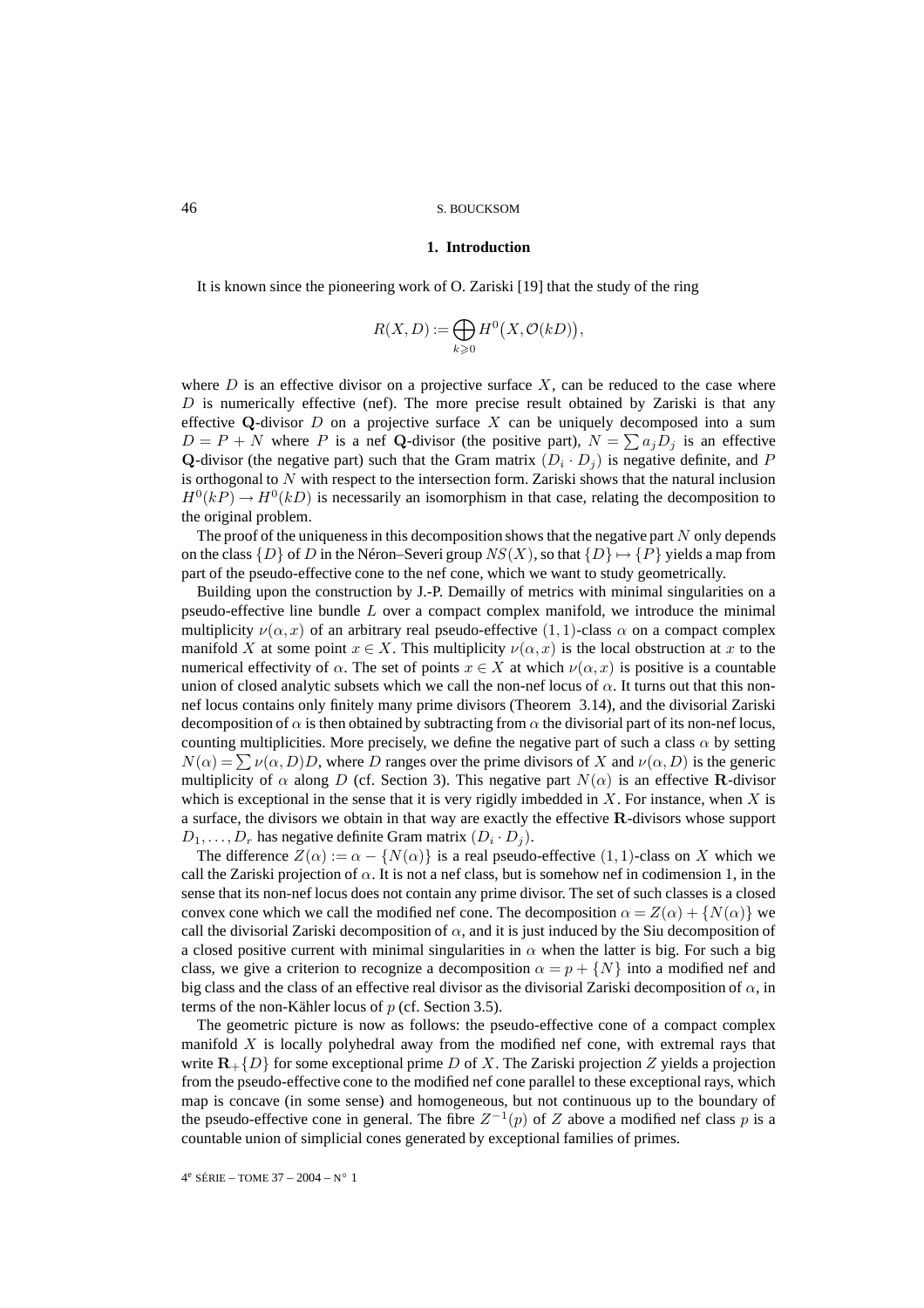#### **1. Introduction**

It is known since the pioneering work of O. Zariski [19] that the study of the ring

$$
R(X,D) := \bigoplus_{k \geq 0} H^0(X, \mathcal{O}(kD)),
$$

where  $D$  is an effective divisor on a projective surface  $X$ , can be reduced to the case where  $D$  is numerically effective (nef). The more precise result obtained by Zariski is that any effective **Q**-divisor D on a projective surface X can be uniquely decomposed into a sum  $D = P + N$  where P is a nef Q-divisor (the positive part),  $N = \sum a_i D_i$  is an effective **Q**-divisor (the negative part) such that the Gram matrix  $(D_i \cdot D_j)$  is negative definite, and P is orthogonal to  $N$  with respect to the intersection form. Zariski shows that the natural inclusion  $H^0(kP) \to H^0(kD)$  is necessarily an isomorphism in that case, relating the decomposition to the original problem.

The proof of the uniqueness in this decomposition shows that the negative part  $N$  only depends on the class  $\{D\}$  of D in the Néron–Severi group  $NS(X)$ , so that  $\{D\} \mapsto \{P\}$  yields a map from part of the pseudo-effective cone to the nef cone, which we want to study geometrically.

Building upon the construction by J.-P. Demailly of metrics with minimal singularities on a pseudo-effective line bundle  $L$  over a compact complex manifold, we introduce the minimal multiplicity  $\nu(\alpha, x)$  of an arbitrary real pseudo-effective  $(1, 1)$ -class  $\alpha$  on a compact complex manifold X at some point  $x \in X$ . This multiplicity  $\nu(\alpha, x)$  is the local obstruction at x to the numerical effectivity of  $\alpha$ . The set of points  $x \in X$  at which  $\nu(\alpha, x)$  is positive is a countable union of closed analytic subsets which we call the non-nef locus of  $\alpha$ . It turns out that this nonnef locus contains only finitely many prime divisors (Theorem 3.14), and the divisorial Zariski decomposition of  $\alpha$  is then obtained by subtracting from  $\alpha$  the divisorial part of its non-nef locus, counting multiplicities. More precisely, we define the negative part of such a class  $\alpha$  by setting  $N(\alpha) = \sum \nu(\alpha, D)D$ , where D ranges over the prime divisors of X and  $\nu(\alpha, D)$  is the generic multiplicity of  $\alpha$  along D (cf. Section 3). This negative part  $N(\alpha)$  is an effective **R**-divisor which is exceptional in the sense that it is very rigidly imbedded in  $X$ . For instance, when  $X$  is a surface, the divisors we obtain in that way are exactly the effective **R**-divisors whose support  $D_1, \ldots, D_r$  has negative definite Gram matrix  $(D_i \cdot D_j)$ .

The difference  $Z(\alpha) := \alpha - \{N(\alpha)\}\$ is a real pseudo-effective  $(1, 1)$ -class on X which we call the Zariski projection of  $\alpha$ . It is not a nef class, but is somehow nef in codimension 1, in the sense that its non-nef locus does not contain any prime divisor. The set of such classes is a closed convex cone which we call the modified nef cone. The decomposition  $\alpha = Z(\alpha) + \{N(\alpha)\}\$ we call the divisorial Zariski decomposition of  $\alpha$ , and it is just induced by the Siu decomposition of a closed positive current with minimal singularities in  $\alpha$  when the latter is big. For such a big class, we give a criterion to recognize a decomposition  $\alpha = p + \{N\}$  into a modified nef and big class and the class of an effective real divisor as the divisorial Zariski decomposition of  $\alpha$ , in terms of the non-Kähler locus of p (cf. Section 3.5).

The geometric picture is now as follows: the pseudo-effective cone of a compact complex manifold  $X$  is locally polyhedral away from the modified nef cone, with extremal rays that write  $\mathbf{R}_{+} \{D\}$  for some exceptional prime D of X. The Zariski projection Z yields a projection from the pseudo-effective cone to the modified nef cone parallel to these exceptional rays, which map is concave (in some sense) and homogeneous, but not continuous up to the boundary of the pseudo-effective cone in general. The fibre  $Z^{-1}(p)$  of Z above a modified nef class p is a countable union of simplicial cones generated by exceptional families of primes.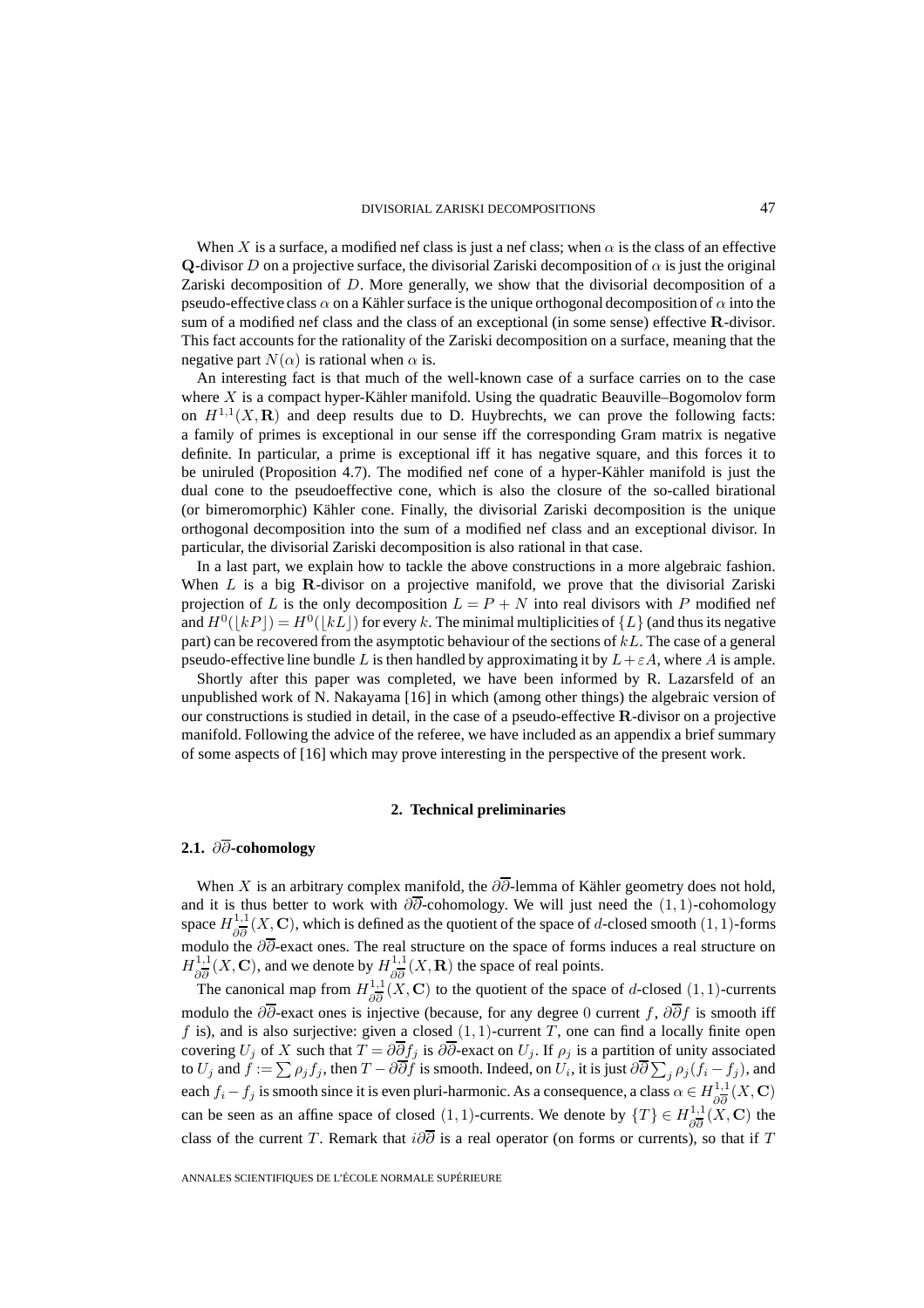When X is a surface, a modified nef class is just a nef class; when  $\alpha$  is the class of an effective **Q**-divisor D on a projective surface, the divisorial Zariski decomposition of  $\alpha$  is just the original Zariski decomposition of D. More generally, we show that the divisorial decomposition of a pseudo-effective class  $\alpha$  on a Kähler surface is the unique orthogonal decomposition of  $\alpha$  into the sum of a modified nef class and the class of an exceptional (in some sense) effective **R**-divisor. This fact accounts for the rationality of the Zariski decomposition on a surface, meaning that the negative part  $N(\alpha)$  is rational when  $\alpha$  is.

An interesting fact is that much of the well-known case of a surface carries on to the case where  $X$  is a compact hyper-Kähler manifold. Using the quadratic Beauville–Bogomolov form on  $H^{1,1}(X,\mathbf{R})$  and deep results due to D. Huybrechts, we can prove the following facts: a family of primes is exceptional in our sense iff the corresponding Gram matrix is negative definite. In particular, a prime is exceptional iff it has negative square, and this forces it to be uniruled (Proposition 4.7). The modified nef cone of a hyper-Kähler manifold is just the dual cone to the pseudoeffective cone, which is also the closure of the so-called birational (or bimeromorphic) Kähler cone. Finally, the divisorial Zariski decomposition is the unique orthogonal decomposition into the sum of a modified nef class and an exceptional divisor. In particular, the divisorial Zariski decomposition is also rational in that case.

In a last part, we explain how to tackle the above constructions in a more algebraic fashion. When L is a big **R**-divisor on a projective manifold, we prove that the divisorial Zariski projection of L is the only decomposition  $L = P + N$  into real divisors with P modified nef and  $H^0(\lfloor kP \rfloor) = H^0(\lfloor kL \rfloor)$  for every k. The minimal multiplicities of  $\{L\}$  (and thus its negative part) can be recovered from the asymptotic behaviour of the sections of  $kL$ . The case of a general pseudo-effective line bundle L is then handled by approximating it by  $L + \varepsilon A$ , where A is ample.

Shortly after this paper was completed, we have been informed by R. Lazarsfeld of an unpublished work of N. Nakayama [16] in which (among other things) the algebraic version of our constructions is studied in detail, in the case of a pseudo-effective **R**-divisor on a projective manifold. Following the advice of the referee, we have included as an appendix a brief summary of some aspects of [16] which may prove interesting in the perspective of the present work.

#### **2. Technical preliminaries**

### **2.1.** ∂∂**-cohomology**

When X is an arbitrary complex manifold, the  $\partial \overline{\partial}$ -lemma of Kähler geometry does not hold, and it is thus better to work with  $\partial \partial$ -cohomology. We will just need the  $(1,1)$ -cohomology space  $H^{1,1}_{\partial \overline{\partial}}(X,\mathbf{C})$ , which is defined as the quotient of the space of d-closed smooth (1, 1)-forms modulo the  $\partial\partial$ -exact ones. The real structure on the space of forms induces a real structure on  $H_{\partial \overline{\partial}}^{1,1}(X, \mathbf{C})$ , and we denote by  $H_{\partial \overline{\partial}}^{1,1}(X, \mathbf{R})$  the space of real points.

The canonical map from  $H_{\partial \overline{\partial}}^{1,1}(X, \mathbf{C})$  to the quotient of the space of d-closed (1, 1)-currents modulo the  $\partial \overline{\partial}$ -exact ones is injective (because, for any degree 0 current f,  $\partial \overline{\partial} f$  is smooth iff f is), and is also surjective: given a closed  $(1, 1)$ -current T, one can find a locally finite open covering  $U_j$  of X such that  $T = \partial \partial f_j$  is  $\partial \partial$ -exact on  $U_j$ . If  $\rho_j$  is a partition of unity associated to  $U_j$  and  $\widetilde f:=\sum\rho_jf_j,$  then  $T-\partial\overline{\partial} \widetilde f$  is smooth. Indeed, on  $U_i$ , it is just  $\partial\overline{\partial}\sum_j\rho_j(f_i-f_j),$  and each  $f_i - f_j$  is smooth since it is even pluri-harmonic. As a consequence, a class  $\alpha \in H^{1,1}_{\partial \overline{\partial}}(X,\mathbf{C})$ can be seen as an affine space of closed  $(1, 1)$ -currents. We denote by  $\{T\} \in H_{\partial \overline{\partial}}^{1,1}(\overline{X}, \mathbf{C})$  the class of the current T. Remark that  $i\partial\overline{\partial}$  is a real operator (on forms or currents), so that if T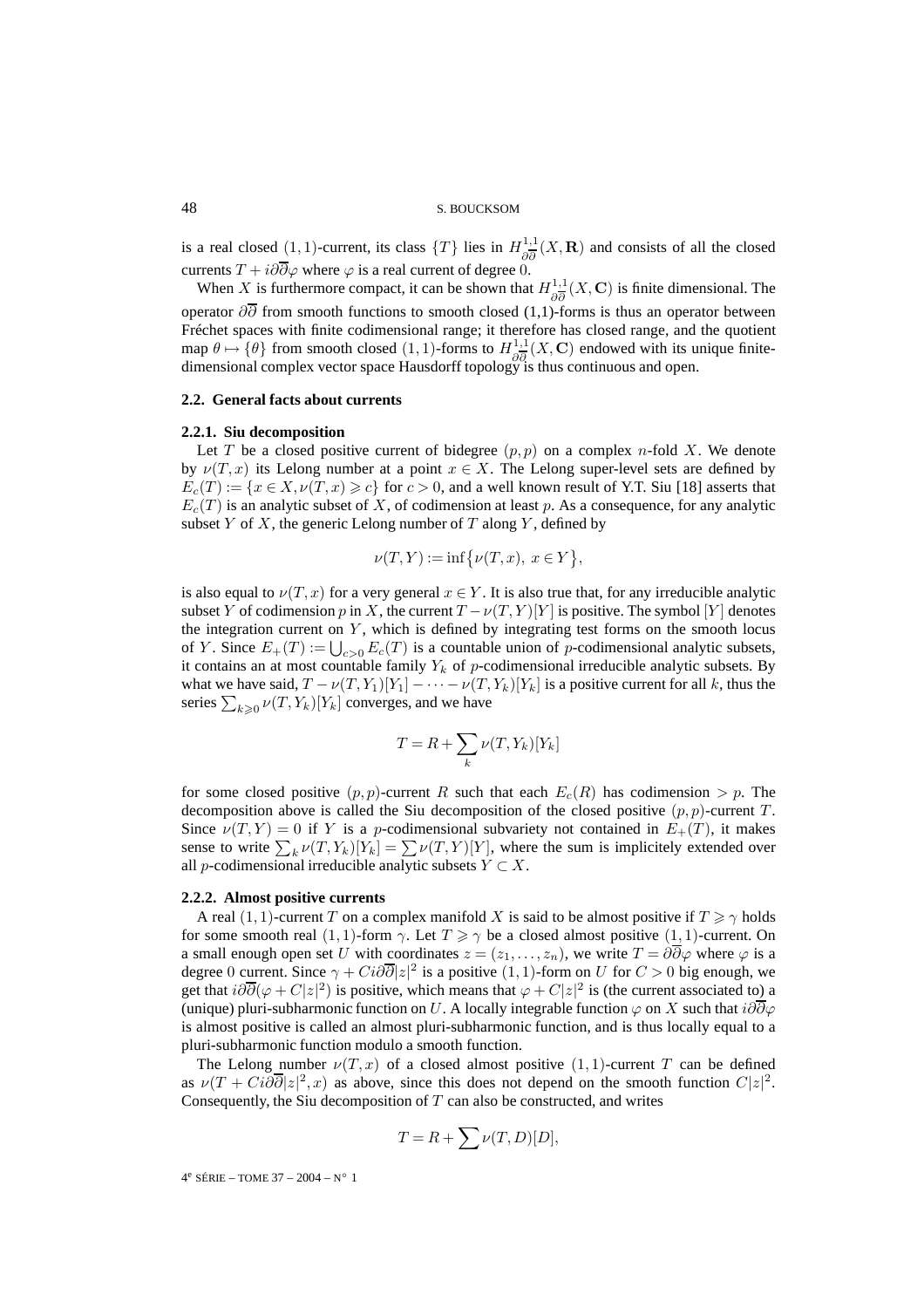is a real closed  $(1, 1)$ -current, its class  $\{T\}$  lies in  $H^{1,1}_{\partial \overline{\partial}}(X,\mathbf{R})$  and consists of all the closed currents  $T + i\partial \overline{\partial}\varphi$  where  $\varphi$  is a real current of degree 0.

When X is furthermore compact, it can be shown that  $H_{\partial \overline{\partial}}^{1,1}(X, \mathbf{C})$  is finite dimensional. The operator  $\partial\overline{\partial}$  from smooth functions to smooth closed (1,1)-forms is thus an operator between Fréchet spaces with finite codimensional range; it therefore has closed range, and the quotient map  $\theta \mapsto {\theta}$  from smooth closed (1, 1)-forms to  $H^{1,1}_{\partial \overline{\partial}}(X,\mathbf{C})$  endowed with its unique finitedimensional complex vector space Hausdorff topology is thus continuous and open.

#### **2.2. General facts about currents**

#### **2.2.1. Siu decomposition**

Let T be a closed positive current of bidegree  $(p, p)$  on a complex n-fold X. We denote by  $\nu(T, x)$  its Lelong number at a point  $x \in X$ . The Lelong super-level sets are defined by  $E_c(T) := \{x \in X, \nu(T, x) \geq c\}$  for  $c > 0$ , and a well known result of Y.T. Siu [18] asserts that  $E_c(T)$  is an analytic subset of X, of codimension at least p. As a consequence, for any analytic subset  $Y$  of  $X$ , the generic Lelong number of  $T$  along  $Y$ , defined by

$$
\nu(T, Y) := \inf \{ \nu(T, x), \ x \in Y \},
$$

is also equal to  $\nu(T, x)$  for a very general  $x \in Y$ . It is also true that, for any irreducible analytic subset Y of codimension p in X, the current  $T - \nu(T, Y)[Y]$  is positive. The symbol [Y] denotes the integration current on  $Y$ , which is defined by integrating test forms on the smooth locus of Y. Since  $E_+(T) := \bigcup_{c>0} E_c(T)$  is a countable union of p-codimensional analytic subsets, it contains an at most countable family  $Y_k$  of p-codimensional irreducible analytic subsets. By what we have said,  $T - \nu(T, Y_1)[Y_1] - \cdots - \nu(T, Y_k)[Y_k]$  is a positive current for all k, thus the series  $\sum_{k\geqslant 0} \nu(T,Y_k)[Y_k]$  converges, and we have

$$
T = R + \sum_{k} \nu(T, Y_k)[Y_k]
$$

for some closed positive  $(p, p)$ -current R such that each  $E_c(R)$  has codimension  $\geq p$ . The decomposition above is called the Siu decomposition of the closed positive  $(p, p)$ -current T. Since  $\nu(T, Y) = 0$  if Y is a p-codimensional subvariety not contained in  $E_+(T)$ , it makes sense to write  $\sum_{k} \nu(T, Y_k)[Y_k] = \sum \nu(T, Y)[Y]$ , where the sum is implicitely extended over all *p*-codimensional irreducible analytic subsets  $Y \subset X$ .

#### **2.2.2. Almost positive currents**

A real (1, 1)-current T on a complex manifold X is said to be almost positive if  $T \ge \gamma$  holds for some smooth real (1, 1)-form  $\gamma$ . Let  $T \ge \gamma$  be a closed almost positive (1, 1)-current. On a small enough open set U with coordinates  $z = (z_1, \ldots, z_n)$ , we write  $T = \partial \overline{\partial} \varphi$  where  $\varphi$  is a degree 0 current. Since  $\gamma + Ci\partial \overline{\partial}|z|^2$  is a positive  $(1,1)$ -form on U for  $C > 0$  big enough, we get that  $i\partial\overline{\partial}(\varphi + C|z|^2)$  is positive, which means that  $\varphi + C|z|^2$  is (the current associated to) a (unique) pluri-subharmonic function on U. A locally integrable function  $\varphi$  on X such that  $i\partial\overline{\partial}\varphi$ is almost positive is called an almost pluri-subharmonic function, and is thus locally equal to a pluri-subharmonic function modulo a smooth function.

The Lelong number  $\nu(T, x)$  of a closed almost positive  $(1, 1)$ -current T can be defined as  $\nu(T + Ci\partial\overline{\partial}|z|^2, x)$  as above, since this does not depend on the smooth function  $C|z|^2$ . Consequently, the Siu decomposition of  $T$  can also be constructed, and writes

$$
T=R+\sum \nu(T,D)[D],
$$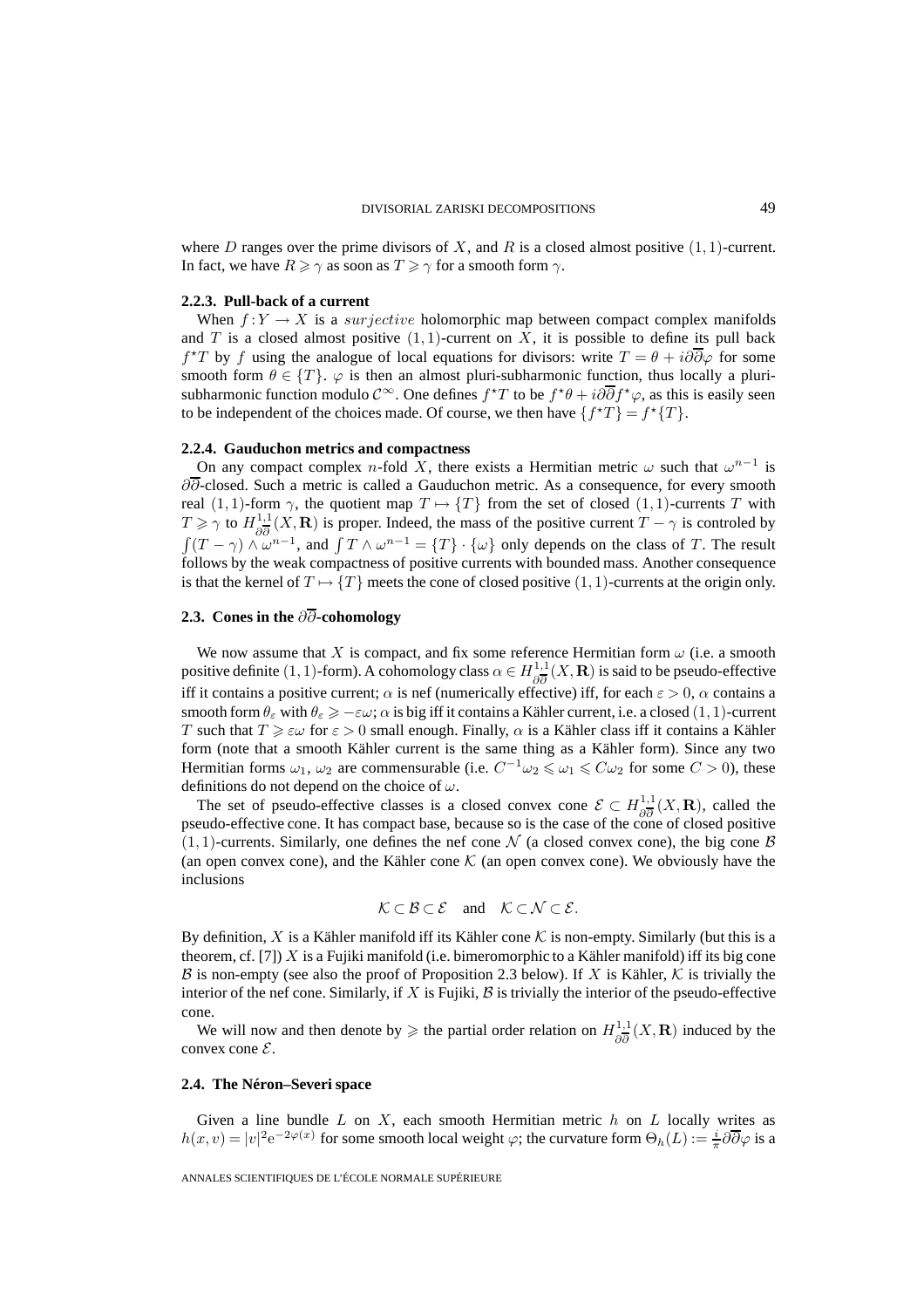where D ranges over the prime divisors of X, and R is a closed almost positive  $(1, 1)$ -current. In fact, we have  $R \ge \gamma$  as soon as  $T \ge \gamma$  for a smooth form  $\gamma$ .

#### **2.2.3. Pull-back of a current**

When  $f:Y \to X$  is a *surjective* holomorphic map between compact complex manifolds and  $T$  is a closed almost positive  $(1, 1)$ -current on  $X$ , it is possible to define its pull back  $f^{\star}T$  by f using the analogue of local equations for divisors: write  $T = \theta + i\partial\overline{\partial}\varphi$  for some smooth form  $\theta \in \{T\}$ .  $\varphi$  is then an almost pluri-subharmonic function, thus locally a plurisubharmonic function modulo  $\mathcal{C}^{\infty}$ . One defines  $f^{\star}T$  to be  $f^{\star}\theta + i\partial\overline{\partial}f^{\star}\varphi$ , as this is easily seen to be independent of the choices made. Of course, we then have  $\{f^{\star}T\} = f^{\star}\{T\}$ .

#### **2.2.4. Gauduchon metrics and compactness**

On any compact complex n-fold X, there exists a Hermitian metric  $\omega$  such that  $\omega^{n-1}$  is ∂∂-closed. Such a metric is called a Gauduchon metric. As a consequence, for every smooth real (1, 1)-form  $\gamma$ , the quotient map  $T \mapsto \{T\}$  from the set of closed (1, 1)-currents T with  $T \ge \gamma$  to  $H_{\partial \overline{\partial}}^{1,1}(X,\mathbf{R})$  is proper. Indeed, the mass of the positive current  $T - \gamma$  is controled by  $\int (T - \gamma) \wedge \omega^{n-1}$ , and  $\int T \wedge \omega^{n-1} = \{T\} \cdot \{\omega\}$  only depends on the class of T. The result follows by the weak compactness of positive currents with bounded mass. Another consequence is that the kernel of  $T \mapsto \{T\}$  meets the cone of closed positive  $(1, 1)$ -currents at the origin only.

## **2.3. Cones in the** ∂∂**-cohomology**

We now assume that X is compact, and fix some reference Hermitian form  $\omega$  (i.e. a smooth positive definite (1, 1)-form). A cohomology class  $\alpha \in H_{\partial \overline{\partial}}^{1,1}(X,\mathbf{R})$  is said to be pseudo-effective iff it contains a positive current;  $\alpha$  is nef (numerically effective) iff, for each  $\varepsilon > 0$ ,  $\alpha$  contains a smooth form  $\theta_{\varepsilon}$  with  $\theta_{\varepsilon} \geq -\varepsilon \omega$ ;  $\alpha$  is big iff it contains a Kähler current, i.e. a closed (1, 1)-current T such that  $T \geq \varepsilon \omega$  for  $\varepsilon > 0$  small enough. Finally,  $\alpha$  is a Kähler class iff it contains a Kähler form (note that a smooth Kähler current is the same thing as a Kähler form). Since any two Hermitian forms  $\omega_1$ ,  $\omega_2$  are commensurable (i.e.  $C^{-1}\omega_2 \leq \omega_1 \leq C\omega_2$  for some  $C > 0$ ), these definitions do not depend on the choice of  $\omega$ .

The set of pseudo-effective classes is a closed convex cone  $\mathcal{E} \subset H^{1,1}_{\partial \overline{\partial}}(X,\mathbf{R})$ , called the pseudo-effective cone. It has compact base, because so is the case of the cone of closed positive  $(1, 1)$ -currents. Similarly, one defines the nef cone N (a closed convex cone), the big cone B (an open convex cone), and the Kähler cone  $K$  (an open convex cone). We obviously have the inclusions

$$
\mathcal{K} \subset \mathcal{B} \subset \mathcal{E} \quad \text{and} \quad \mathcal{K} \subset \mathcal{N} \subset \mathcal{E}.
$$

By definition, X is a Kähler manifold iff its Kähler cone  $K$  is non-empty. Similarly (but this is a theorem, cf. [7])  $X$  is a Fujiki manifold (i.e. bimeromorphic to a Kähler manifold) iff its big cone B is non-empty (see also the proof of Proposition 2.3 below). If X is Kähler, K is trivially the interior of the nef cone. Similarly, if  $X$  is Fujiki,  $\beta$  is trivially the interior of the pseudo-effective cone.

We will now and then denote by  $\geq$  the partial order relation on  $H_{\partial \overline{\partial}}^{1,1}(X,\mathbf{R})$  induced by the convex cone  $\mathcal{E}$ .

#### **2.4. The Néron–Severi space**

Given a line bundle  $L$  on  $X$ , each smooth Hermitian metric  $h$  on  $L$  locally writes as  $h(x,v) = |v|^2 e^{-2\varphi(x)}$  for some smooth local weight  $\varphi$ ; the curvature form  $\Theta_h(L) := \frac{i}{\pi} \partial \overline{\partial} \varphi$  is a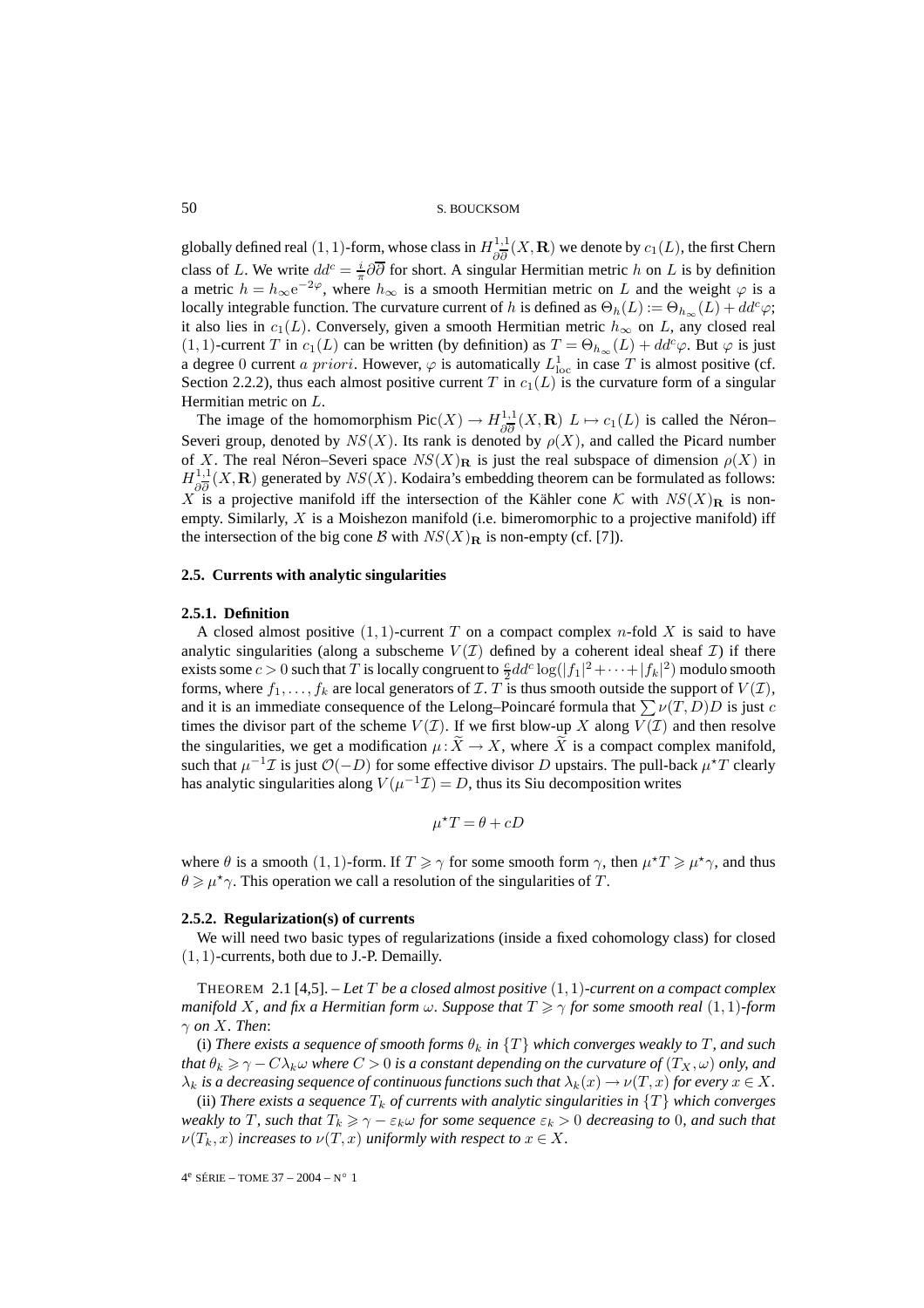globally defined real  $(1, 1)$ -form, whose class in  $H^{1,1}_{\partial \overline{\partial}}(X, \mathbf{R})$  we denote by  $c_1(L)$ , the first Chern class of L. We write  $dd^c = \frac{i}{\pi} \partial \overline{\partial}$  for short. A singular Hermitian metric h on L is by definition a metric  $h = h_{\infty} e^{-2\varphi}$ , where  $h_{\infty}$  is a smooth Hermitian metric on L and the weight  $\varphi$  is a locally integrable function. The curvature current of h is defined as  $\Theta_h(L) := \Theta_{h_{\infty}}(L) + dd^c \varphi;$ it also lies in  $c_1(L)$ . Conversely, given a smooth Hermitian metric  $h_{\infty}$  on L, any closed real  $(1, 1)$ -current T in  $c_1(L)$  can be written (by definition) as  $T = \Theta_{h_{\infty}}(L) + dd^c \varphi$ . But  $\varphi$  is just a degree 0 current a priori. However,  $\varphi$  is automatically  $L^1_{loc}$  in case T is almost positive (cf. Section 2.2.2), thus each almost positive current T in  $c_1(L)$  is the curvature form of a singular Hermitian metric on L.

The image of the homomorphism  $Pic(X) \to H^{1,1}_{\partial \overline{\partial}}(X,\mathbf{R})$   $L \mapsto c_1(L)$  is called the Néron– Severi group, denoted by  $NS(X)$ . Its rank is denoted by  $\rho(X)$ , and called the Picard number of X. The real Néron–Severi space  $NS(X)$ **R** is just the real subspace of dimension  $\rho(X)$  in  $H_{\partial \overline{\partial}}^{1,1}(X,\mathbf{R})$  generated by  $NS(X)$ . Kodaira's embedding theorem can be formulated as follows: X is a projective manifold iff the intersection of the Kähler cone K with  $NS(X)**R**$  is nonempty. Similarly,  $X$  is a Moishezon manifold (i.e. bimeromorphic to a projective manifold) iff the intersection of the big cone B with  $NS(X)**R**$  is non-empty (cf. [7]).

#### **2.5. Currents with analytic singularities**

#### **2.5.1. Definition**

A closed almost positive  $(1, 1)$ -current T on a compact complex n-fold X is said to have analytic singularities (along a subscheme  $V(\mathcal{I})$  defined by a coherent ideal sheaf  $\mathcal{I}$ ) if there exists some  $c > 0$  such that T is locally congruent to  $\frac{c}{2}dd^c \log(|f_1|^2 + \cdots + |f_k|^2)$  modulo smooth forms, where  $f_1,\ldots,f_k$  are local generators of  $\mathcal{I}$ . T is thus smooth outside the support of  $V(\mathcal{I})$ , and it is an immediate consequence of the Lelong–Poincaré formula that  $\sum \nu(T,D)D$  is just c times the divisor part of the scheme  $V(\mathcal{I})$ . If we first blow-up X along  $V(\mathcal{I})$  and then resolve the singularities, we get a modification  $\mu: X \to X$ , where X is a compact complex manifold, such that  $\mu^{-1}\mathcal{I}$  is just  $\mathcal{O}(-D)$  for some effective divisor D upstairs. The pull-back  $\mu^{\star}T$  clearly has analytic singularities along  $V(\mu^{-1}\mathcal{I}) = D$ , thus its Siu decomposition writes

$$
\mu^{\star}T = \theta + cD
$$

where  $\theta$  is a smooth  $(1, 1)$ -form. If  $T \ge \gamma$  for some smooth form  $\gamma$ , then  $\mu^* T \ge \mu^* \gamma$ , and thus  $\theta \ge \mu^* \gamma$ . This operation we call a resolution of the singularities of T.

#### **2.5.2. Regularization(s) of currents**

We will need two basic types of regularizations (inside a fixed cohomology class) for closed  $(1, 1)$ -currents, both due to J.-P. Demailly.

THEOREM 2.1 [4,5]. – *Let* T *be a closed almost positive* (1, 1)*-current on a compact complex manifold* X, and fix a Hermitian form  $\omega$ . Suppose that  $T \ge \gamma$  for some smooth real  $(1,1)$ *-form*  $\gamma$  *on* X. Then:

(i) *There exists a sequence of smooth forms*  $\theta_k$  *in*  $\{T\}$  *which converges weakly to*  $T$ *, and such that*  $\theta_k \geq \gamma - C\lambda_k \omega$  *where*  $C > 0$  *is a constant depending on the curvature of*  $(T_X, \omega)$  *only, and*  $\lambda_k$  *is a decreasing sequence of continuous functions such that*  $\lambda_k(x) \to \nu(T, x)$  *for every*  $x \in X$ *.* 

(ii) *There exists a sequence*  $T_k$  *of currents with analytic singularities in*  $\{T\}$  *which converges weakly to T*, such that  $T_k \ge \gamma - \varepsilon_k \omega$  for some sequence  $\varepsilon_k > 0$  *decreasing to* 0*, and such that*  $\nu(T_k, x)$  *increases to*  $\nu(T, x)$  *uniformly with respect to*  $x \in X$ *.*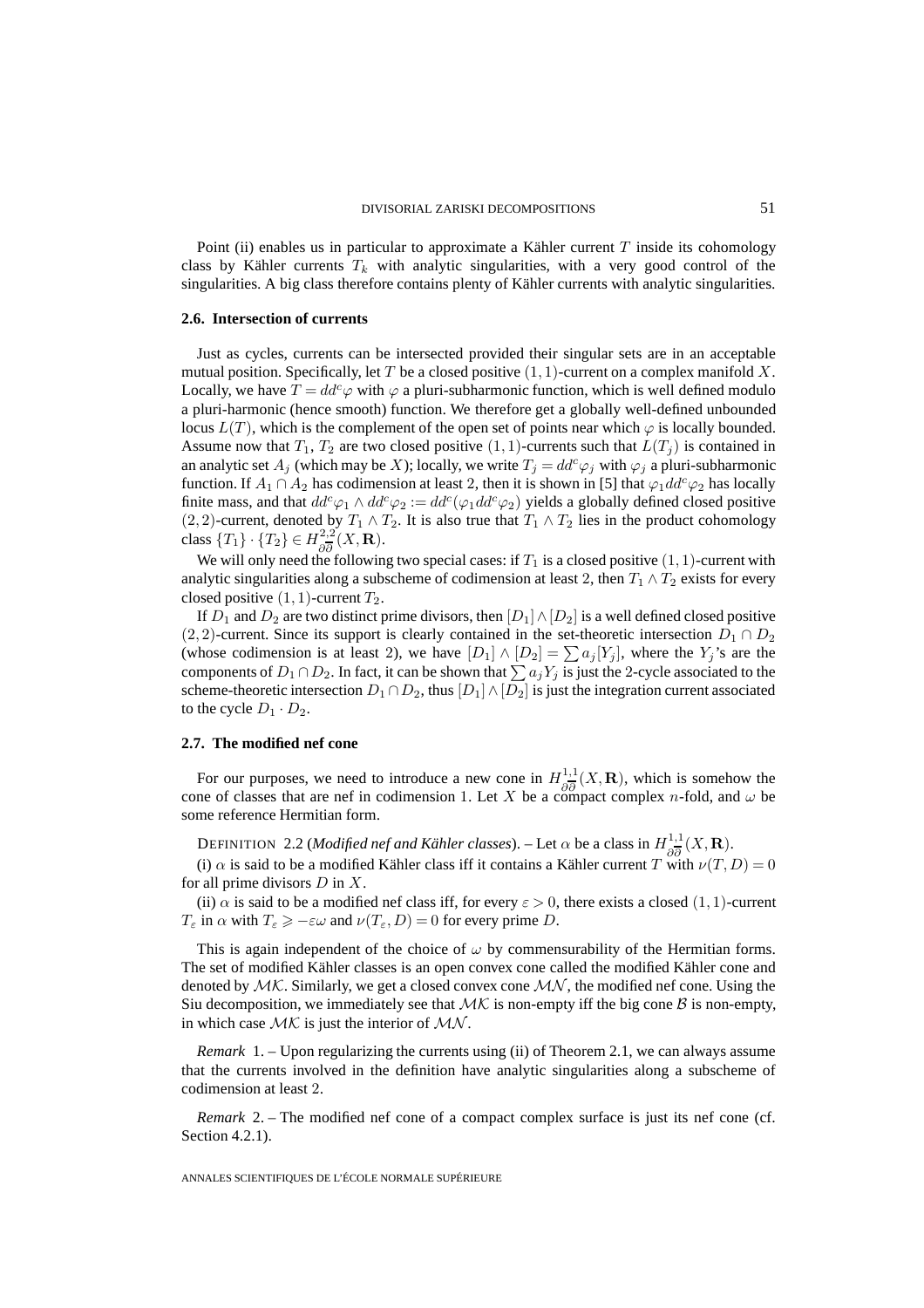Point (ii) enables us in particular to approximate a Kähler current T inside its cohomology class by Kähler currents  $T_k$  with analytic singularities, with a very good control of the singularities. A big class therefore contains plenty of Kähler currents with analytic singularities.

#### **2.6. Intersection of currents**

Just as cycles, currents can be intersected provided their singular sets are in an acceptable mutual position. Specifically, let T be a closed positive  $(1, 1)$ -current on a complex manifold X. Locally, we have  $T = dd^c \varphi$  with  $\varphi$  a pluri-subharmonic function, which is well defined modulo a pluri-harmonic (hence smooth) function. We therefore get a globally well-defined unbounded locus  $L(T)$ , which is the complement of the open set of points near which  $\varphi$  is locally bounded. Assume now that  $T_1$ ,  $T_2$  are two closed positive  $(1, 1)$ -currents such that  $L(T_j)$  is contained in an analytic set  $A_j$  (which may be X); locally, we write  $T_j = dd^c \varphi_j$  with  $\varphi_j$  a pluri-subharmonic function. If  $A_1 \cap A_2$  has codimension at least 2, then it is shown in [5] that  $\varphi_1 dd^c \varphi_2$  has locally finite mass, and that  $dd^c\varphi_1 \wedge dd^c\varphi_2 := dd^c(\varphi_1 dd^c\varphi_2)$  yields a globally defined closed positive (2, 2)-current, denoted by  $T_1 \wedge T_2$ . It is also true that  $T_1 \wedge T_2$  lies in the product cohomology class  $\{T_1\} \cdot \{T_2\} \in H^{2,2}_{\partial \overline{\partial}}(X,\mathbf{R}).$ 

We will only need the following two special cases: if  $T_1$  is a closed positive  $(1, 1)$ -current with analytic singularities along a subscheme of codimension at least 2, then  $T_1 \wedge T_2$  exists for every closed positive  $(1, 1)$ -current  $T_2$ .

If  $D_1$  and  $D_2$  are two distinct prime divisors, then  $[D_1] \wedge [D_2]$  is a well defined closed positive (2, 2)-current. Since its support is clearly contained in the set-theoretic intersection  $D_1 \cap D_2$ (whose codimension is at least 2), we have  $[D_1] \wedge [D_2] = \sum a_j [Y_j]$ , where the  $Y_j$ 's are the components of  $D_1 \cap D_2$ . In fact, it can be shown that  $\sum a_j Y_j$  is just the 2-cycle associated to the scheme-theoretic intersection  $D_1 \cap D_2$ , thus  $[D_1] \wedge [D_2]$  is just the integration current associated to the cycle  $D_1 \cdot D_2$ .

#### **2.7. The modified nef cone**

For our purposes, we need to introduce a new cone in  $H^{1,1}_{\partial \overline{\partial}}(X,\mathbf{R})$ , which is somehow the cone of classes that are nef in codimension 1. Let X be a compact complex n-fold, and  $\omega$  be some reference Hermitian form.

DEFINITION 2.2 (*Modified nef and Kähler classes*). – Let  $\alpha$  be a class in  $H_{\partial \overline{\partial}}^{1,1}(X,\mathbf{R})$ .

(i)  $\alpha$  is said to be a modified Kähler class iff it contains a Kähler current T with  $\nu(T,D)=0$ for all prime divisors  $D$  in  $X$ .

(ii)  $\alpha$  is said to be a modified nef class iff, for every  $\varepsilon > 0$ , there exists a closed  $(1, 1)$ -current  $T_{\varepsilon}$  in  $\alpha$  with  $T_{\varepsilon} \ge -\varepsilon \omega$  and  $\nu(T_{\varepsilon}, D) = 0$  for every prime D.

This is again independent of the choice of  $\omega$  by commensurability of the Hermitian forms. The set of modified Kähler classes is an open convex cone called the modified Kähler cone and denoted by  $MK$ . Similarly, we get a closed convex cone  $MN$ , the modified nef cone. Using the Siu decomposition, we immediately see that  $MK$  is non-empty iff the big cone B is non-empty, in which case  $MK$  is just the interior of  $MN$ .

*Remark* 1. – Upon regularizing the currents using (ii) of Theorem 2.1, we can always assume that the currents involved in the definition have analytic singularities along a subscheme of codimension at least 2.

*Remark* 2. – The modified nef cone of a compact complex surface is just its nef cone (cf. Section 4.2.1).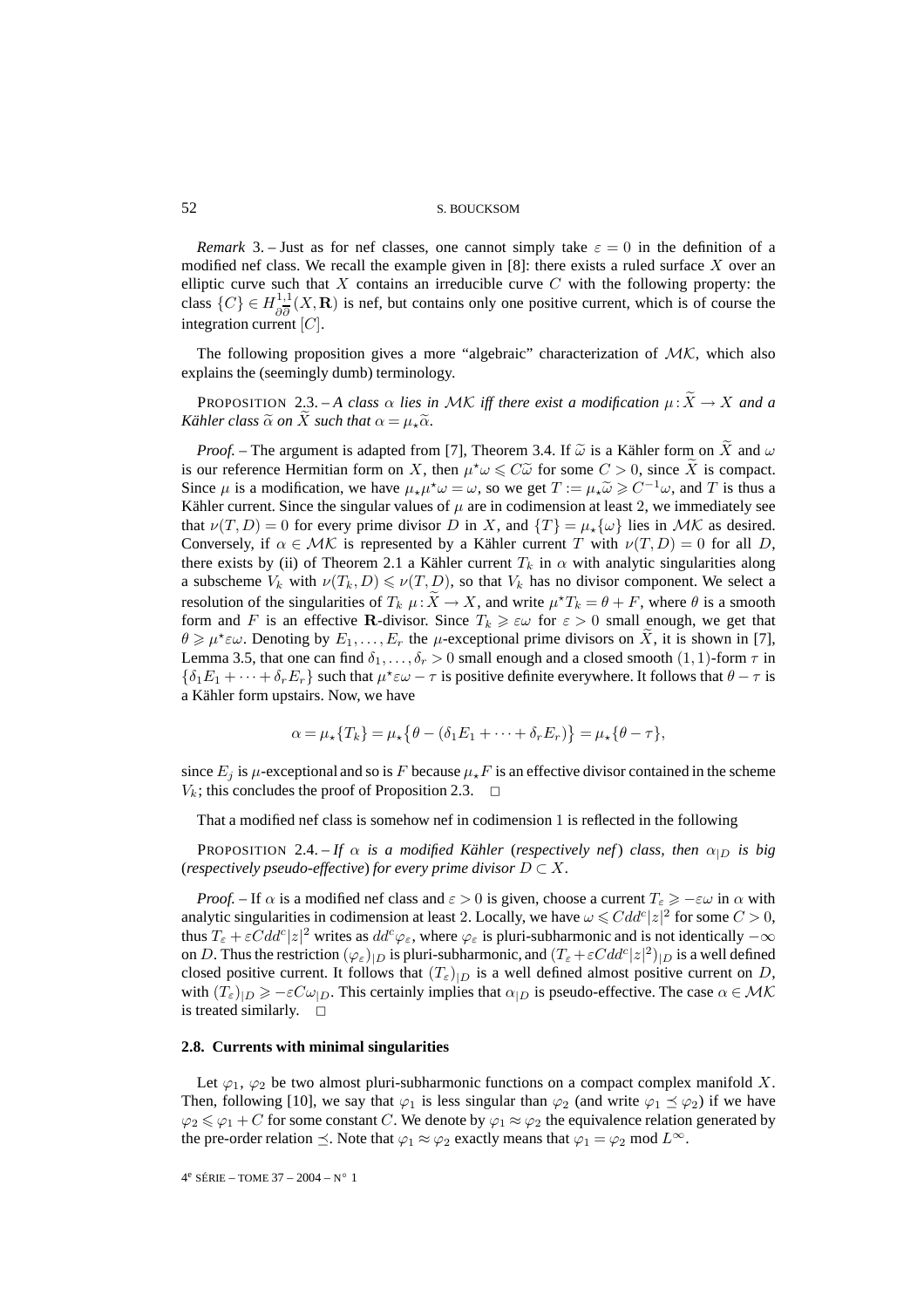*Remark* 3. – Just as for nef classes, one cannot simply take  $\varepsilon = 0$  in the definition of a modified nef class. We recall the example given in  $[8]$ : there exists a ruled surface X over an elliptic curve such that  $X$  contains an irreducible curve  $C$  with the following property: the class  $\{C\} \in H_{\partial \overline{\partial}}^{1,1}(X,\mathbf{R})$  is nef, but contains only one positive current, which is of course the integration current  $[C]$ .

The following proposition gives a more "algebraic" characterization of  $MK$ , which also explains the (seemingly dumb) terminology.

PROPOSITION 2.3. - A class  $\alpha$  lies in MK iff there exist a modification  $\mu$ :  $X \to X$  and a *Kähler class*  $\widetilde{\alpha}$  *on X such that*  $\alpha = \mu_*\widetilde{\alpha}$ *.* 

*Proof.* – The argument is adapted from [7], Theorem 3.4. If  $\tilde{\omega}$  is a Kähler form on X and  $\omega$ is our reference Hermitian form on X, then  $\mu^* \omega \leq C \tilde{\omega}$  for some  $C > 0$ , since  $\tilde{X}$  is compact. Since  $\mu$  is a modification, we have  $\mu_{\star}\mu^{\star}\omega = \omega$ , so we get  $T := \mu_{\star}\widetilde{\omega} \geq C^{-1}\omega$ , and T is thus a Kähler current. Since the singular values of  $\mu$  are in codimension at least 2, we immediately see that  $\nu(T, D) = 0$  for every prime divisor D in X, and  $\{T\} = \mu_{\star} \{\omega\}$  lies in  $\mathcal{MK}$  as desired. Conversely, if  $\alpha \in \mathcal{MK}$  is represented by a Kähler current T with  $\nu(T,D) = 0$  for all D, there exists by (ii) of Theorem 2.1 a Kähler current  $T_k$  in  $\alpha$  with analytic singularities along a subscheme  $V_k$  with  $\nu(T_k, D) \le \nu(T, D)$ , so that  $V_k$  has no divisor component. We select a resolution of the singularities of  $T_k$   $\mu : \tilde{X} \to X$ , and write  $\mu^* T_k = \theta + F$ , where  $\theta$  is a smooth form and F is an effective **R**-divisor. Since  $T_k \geq \varepsilon \omega$  for  $\varepsilon > 0$  small enough, we get that  $\theta \ge \mu^* \varepsilon \omega$ . Denoting by  $E_1, \ldots, E_r$  the  $\mu$ -exceptional prime divisors on  $\tilde{X}$ , it is shown in [7], Lemma 3.5, that one can find  $\delta_1,\ldots,\delta_r > 0$  small enough and a closed smooth  $(1,1)$ -form  $\tau$  in  $\{\delta_1E_1+\cdots+\delta_rE_r\}$  such that  $\mu^*\varepsilon\omega-\tau$  is positive definite everywhere. It follows that  $\theta-\tau$  is a Kähler form upstairs. Now, we have

$$
\alpha = \mu_{\star} \{T_k\} = \mu_{\star} \{\theta - (\delta_1 E_1 + \dots + \delta_r E_r)\} = \mu_{\star} \{\theta - \tau\},
$$

since  $E_j$  is  $\mu$ -exceptional and so is F because  $\mu_{\star} F$  is an effective divisor contained in the scheme  $V_k$ ; this concludes the proof of Proposition 2.3.  $\Box$ 

That a modified nef class is somehow nef in codimension 1 is reflected in the following

PROPOSITION 2.4. – *If*  $\alpha$  *is a modified Kähler (respectively nef) class, then*  $\alpha_{|D}$  *is big* (*respectively pseudo-effective*) *for every prime divisor*  $D \subset X$ *.* 

*Proof.* – If  $\alpha$  is a modified nef class and  $\varepsilon > 0$  is given, choose a current  $T_{\varepsilon} \geq -\varepsilon \omega$  in  $\alpha$  with analytic singularities in codimension at least 2. Locally, we have  $\omega \leq C d d^c |z|^2$  for some  $C > 0$ , thus  $T_\varepsilon + \varepsilon C d d^c |z|^2$  writes as  $dd^c \varphi_\varepsilon$ , where  $\varphi_\varepsilon$  is pluri-subharmonic and is not identically  $-\infty$ on D. Thus the restriction  $(\varphi_{\varepsilon})_{|D}$  is pluri-subharmonic, and  $(T_{\varepsilon} + \varepsilon C d d^c |z|^2)_{|D}$  is a well defined closed positive current. It follows that  $(T_{\varepsilon})_{|D}$  is a well defined almost positive current on D, with  $(T_{\varepsilon})_{|D} \ge -\varepsilon C \omega_{|D}$ . This certainly implies that  $\alpha_{|D}$  is pseudo-effective. The case  $\alpha \in \mathcal{MK}$ is treated similarly.  $\square$ 

#### **2.8. Currents with minimal singularities**

Let  $\varphi_1$ ,  $\varphi_2$  be two almost pluri-subharmonic functions on a compact complex manifold X. Then, following [10], we say that  $\varphi_1$  is less singular than  $\varphi_2$  (and write  $\varphi_1 \preceq \varphi_2$ ) if we have  $\varphi_2 \leq \varphi_1 + C$  for some constant C. We denote by  $\varphi_1 \approx \varphi_2$  the equivalence relation generated by the pre-order relation  $\preceq$ . Note that  $\varphi_1 \approx \varphi_2$  exactly means that  $\varphi_1 = \varphi_2 \mod L^{\infty}$ .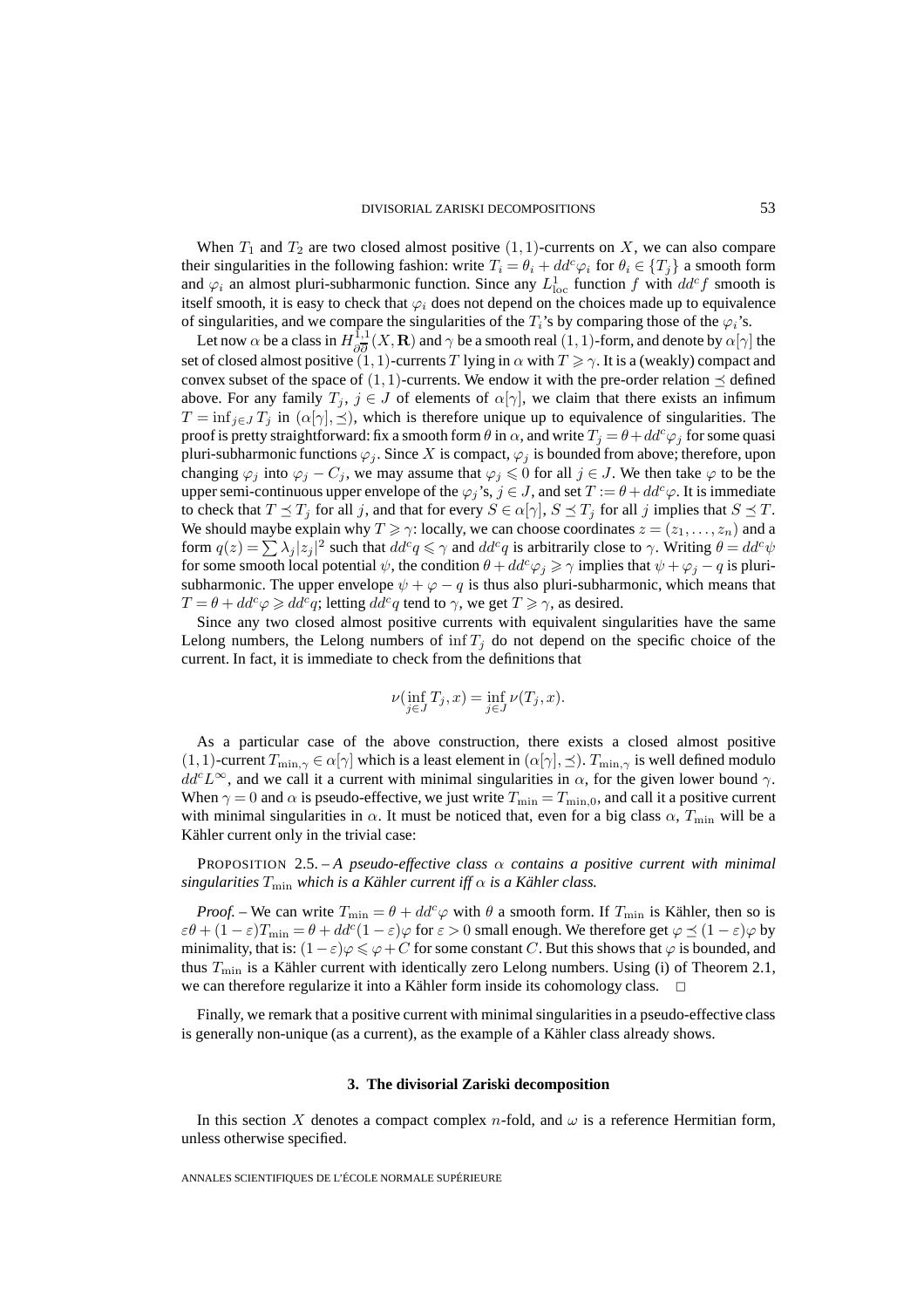When  $T_1$  and  $T_2$  are two closed almost positive  $(1, 1)$ -currents on X, we can also compare their singularities in the following fashion: write  $T_i = \theta_i + dd^c \varphi_i$  for  $\theta_i \in \{T_j\}$  a smooth form and  $\varphi_i$  an almost pluri-subharmonic function. Since any  $L^1_{loc}$  function f with  $dd^c f$  smooth is itself smooth, it is easy to check that  $\varphi_i$  does not depend on the choices made up to equivalence of singularities, and we compare the singularities of the  $T_i$ 's by comparing those of the  $\varphi_i$ 's.

Let now  $\alpha$  be a class in  $H_{\partial \overline{\partial}}^{1,1}(X,\mathbf{R})$  and  $\gamma$  be a smooth real  $(1,1)$ -form, and denote by  $\alpha[\gamma]$  the set of closed almost positive  $(1, 1)$ -currents T lying in  $\alpha$  with  $T \ge \gamma$ . It is a (weakly) compact and convex subset of the space of  $(1, 1)$ -currents. We endow it with the pre-order relation  $\preceq$  defined above. For any family  $T_j$ ,  $j \in J$  of elements of  $\alpha[\gamma]$ , we claim that there exists an infimum  $T = \inf_{j \in J} T_j$  in  $(\alpha[\gamma], \preceq)$ , which is therefore unique up to equivalence of singularities. The proof is pretty straightforward: fix a smooth form  $\theta$  in  $\alpha$ , and write  $T_j = \theta + dd^c \varphi_j$  for some quasi pluri-subharmonic functions  $\varphi_j$ . Since X is compact,  $\varphi_j$  is bounded from above; therefore, upon changing  $\varphi_j$  into  $\varphi_j - C_j$ , we may assume that  $\varphi_j \leq 0$  for all  $j \in J$ . We then take  $\varphi$  to be the upper semi-continuous upper envelope of the  $\varphi_j$ 's,  $j \in J$ , and set  $T := \theta + dd^c \varphi$ . It is immediate to check that  $T \preceq T_j$  for all j, and that for every  $S \in \alpha[\gamma]$ ,  $S \preceq T_j$  for all j implies that  $S \preceq T$ . We should maybe explain why  $T \ge \gamma$ : locally, we can choose coordinates  $z = (z_1, \ldots, z_n)$  and a form  $q(z) = \sum \lambda_j |z_j|^2$  such that  $dd^c q \le \gamma$  and  $dd^c q$  is arbitrarily close to  $\gamma$ . Writing  $\theta = dd^c \psi$ for some smooth local potential  $\psi$ , the condition  $\theta + dd^c \varphi_j \ge \gamma$  implies that  $\psi + \varphi_j - q$  is plurisubharmonic. The upper envelope  $\psi + \varphi - q$  is thus also pluri-subharmonic, which means that  $T = \theta + dd^c \varphi \geq dd^c q$ ; letting  $dd^c q$  tend to  $\gamma$ , we get  $T \geq \gamma$ , as desired.

Since any two closed almost positive currents with equivalent singularities have the same Lelong numbers, the Lelong numbers of  $\inf T_i$  do not depend on the specific choice of the current. In fact, it is immediate to check from the definitions that

$$
\nu(\inf_{j\in J}T_j,x)=\inf_{j\in J}\nu(T_j,x).
$$

As a particular case of the above construction, there exists a closed almost positive  $(1, 1)$ -current  $T_{\min,\gamma} \in \alpha[\gamma]$  which is a least element in  $(\alpha[\gamma], \preceq)$ .  $T_{\min,\gamma}$  is well defined modulo  $dd^cL^{\infty}$ , and we call it a current with minimal singularities in  $\alpha$ , for the given lower bound  $\gamma$ . When  $\gamma = 0$  and  $\alpha$  is pseudo-effective, we just write  $T_{\text{min}} = T_{\text{min},0}$ , and call it a positive current with minimal singularities in  $\alpha$ . It must be noticed that, even for a big class  $\alpha$ ,  $T_{\text{min}}$  will be a Kähler current only in the trivial case:

PROPOSITION 2.5. – *A pseudo-effective class* α *contains a positive current with minimal singularities* Tmin *which is a Kähler current iff* α *is a Kähler class.*

*Proof.* – We can write  $T_{\min} = \theta + dd^c \varphi$  with  $\theta$  a smooth form. If  $T_{\min}$  is Kähler, then so is  $\varepsilon \theta + (1 - \varepsilon) T_{\min} = \theta + dd^c (1 - \varepsilon) \varphi$  for  $\varepsilon > 0$  small enough. We therefore get  $\varphi \preceq (1 - \varepsilon) \varphi$  by minimality, that is:  $(1 - \varepsilon)\varphi \leqslant \varphi + C$  for some constant  $C.$  But this shows that  $\varphi$  is bounded, and thus  $T_{\text{min}}$  is a Kähler current with identically zero Lelong numbers. Using (i) of Theorem 2.1, we can therefore regularize it into a Kähler form inside its cohomology class.  $\Box$ 

Finally, we remark that a positive current with minimal singularities in a pseudo-effective class is generally non-unique (as a current), as the example of a Kähler class already shows.

#### **3. The divisorial Zariski decomposition**

In this section X denotes a compact complex n-fold, and  $\omega$  is a reference Hermitian form, unless otherwise specified.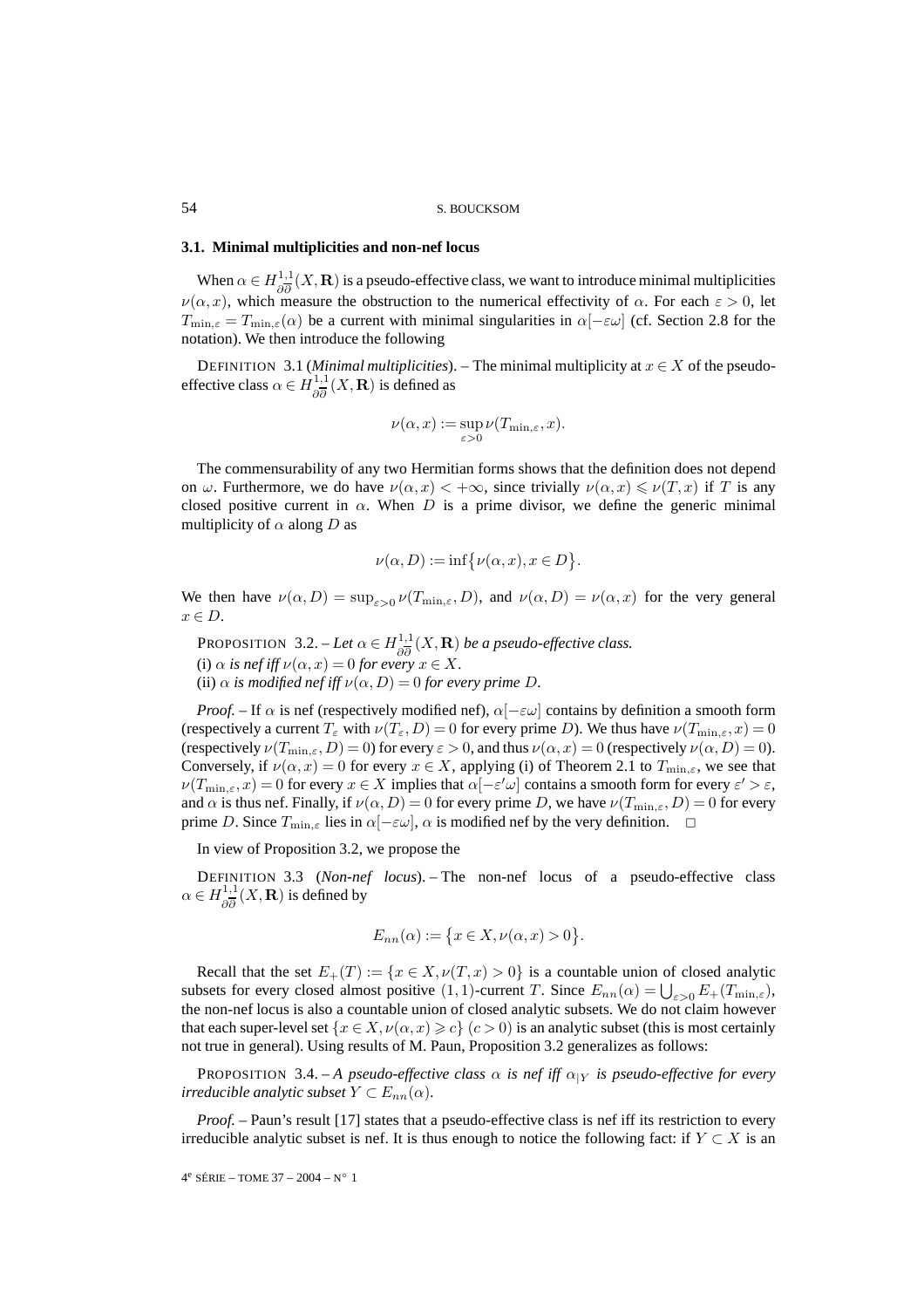#### **3.1. Minimal multiplicities and non-nef locus**

When  $\alpha \in H_{\partial \overline{\partial}}^{1,1}(X,\mathbf{R})$  is a pseudo-effective class, we want to introduce minimal multiplicities  $\nu(\alpha, x)$ , which measure the obstruction to the numerical effectivity of  $\alpha$ . For each  $\varepsilon > 0$ , let  $T_{\min,\varepsilon} = T_{\min,\varepsilon}(\alpha)$  be a current with minimal singularities in  $\alpha[-\varepsilon\omega]$  (cf. Section 2.8 for the notation). We then introduce the following

DEFINITION 3.1 (*Minimal multiplicities*). – The minimal multiplicity at  $x \in X$  of the pseudoeffective class  $\alpha \in H_{\partial \overline{\partial}}^{1,1}(X,\mathbf{R})$  is defined as

$$
\nu(\alpha, x) := \sup_{\varepsilon > 0} \nu(T_{\min, \varepsilon}, x).
$$

The commensurability of any two Hermitian forms shows that the definition does not depend on  $\omega$ . Furthermore, we do have  $\nu(\alpha, x) < +\infty$ , since trivially  $\nu(\alpha, x) \leq \nu(T, x)$  if T is any closed positive current in  $\alpha$ . When D is a prime divisor, we define the generic minimal multiplicity of  $\alpha$  along  $D$  as

$$
\nu(\alpha, D) := \inf \{ \nu(\alpha, x), x \in D \}.
$$

We then have  $\nu(\alpha, D) = \sup_{\varepsilon > 0} \nu(T_{\min, \varepsilon}, D)$ , and  $\nu(\alpha, D) = \nu(\alpha, x)$  for the very general  $x \in D$ .

**PROPOSITION** 3.2. – Let  $\alpha \in H_{\partial \overline{\partial}}^{1,1}(X,\mathbf{R})$  be a pseudo-effective class. (i)  $\alpha$  *is nef iff*  $\nu(\alpha, x) = 0$  *for every*  $x \in X$ *.* (ii)  $\alpha$  *is modified nef iff*  $\nu(\alpha, D) = 0$  *for every prime D.* 

*Proof.* – If  $\alpha$  is nef (respectively modified nef),  $\alpha$ [ $-\varepsilon\omega$ ] contains by definition a smooth form (respectively a current  $T_{\varepsilon}$  with  $\nu(T_{\varepsilon}, D)=0$  for every prime D). We thus have  $\nu(T_{\min,\varepsilon}, x)=0$ (respectively  $\nu(T_{\min,\varepsilon}, D) = 0$ ) for every  $\varepsilon > 0$ , and thus  $\nu(\alpha, x) = 0$  (respectively  $\nu(\alpha, D) = 0$ ). Conversely, if  $\nu(\alpha, x)=0$  for every  $x \in X$ , applying (i) of Theorem 2.1 to  $T_{\min,\varepsilon}$ , we see that  $\nu(T_{\min,\varepsilon},x)=0$  for every  $x\in X$  implies that  $\alpha[-\varepsilon'\omega]$  contains a smooth form for every  $\varepsilon'>\varepsilon,$ and  $\alpha$  is thus nef. Finally, if  $\nu(\alpha, D) = 0$  for every prime D, we have  $\nu(T_{\min, \varepsilon}, D) = 0$  for every prime D. Since  $T_{\min,\varepsilon}$  lies in  $\alpha[-\varepsilon\omega]$ ,  $\alpha$  is modified nef by the very definition.  $\Box$ 

In view of Proposition 3.2, we propose the

DEFINITION 3.3 (*Non-nef locus*). – The non-nef locus of a pseudo-effective class  $\alpha \in H^{1,1}_{\partial \overline{\partial}}(X,\mathbf{R})$  is defined by

$$
E_{nn}(\alpha) := \{ x \in X, \nu(\alpha, x) > 0 \}.
$$

Recall that the set  $E_+(T) := \{x \in X, \nu(T, x) > 0\}$  is a countable union of closed analytic subsets for every closed almost positive  $(1, 1)$ -current T. Since  $E_{nn}(\alpha) = \bigcup_{\varepsilon > 0} E_+(T_{\min,\varepsilon})$ , the non-nef locus is also a countable union of closed analytic subsets. We do not claim however that each super-level set  $\{x \in X, \nu(\alpha, x) \ge c\}$   $(c > 0)$  is an analytic subset (this is most certainly not true in general). Using results of M. Paun, Proposition 3.2 generalizes as follows:

PROPOSITION 3.4. – *A pseudo-effective class*  $\alpha$  *is nef iff*  $\alpha_{|Y}$  *is pseudo-effective for every irreducible analytic subset*  $Y \subset E_{nn}(\alpha)$ *.* 

*Proof.* – Paun's result [17] states that a pseudo-effective class is nef iff its restriction to every irreducible analytic subset is nef. It is thus enough to notice the following fact: if  $Y \subset X$  is an

 $4^e$  SÉRIE – TOME 37 – 2004 – N° 1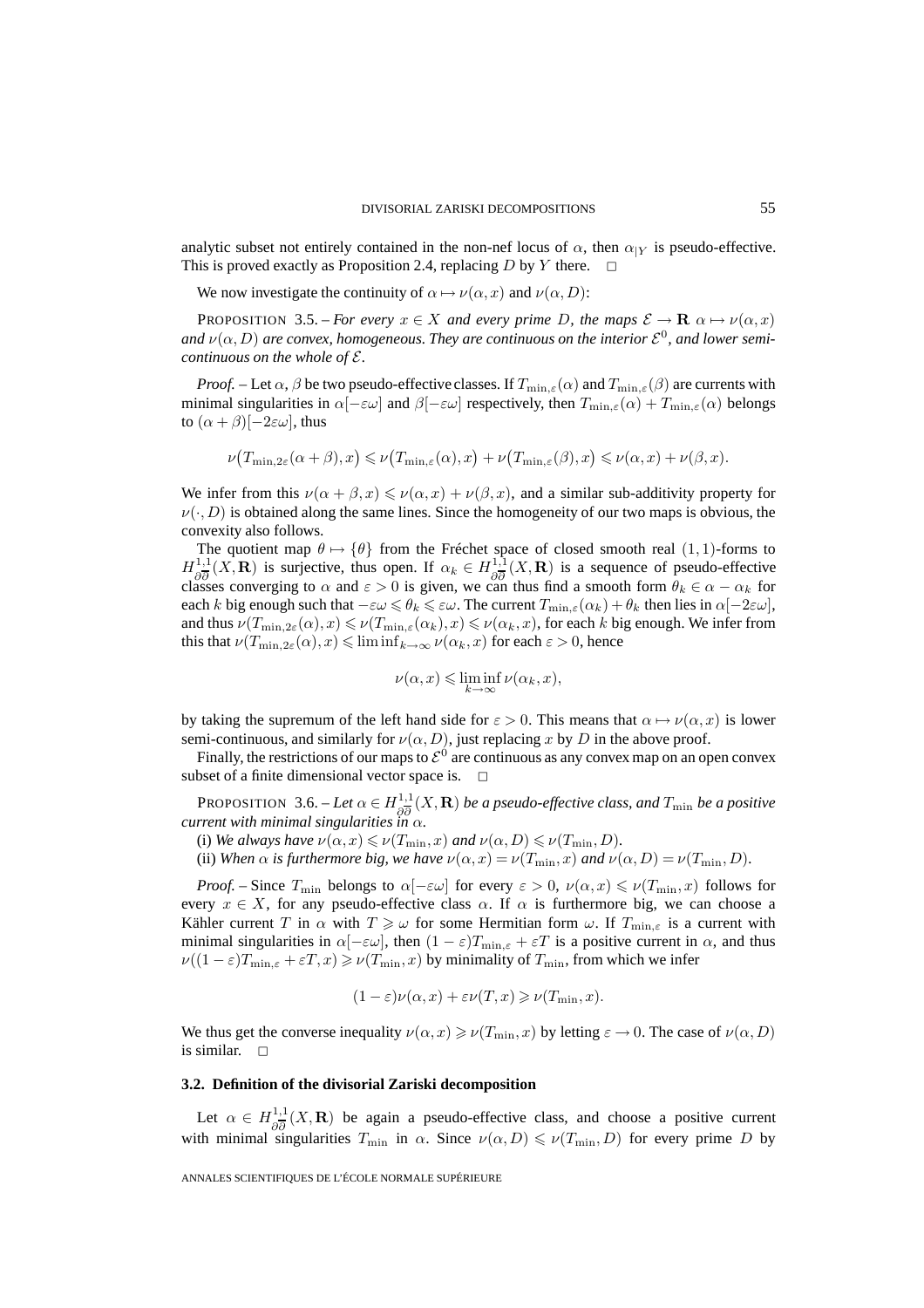analytic subset not entirely contained in the non-nef locus of  $\alpha$ , then  $\alpha_{|Y}$  is pseudo-effective.<br>This is proved exactly as Proposition 2.4, replacing D by Y there.  $\square$ This is proved exactly as Proposition 2.4, replacing  $D$  by  $Y$  there.

We now investigate the continuity of  $\alpha \mapsto \nu(\alpha, x)$  and  $\nu(\alpha, D)$ :

PROPOSITION 3.5. – *For every*  $x \in X$  *and every prime D, the maps*  $\mathcal{E} \to \mathbf{R}$   $\alpha \mapsto \nu(\alpha, x)$ *and*  $\nu(\alpha, D)$  *are convex, homogeneous. They are continuous on the interior*  $\mathcal{E}^0$ *, and lower semicontinuous on the whole of* E*.*

*Proof.* – Let  $\alpha$ ,  $\beta$  be two pseudo-effective classes. If  $T_{\min,\varepsilon}(\alpha)$  and  $T_{\min,\varepsilon}(\beta)$  are currents with minimal singularities in  $\alpha[-\epsilon\omega]$  and  $\beta[-\epsilon\omega]$  respectively, then  $T_{\min,\epsilon}(\alpha) + T_{\min,\epsilon}(\alpha)$  belongs to  $(\alpha + \beta)$ [-2 $\varepsilon \omega$ ], thus

$$
\nu(T_{\min,2\varepsilon}(\alpha+\beta),x) \leqslant \nu(T_{\min,\varepsilon}(\alpha),x) + \nu(T_{\min,\varepsilon}(\beta),x) \leqslant \nu(\alpha,x) + \nu(\beta,x).
$$

We infer from this  $\nu(\alpha + \beta, x) \le \nu(\alpha, x) + \nu(\beta, x)$ , and a similar sub-additivity property for  $\nu(\cdot, D)$  is obtained along the same lines. Since the homogeneity of our two maps is obvious, the convexity also follows.

The quotient map  $\theta \mapsto {\theta}$  from the Fréchet space of closed smooth real  $(1,1)$ -forms to  $H^{1,1}_{\partial \overline{\partial}}(X,\mathbf{R})$  is surjective, thus open. If  $\alpha_k \in H^{1,1}_{\partial \overline{\partial}}(X,\mathbf{R})$  is a sequence of pseudo-effective classes converging to  $\alpha$  and  $\varepsilon > 0$  is given, we can thus find a smooth form  $\theta_k \in \alpha - \alpha_k$  for each k big enough such that  $-\varepsilon\omega \leq \theta_k \leq \varepsilon\omega$ . The current  $T_{\min,\varepsilon}(\alpha_k) + \theta_k$  then lies in  $\alpha[-2\varepsilon\omega]$ , and thus  $\nu(T_{\min,2\varepsilon}(\alpha),x) \leq \nu(T_{\min,\varepsilon}(\alpha_k),x) \leqslant \nu(\alpha_k,x)$ , for each  $k$  big enough. We infer from this that  $\nu(T_{\min,2\varepsilon}(\alpha),x) \leq \liminf_{k\to\infty} \nu(\alpha_k,x)$  for each  $\varepsilon > 0$ , hence

$$
\nu(\alpha, x) \leqslant \liminf_{k \to \infty} \nu(\alpha_k, x),
$$

by taking the supremum of the left hand side for  $\varepsilon > 0$ . This means that  $\alpha \mapsto \nu(\alpha, x)$  is lower semi-continuous, and similarly for  $\nu(\alpha, D)$ , just replacing x by D in the above proof.

Finally, the restrictions of our maps to  $\mathcal{E}^0$  are continuous as any convex map on an open convex subset of a finite dimensional vector space is.  $\Box$ 

**PROPOSITION** 3.6. – *Let*  $\alpha \in H_{\partial \overline{\partial}}^{1,1}(X, \mathbf{R})$  *be a pseudo-effective class, and*  $T_{\min}$  *be a positive current with minimal singularities in*  $\alpha$ *.* 

(i) *We always have*  $\nu(\alpha, x) \leqslant \nu(T_{\min}, x)$  *and*  $\nu(\alpha, D) \leqslant \nu(T_{\min}, D)$ *.* 

(ii) *When*  $\alpha$  *is furthermore big, we have*  $\nu(\alpha, x) = \nu(T_{\min}, x)$  *and*  $\nu(\alpha, D) = \nu(T_{\min}, D)$ *.* 

*Proof.* – Since  $T_{\min}$  belongs to  $\alpha[-\varepsilon\omega]$  for every  $\varepsilon > 0$ ,  $\nu(\alpha, x) \leqslant \nu(T_{\min}, x)$  follows for every  $x \in X$ , for any pseudo-effective class  $\alpha$ . If  $\alpha$  is furthermore big, we can choose a Kähler current T in  $\alpha$  with  $T \geq \omega$  for some Hermitian form  $\omega$ . If  $T_{\min,\varepsilon}$  is a current with minimal singularities in  $\alpha[-\epsilon\omega]$ , then  $(1-\epsilon)T_{\min,\epsilon} + \epsilon T$  is a positive current in  $\alpha$ , and thus  $\nu((1-\varepsilon)T_{\min,\varepsilon}+\varepsilon T,x)\geqslant \nu(T_{\min},x)$  by minimality of  $T_{\min}$ , from which we infer

$$
(1 - \varepsilon)\nu(\alpha, x) + \varepsilon\nu(T, x) \geqslant \nu(T_{\min}, x).
$$

We thus get the converse inequality  $\nu(\alpha, x) \geq \nu(T_{\min}, x)$  by letting  $\varepsilon \to 0$ . The case of  $\nu(\alpha, D)$ is similar.  $\square$ 

#### **3.2. Definition of the divisorial Zariski decomposition**

Let  $\alpha \in H_{\partial \overline{\partial}}^{1,1}(X,\mathbf{R})$  be again a pseudo-effective class, and choose a positive current with minimal singularities  $T_{\min}$  in  $\alpha$ . Since  $\nu(\alpha, D) \leqslant \nu(T_{\min}, D)$  for every prime D by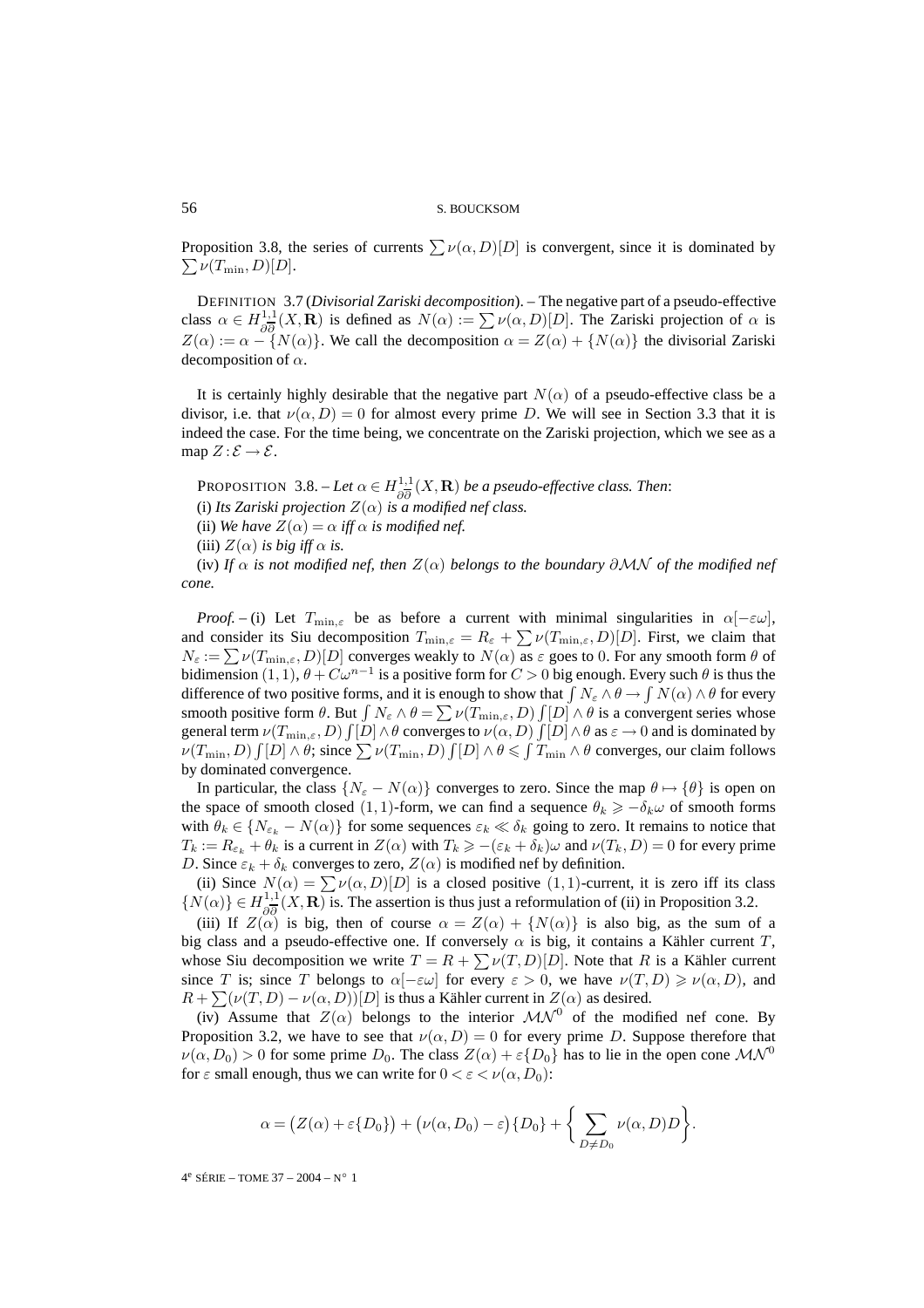Proposition 3.8, the series of currents  $\sum \nu(\alpha, D)[D]$  is convergent, since it is dominated by  $\sum \nu(T_{\min}, D)[D]$ .  $\sum \nu(T_{\min}, D)[D].$ 

DEFINITION 3.7 (*Divisorial Zariski decomposition*). – The negative part of a pseudo-effective class  $\alpha \in H_{\partial \overline{\partial}}^{1,1}(X,\mathbf{R})$  is defined as  $N(\alpha) := \sum \nu(\alpha,D)[D]$ . The Zariski projection of  $\alpha$  is  $Z(\alpha) := \alpha - \{N(\alpha)\}\.$  We call the decomposition  $\alpha = Z(\alpha) + \{N(\alpha)\}\.$  the divisorial Zariski decomposition of  $\alpha$ .

It is certainly highly desirable that the negative part  $N(\alpha)$  of a pseudo-effective class be a divisor, i.e. that  $\nu(\alpha, D) = 0$  for almost every prime D. We will see in Section 3.3 that it is indeed the case. For the time being, we concentrate on the Zariski projection, which we see as a map  $Z : \mathcal{E} \to \mathcal{E}$ .

PROPOSITION 3.8. – Let  $\alpha \in H_{\partial \overline{\partial}}^{1,1}(X,\mathbf{R})$  be a pseudo-effective class. Then:

(i) Its Zariski projection  $Z(\alpha)$  is a modified nef class.

(ii) We have  $Z(\alpha) = \alpha$  *iff*  $\alpha$  *is modified nef.* 

(iii)  $Z(\alpha)$  *is big iff*  $\alpha$  *is.* 

(iv) If  $\alpha$  *is not modified nef, then*  $Z(\alpha)$  *belongs to the boundary*  $\partial MN$  *of the modified nef cone.*

*Proof.* – (i) Let  $T_{\min,\varepsilon}$  be as before a current with minimal singularities in  $\alpha[-\varepsilon\omega]$ , and consider its Siu decomposition  $T_{\min,\varepsilon} = R_{\varepsilon} + \sum \nu(T_{\min,\varepsilon}, D)[D]$ . First, we claim that  $N_{\varepsilon} := \sum \nu(T_{\min,\varepsilon}, D)[D]$  converges weakly to  $N(\alpha)$  as  $\varepsilon$  goes to 0. For any smooth form  $\theta$  of bidimension  $(1, 1)$ ,  $\theta + C\omega^{n-1}$  is a positive form for  $C > 0$  big enough. Every such  $\theta$  is thus the difference of two positive forms, and it is enough to show that  $\int N_\varepsilon \wedge \theta \to \int N(\alpha) \wedge \theta$  for every smooth positive form  $\theta$ . But  $\int N_{\varepsilon} \wedge \theta = \sum \nu(T_{\min,\varepsilon}, D) \int [D] \wedge \theta$  is a convergent series whose general term  $\nu(T_{\min,\varepsilon},D)\int[D]\wedge\theta$  converges to  $\nu(\alpha,D)\int[D]\wedge\theta$  as  $\varepsilon\to 0$  and is dominated by  $\mathcal{L}(T_{\min}, D) \int [D] \wedge \theta$ ; since  $\sum \nu(T_{\min}, D) \int [D] \wedge \theta \le \int T_{\min} \wedge \theta$  converges, our claim follows by dominated convergence.

In particular, the class  $\{N_{\varepsilon} - N(\alpha)\}\)$  converges to zero. Since the map  $\theta \mapsto \{\theta\}\$ is open on the space of smooth closed (1, 1)-form, we can find a sequence  $\theta_k \geq -\delta_k \omega$  of smooth forms with  $\theta_k \in \{N_{\varepsilon_k} - N(\alpha)\}\$  for some sequences  $\varepsilon_k \ll \delta_k$  going to zero. It remains to notice that  $T_k := R_{\varepsilon_k} + \theta_k$  is a current in  $Z(\alpha)$  with  $T_k \geqslant -(\varepsilon_k + \delta_k)\omega$  and  $\nu(T_k, D) = 0$  for every prime D. Since  $\varepsilon_k + \delta_k$  converges to zero,  $Z(\alpha)$  is modified nef by definition.

(ii) Since  $N(\alpha) = \sum \nu(\alpha, D)[D]$  is a closed positive  $(1, 1)$ -current, it is zero iff its class  $\{N(\alpha)\}\in H_{\partial\overline{\partial}}^{1,1}(X,\mathbf{R})$  is. The assertion is thus just a reformulation of (ii) in Proposition 3.2.

(iii) If  $Z(\alpha)$  is big, then of course  $\alpha = Z(\alpha) + \{N(\alpha)\}\$ is also big, as the sum of a big class and a pseudo-effective one. If conversely  $\alpha$  is big, it contains a Kähler current T, whose Siu decomposition we write  $T = R + \sum \nu(T,D)[D]$ . Note that R is a Kähler current since T is; since T belongs to  $\alpha[-\epsilon\omega]$  for every  $\epsilon > 0$ , we have  $\nu(T,D) \geqslant \nu(\alpha,D)$ , and  $R + \sum (\nu(T, D) - \nu(\alpha, D))$ [D] is thus a Kähler current in  $Z(\alpha)$  as desired.

(iv) Assume that  $Z(\alpha)$  belongs to the interior  $\mathcal{MN}^0$  of the modified nef cone. By Proposition 3.2, we have to see that  $\nu(\alpha, D) = 0$  for every prime D. Suppose therefore that  $\nu(\alpha, D_0) > 0$  for some prime  $D_0$ . The class  $Z(\alpha) + \varepsilon{D_0}$  has to lie in the open cone  $\mathcal{MN}^0$ for  $\varepsilon$  small enough, thus we can write for  $0 < \varepsilon < \nu(\alpha, D_0)$ :

$$
\alpha = (Z(\alpha) + \varepsilon \{D_0\}) + (\nu(\alpha, D_0) - \varepsilon) \{D_0\} + \left\{ \sum_{D \neq D_0} \nu(\alpha, D)D \right\}.
$$

4e SÉRIE – TOME 37 – 2004 – N◦ 1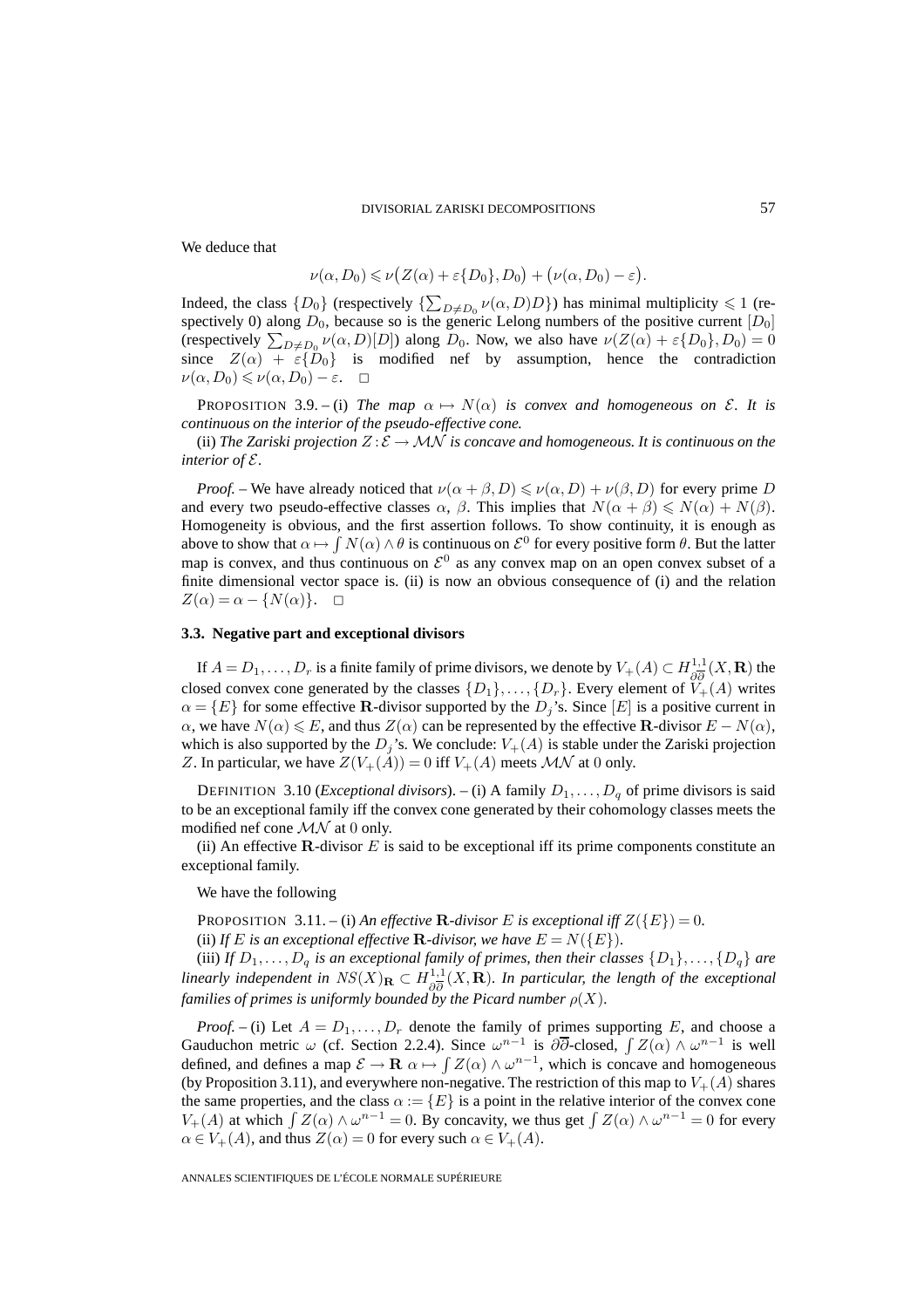We deduce that

$$
\nu(\alpha, D_0) \leqslant \nu(Z(\alpha) + \varepsilon\{D_0\}, D_0) + (\nu(\alpha, D_0) - \varepsilon).
$$

Indeed, the class  $\{D_0\}$  (respectively  $\{\sum_{D \neq D_0} \nu(\alpha, D)D\}$ ) has minimal multiplicity  $\leq 1$  (respectively 0) along  $D_0$ , because so is the generic Lelong numbers of the positive current  $[D_0]$ (respectively  $\sum_{D \neq D_0} \nu(\alpha, D)[D]$ ) along  $D_0$ . Now, we also have  $\nu(Z(\alpha) + \varepsilon{D_0}, D_0) = 0$ since  $Z(\alpha) + \varepsilon \{\bar{D}_0\}$  is modified nef by assumption, hence the contradiction  $\nu(\alpha, D_0) \leqslant \nu(\alpha, D_0) - \varepsilon. \quad \Box$ 

PROPOSITION 3.9. – (i) *The map*  $\alpha \mapsto N(\alpha)$  *is convex and homogeneous on E. It is continuous on the interior of the pseudo-effective cone.*

(ii) *The Zariski projection*  $Z : \mathcal{E} \to \mathcal{MN}$  *is concave and homogeneous. It is continuous on the interior of* E*.*

*Proof.* – We have already noticed that  $\nu(\alpha + \beta, D) \le \nu(\alpha, D) + \nu(\beta, D)$  for every prime D and every two pseudo-effective classes  $\alpha$ ,  $\beta$ . This implies that  $N(\alpha + \beta) \le N(\alpha) + N(\beta)$ . Homogeneity is obvious, and the first assertion follows. To show continuity, it is enough as above to show that  $\alpha \mapsto \int N(\alpha) \wedge \theta$  is continuous on  $\mathcal{E}^0$  for every positive form  $\theta$ . But the latter map is convex, and thus continuous on  $\mathcal{E}^0$  as any convex map on an open convex subset of a finite dimensional vector space is. (ii) is now an obvious consequence of (i) and the relation  $Z(\alpha) = \alpha - \{N(\alpha)\}. \quad \Box$ 

#### **3.3. Negative part and exceptional divisors**

If  $A = D_1, \ldots, D_r$  is a finite family of prime divisors, we denote by  $V_+(A) \subset H^{1,1}_{\partial \overline{\partial}}(X,\mathbf{R})$  the closed convex cone generated by the classes  $\{D_1\}, \ldots, \{D_r\}$ . Every element of  $\widetilde{V}_+(A)$  writes  $\alpha = \{E\}$  for some effective **R**-divisor supported by the  $D_j$ 's. Since  $[E]$  is a positive current in  $\alpha$ , we have  $N(\alpha) \leq E$ , and thus  $Z(\alpha)$  can be represented by the effective **R**-divisor  $E - N(\alpha)$ , which is also supported by the  $D_j$ 's. We conclude:  $V_+(A)$  is stable under the Zariski projection Z. In particular, we have  $Z(V_+(A)) = 0$  iff  $V_+(A)$  meets  $\mathcal{MN}$  at 0 only.

DEFINITION 3.10 (*Exceptional divisors*). – (i) A family  $D_1, \ldots, D_q$  of prime divisors is said to be an exceptional family iff the convex cone generated by their cohomology classes meets the modified nef cone  $\mathcal{MN}$  at 0 only.

(ii) An effective **-divisor**  $E$  **is said to be exceptional iff its prime components constitute an** exceptional family.

We have the following

PROPOSITION 3.11. – (i) An effective **R***-divisor* E is exceptional iff  $Z(\{E\})=0$ .

(ii) If E is an exceptional effective **R***-divisor, we have*  $E = N({E})$ .

(iii) *If*  $D_1, \ldots, D_q$  *is an exceptional family of primes, then their classes*  $\{D_1\}, \ldots, \{D_q\}$  *are linearly independent in*  $NS(X)_{\mathbf{R}} \subset H_{\partial \overline{\partial}}^{1,1}(X,\mathbf{R})$ . In particular, the length of the exceptional *families of primes is uniformly bounded by the Picard number*  $\rho(X)$ *.* 

*Proof.* – (i) Let  $A = D_1, \ldots, D_r$  denote the family of primes supporting E, and choose a Gauduchon metric  $\omega$  (cf. Section 2.2.4). Since  $\omega^{n-1}$  is  $\partial\overline{\partial}$ -closed,  $\int Z(\alpha) \wedge \omega^{n-1}$  is well defined, and defines a map  $\mathcal{E} \to \mathbf{R}$   $\alpha \mapsto \int Z(\alpha) \wedge \omega^{n-1}$ , which is concave and homogeneous (by Proposition 3.11), and everywhere non-negative. The restriction of this map to  $V_+(A)$  shares the same properties, and the class  $\alpha := \{E\}$  is a point in the relative interior of the convex cone  $V_+(A)$  at which  $\int Z(\alpha) \wedge \omega^{n-1} = 0$ . By concavity, we thus get  $\int Z(\alpha) \wedge \omega^{n-1} = 0$  for every  $\alpha \in V_+(A)$ , and thus  $Z(\alpha)=0$  for every such  $\alpha \in V_+(A)$ .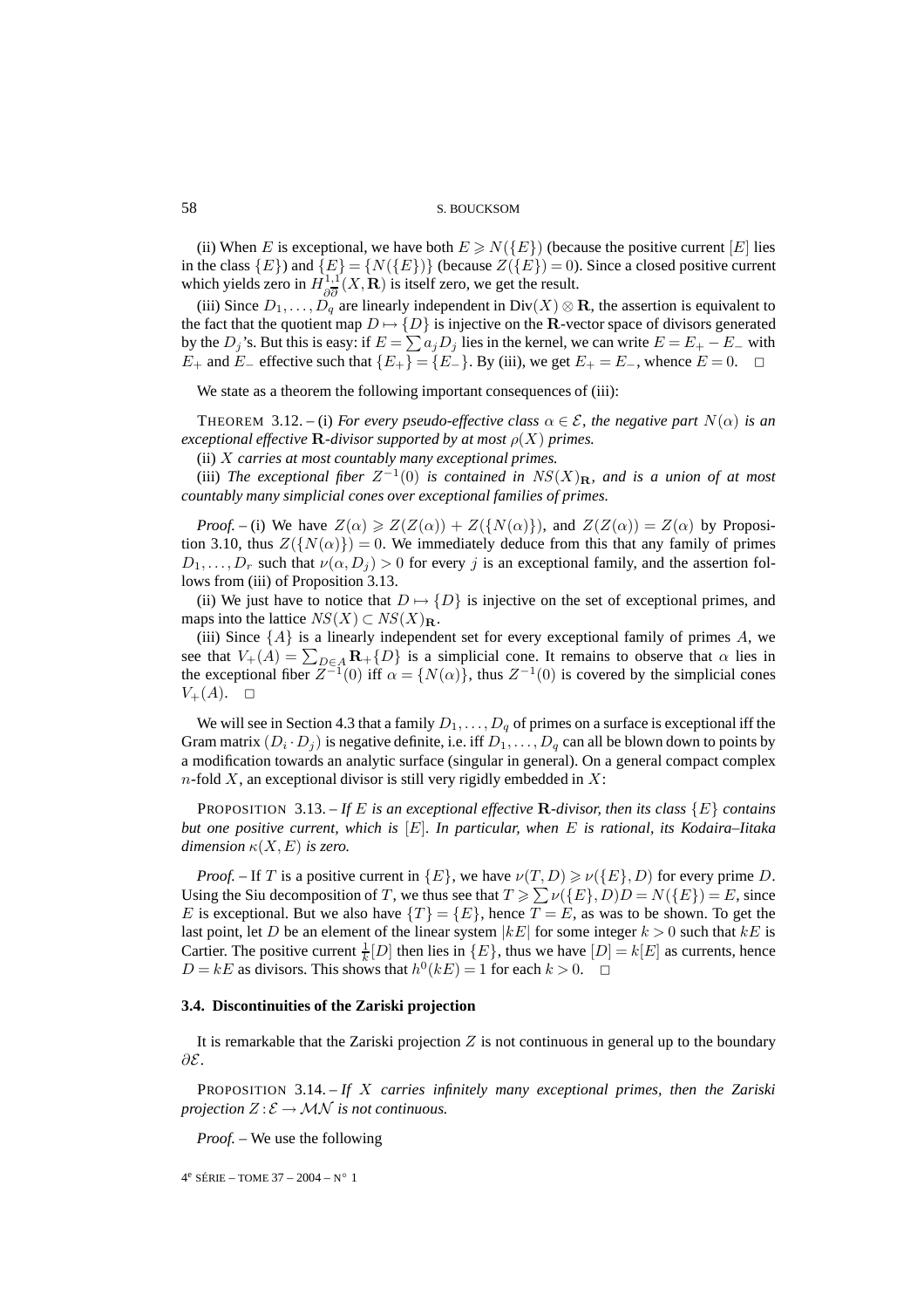(ii) When E is exceptional, we have both  $E \ge N({E})$  (because the positive current  $[E]$  lies in the class  ${E}$  and  ${E} = {N({E})}$  (because  $Z({E})=0$ ). Since a closed positive current which yields zero in  $H^{1,1'}_{\partial \overline{\partial}}(X,\mathbf{R})$  is itself zero, we get the result.

(iii) Since  $D_1, \ldots, D_q$  are linearly independent in  $Div(X) \otimes \mathbf{R}$ , the assertion is equivalent to the fact that the quotient map  $D \mapsto \{D\}$  is injective on the **R**-vector space of divisors generated by the  $D_j$ 's. But this is easy: if  $E = \sum a_j D_j$  lies in the kernel, we can write  $E = E_+ - E_-$  with  $E_+$  and  $E_-$  effective such that  $\{E_+\} = \{E_-\}$ . By (iii), we get  $E_+ = E_-$ , whence  $E = 0$ . □

We state as a theorem the following important consequences of (iii):

THEOREM 3.12. – (i) *For every pseudo-effective class*  $\alpha \in \mathcal{E}$ *, the negative part*  $N(\alpha)$  *is an exceptional effective* **R***-divisor supported by at most*  $\rho(X)$  *primes.* 

(ii) X *carries at most countably many exceptional primes.*

(iii) *The exceptional fiber*  $Z^{-1}(0)$  *is contained in*  $NS(X)_{\mathbf{R}}$ *, and is a union of at most countably many simplicial cones over exceptional families of primes.*

*Proof.* – (i) We have  $Z(\alpha) \geq Z(Z(\alpha)) + Z({N(\alpha)}),$  and  $Z(Z(\alpha)) = Z(\alpha)$  by Proposition 3.10, thus  $Z({N(\alpha)})=0$ . We immediately deduce from this that any family of primes  $D_1,\ldots,D_r$  such that  $\nu(\alpha, D_j) > 0$  for every j is an exceptional family, and the assertion follows from (iii) of Proposition 3.13.

(ii) We just have to notice that  $D \mapsto \{D\}$  is injective on the set of exceptional primes, and maps into the lattice  $NS(X) \subset NS(X)_{\mathbf{R}}$ .

(iii) Since  $\{A\}$  is a linearly independent set for every exceptional family of primes A, we see that  $V_+(A) = \sum_{D \in A} \mathbf{R}_+\{D\}$  is a simplicial cone. It remains to observe that  $\alpha$  lies in the exceptional fiber  $Z^{-1}(0)$  iff  $\alpha = \{N(\alpha)\}\$ , thus  $Z^{-1}(0)$  is covered by the simplicial cones  $V_{+}(A). \square$ 

We will see in Section 4.3 that a family  $D_1, \ldots, D_q$  of primes on a surface is exceptional iff the Gram matrix  $(D_i \cdot D_j)$  is negative definite, i.e. iff  $D_1, \ldots, D_q$  can all be blown down to points by a modification towards an analytic surface (singular in general). On a general compact complex  $n$ -fold X, an exceptional divisor is still very rigidly embedded in X:

PROPOSITION 3.13. – If E is an exceptional effective **R**-divisor, then its class  $\{E\}$  contains *but one positive current, which is* [E]*. In particular, when* E *is rational, its Kodaira–Iitaka dimension*  $\kappa(X, E)$  *is zero.* 

*Proof.* – If T is a positive current in  $\{E\}$ , we have  $\nu(T,D) \ge \nu(\{E\},D)$  for every prime D. Using the Siu decomposition of T, we thus see that  $T \geqslant \sum \nu({E}, D)D = N({E}) = E$ , since E is exceptional. But we also have  $\{T\} = \{E\}$ , hence  $T = E$ , as was to be shown. To get the last point, let D be an element of the linear system  $|kE|$  for some integer  $k > 0$  such that  $kE$  is Cartier. The positive current  $\frac{1}{k}[D]$  then lies in  $\{E\}$ , thus we have  $[D] = k[E]$  as currents, hence  $D = kE$  as divisors. This shows that  $h^0(kE) = 1$  for each  $k > 0$ .  $\Box$ 

#### **3.4. Discontinuities of the Zariski projection**

It is remarkable that the Zariski projection  $Z$  is not continuous in general up to the boundary ∂E.

PROPOSITION 3.14. – *If* X *carries infinitely many exceptional primes, then the Zariski projection*  $Z: \mathcal{E} \to \mathcal{MN}$  *is not continuous.* 

*Proof. –* We use the following

4e SÉRIE – TOME 37 – 2004 – N◦ 1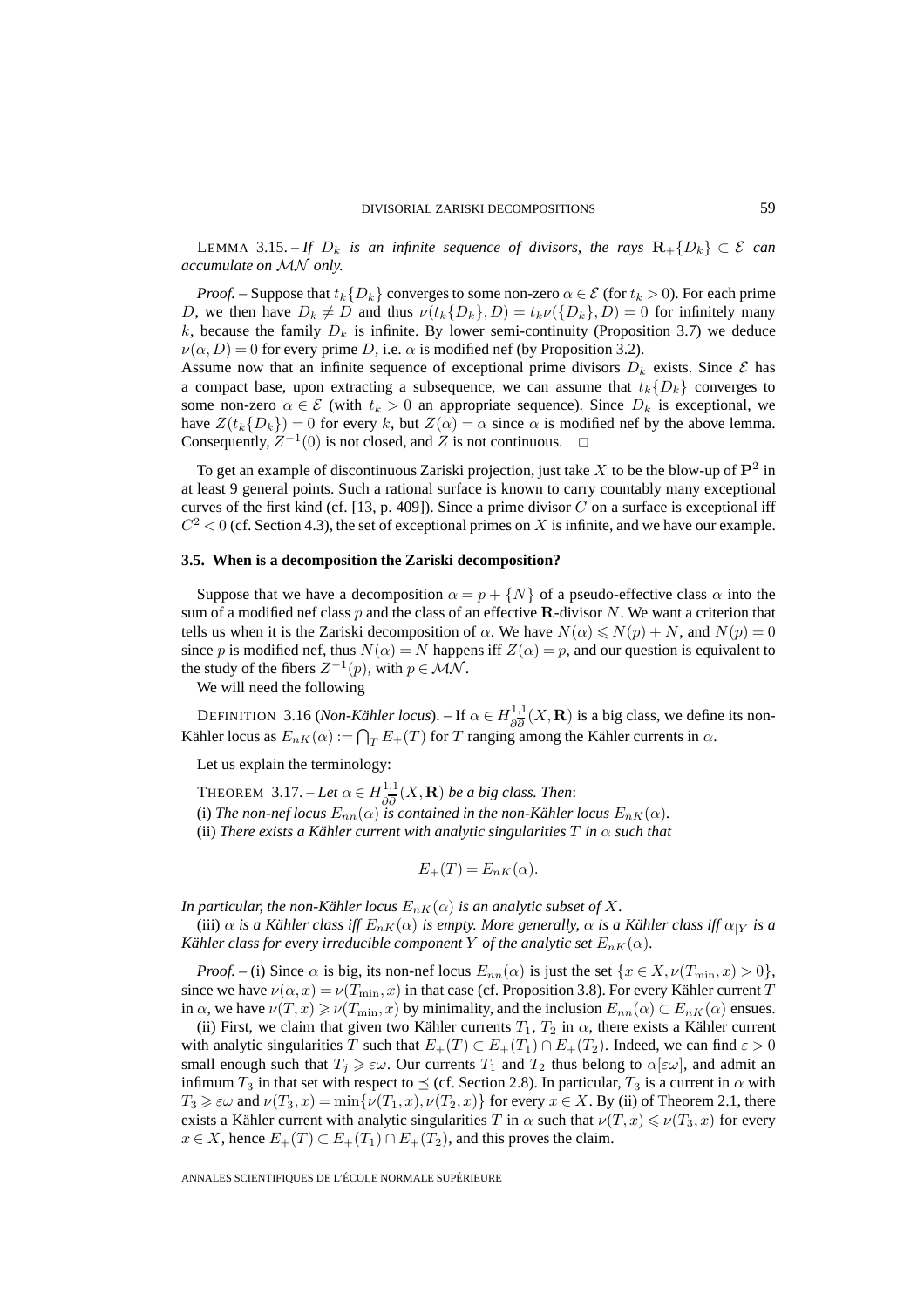LEMMA 3.15. – *If*  $D_k$  *is an infinite sequence of divisors, the rays*  $\mathbf{R}_+{D_k}$  ⊂  $\mathcal{E}$  *can accumulate on* MN *only.*

*Proof.* – Suppose that  $t_k\{D_k\}$  converges to some non-zero  $\alpha \in \mathcal{E}$  (for  $t_k > 0$ ). For each prime D, we then have  $D_k \neq D$  and thus  $\nu(t_k\{D_k\}, D) = t_k\nu(\{D_k\}, D) = 0$  for infinitely many k, because the family  $D_k$  is infinite. By lower semi-continuity (Proposition 3.7) we deduce  $\nu(\alpha, D) = 0$  for every prime D, i.e.  $\alpha$  is modified nef (by Proposition 3.2).

Assume now that an infinite sequence of exceptional prime divisors  $D_k$  exists. Since  $\mathcal E$  has a compact base, upon extracting a subsequence, we can assume that  $t_k\{D_k\}$  converges to some non-zero  $\alpha \in \mathcal{E}$  (with  $t_k > 0$  an appropriate sequence). Since  $D_k$  is exceptional, we have  $Z(t_k{D_k})=0$  for every k, but  $Z(\alpha) = \alpha$  since  $\alpha$  is modified nef by the above lemma. Consequently,  $Z^{-1}(0)$  is not closed, and Z is not continuous.  $\square$ 

To get an example of discontinuous Zariski projection, just take X to be the blow-up of **P**<sup>2</sup> in at least 9 general points. Such a rational surface is known to carry countably many exceptional curves of the first kind (cf. [13, p. 409]). Since a prime divisor  $C$  on a surface is exceptional iff  $C<sup>2</sup> < 0$  (cf. Section 4.3), the set of exceptional primes on X is infinite, and we have our example.

#### **3.5. When is a decomposition the Zariski decomposition?**

Suppose that we have a decomposition  $\alpha = p + \{N\}$  of a pseudo-effective class  $\alpha$  into the sum of a modified nef class p and the class of an effective **R**-divisor N. We want a criterion that tells us when it is the Zariski decomposition of  $\alpha$ . We have  $N(\alpha) \leq N(p) + N$ , and  $N(p) = 0$ since p is modified nef, thus  $N(\alpha) = N$  happens iff  $Z(\alpha) = p$ , and our question is equivalent to the study of the fibers  $Z^{-1}(p)$ , with  $p \in \mathcal{MN}$ .

We will need the following

DEFINITION 3.16 (*Non-Kähler locus*). – If  $\alpha \in H^{1,1}_{\partial \overline{\partial}}(X,\mathbf{R})$  is a big class, we define its non-Kähler locus as  $E_{nK}(\alpha) := \bigcap_T E_+(T)$  for T ranging among the Kähler currents in  $\alpha$ .

Let us explain the terminology:

THEOREM 3.17. – Let  $\alpha \in H_{\partial \overline{\partial}}^{1,1}(X,\mathbf{R})$  be a big class. Then:

(i) The non-nef locus  $E_{nn}(\alpha)$  is contained in the non-Kähler locus  $E_{nK}(\alpha)$ .

(ii) *There exists a Kähler current with analytic singularities*  $T$  *in*  $\alpha$  *such that* 

$$
E_{+}(T) = E_{nK}(\alpha).
$$

*In particular, the non-Kähler locus*  $E_{nK}(\alpha)$  *is an analytic subset of* X.

(iii)  $\alpha$  *is a Kähler class iff*  $E_{nK}(\alpha)$  *is empty. More generally,*  $\alpha$  *is a Kähler class iff*  $\alpha_{|Y}$  *is a Kähler class for every irreducible component Y of the analytic set*  $E_{nK}(\alpha)$ *.* 

*Proof.* – (i) Since  $\alpha$  is big, its non-nef locus  $E_{nn}(\alpha)$  is just the set  $\{x \in X, \nu(T_{min}, x) > 0\}$ , since we have  $\nu(\alpha, x) = \nu(T_{\min}, x)$  in that case (cf. Proposition 3.8). For every Kähler current T in  $\alpha$ , we have  $\nu(T, x) \ge \nu(T_{\min}, x)$  by minimality, and the inclusion  $E_{nn}(\alpha) \subset E_{nK}(\alpha)$  ensues.

(ii) First, we claim that given two Kähler currents  $T_1$ ,  $T_2$  in  $\alpha$ , there exists a Kähler current with analytic singularities T such that  $E_+(T) \subset E_+(T_1) \cap E_+(T_2)$ . Indeed, we can find  $\varepsilon > 0$ small enough such that  $T_j \geq \varepsilon \omega$ . Our currents  $T_1$  and  $T_2$  thus belong to  $\alpha[\varepsilon \omega]$ , and admit an infimum  $T_3$  in that set with respect to  $\leq$  (cf. Section 2.8). In particular,  $T_3$  is a current in  $\alpha$  with  $T_3 \geq \varepsilon \omega$  and  $\nu(T_3, x) = \min\{\nu(T_1, x), \nu(T_2, x)\}\$ for every  $x \in X$ . By (ii) of Theorem 2.1, there exists a Kähler current with analytic singularities T in  $\alpha$  such that  $\nu(T,x) \leqslant \nu(T_3,x)$  for every  $x \in X$ , hence  $E_+(T) \subset E_+(T_1) \cap E_+(T_2)$ , and this proves the claim.

ANNALES SCIENTIFIQUES DE L'ÉCOLE NORMALE SUPÉRIEURE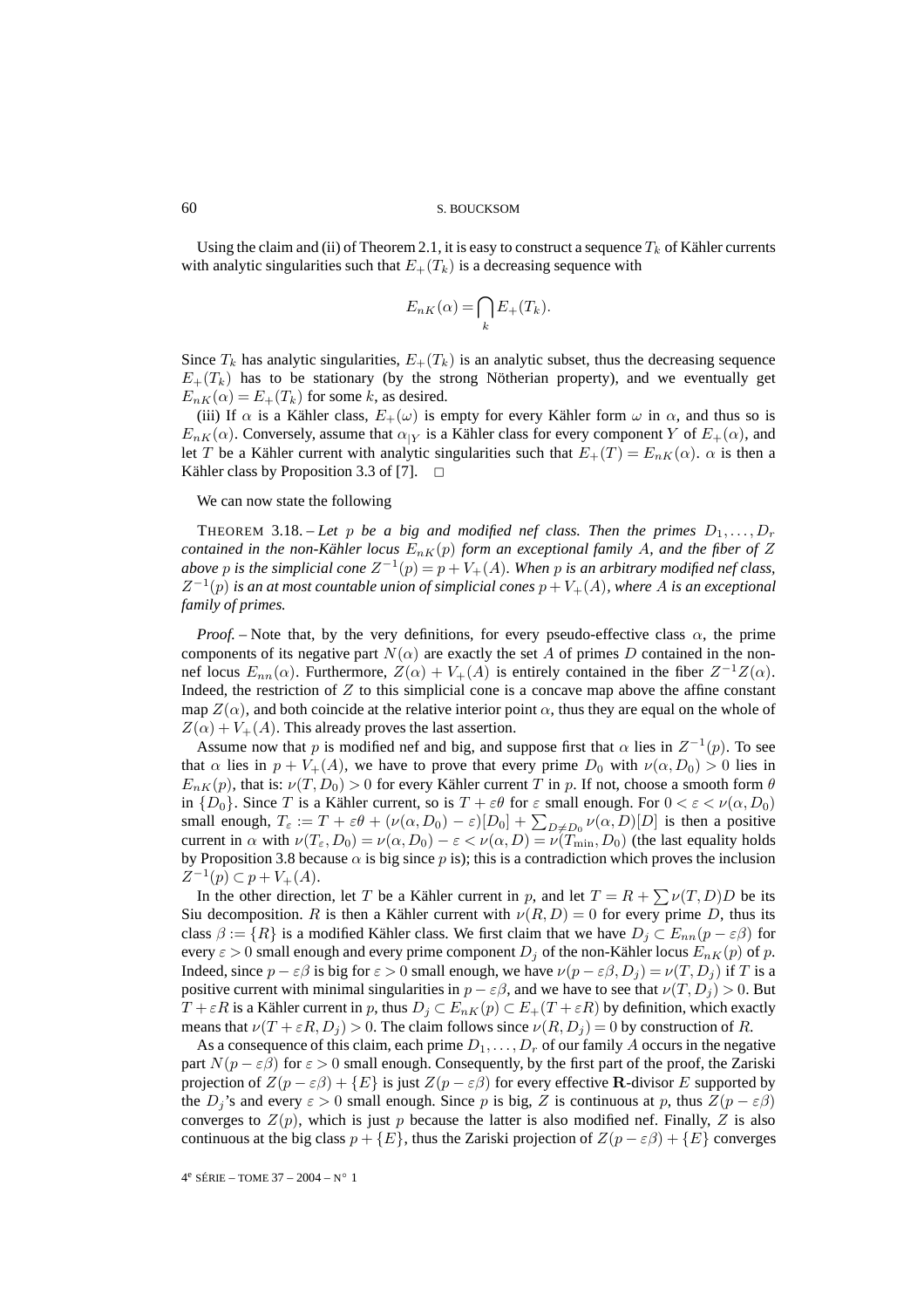Using the claim and (ii) of Theorem 2.1, it is easy to construct a sequence  $T_k$  of Kähler currents with analytic singularities such that  $E_{+}(T_{k})$  is a decreasing sequence with

$$
E_{nK}(\alpha) = \bigcap_{k} E_{+}(T_{k}).
$$

Since  $T_k$  has analytic singularities,  $E_+(T_k)$  is an analytic subset, thus the decreasing sequence  $E_{+}(T_{k})$  has to be stationary (by the strong Nötherian property), and we eventually get  $E_{nK}(\alpha) = E_{+}(T_k)$  for some k, as desired.

(iii) If  $\alpha$  is a Kähler class,  $E_+(\omega)$  is empty for every Kähler form  $\omega$  in  $\alpha$ , and thus so is  $E_{nK}(\alpha)$ . Conversely, assume that  $\alpha_{|Y}$  is a Kähler class for every component Y of  $E_{+}(\alpha)$ , and let T be a Kähler current with analytic singularities such that  $E_+(T) = E_{nK}(\alpha)$ .  $\alpha$  is then a Kähler class by Proposition 3.3 of [7].  $\Box$ 

We can now state the following

THEOREM 3.18. – Let p be a big and modified nef class. Then the primes  $D_1, \ldots, D_r$ *contained in the non-Kähler locus*  $E_{nK}(p)$  *form an exceptional family* A, and the fiber of Z *above* p *is the simplicial cone*  $Z^{-1}(p) = p + V_+(A)$ *. When* p *is an arbitrary modified nef class,*  $Z^{-1}(p)$  *is an at most countable union of simplicial cones*  $p + V_+(A)$ *, where* A *is an exceptional family of primes.*

*Proof.* – Note that, by the very definitions, for every pseudo-effective class  $\alpha$ , the prime components of its negative part  $N(\alpha)$  are exactly the set A of primes D contained in the nonnef locus  $E_{nn}(\alpha)$ . Furthermore,  $Z(\alpha) + V_+(A)$  is entirely contained in the fiber  $Z^{-1}Z(\alpha)$ . Indeed, the restriction of  $Z$  to this simplicial cone is a concave map above the affine constant map  $Z(\alpha)$ , and both coincide at the relative interior point  $\alpha$ , thus they are equal on the whole of  $Z(\alpha) + V_+(A)$ . This already proves the last assertion.

Assume now that p is modified nef and big, and suppose first that  $\alpha$  lies in  $Z^{-1}(p)$ . To see that  $\alpha$  lies in  $p + V_+(A)$ , we have to prove that every prime  $D_0$  with  $\nu(\alpha, D_0) > 0$  lies in  $E_{n,K}(p)$ , that is:  $\nu(T,D_0) > 0$  for every Kähler current T in p. If not, choose a smooth form  $\theta$ in  $\{D_0\}$ . Since T is a Kähler current, so is  $T + \varepsilon \theta$  for  $\varepsilon$  small enough. For  $0 < \varepsilon < \nu(\alpha, D_0)$ small enough,  $T_{\varepsilon} := T + \varepsilon \theta + (\nu(\alpha, D_0) - \varepsilon)[D_0] + \sum_{D \neq D_0} \nu(\alpha, D)[D]$  is then a positive current in  $\alpha$  with  $\nu(T_{\varepsilon}, D_0) = \nu(\alpha, D_0) - \varepsilon < \nu(\alpha, D) = \nu(T_{\min}, D_0)$  (the last equality holds by Proposition 3.8 because  $\alpha$  is big since p is); this is a contradiction which proves the inclusion  $Z^{-1}(p) \subset p + V_+(A).$ 

In the other direction, let T be a Kähler current in p, and let  $T = R + \sum \nu(T, D)D$  be its Siu decomposition. R is then a Kähler current with  $\nu(R, D) = 0$  for every prime D, thus its class  $\beta := \{R\}$  is a modified Kähler class. We first claim that we have  $D_j \subset E_{nn}(p - \varepsilon \beta)$  for every  $\varepsilon > 0$  small enough and every prime component  $D_j$  of the non-Kähler locus  $E_{nK}(p)$  of p. Indeed, since  $p - \varepsilon \beta$  is big for  $\varepsilon > 0$  small enough, we have  $\nu(p - \varepsilon \beta, D_i) = \nu(T, D_i)$  if T is a positive current with minimal singularities in  $p - \varepsilon \beta$ , and we have to see that  $\nu(T, D_j) > 0$ . But  $T + \varepsilon R$  is a Kähler current in p, thus  $D_j \subset E_{nK}(p) \subset E_+(T + \varepsilon R)$  by definition, which exactly means that  $\nu(T + \varepsilon R, D_i) > 0$ . The claim follows since  $\nu(R, D_i) = 0$  by construction of R.

As a consequence of this claim, each prime  $D_1, \ldots, D_r$  of our family A occurs in the negative part  $N(p - \varepsilon \beta)$  for  $\varepsilon > 0$  small enough. Consequently, by the first part of the proof, the Zariski projection of  $Z(p - \varepsilon \beta) + \{E\}$  is just  $Z(p - \varepsilon \beta)$  for every effective **R**-divisor E supported by the  $D_i$ 's and every  $\varepsilon > 0$  small enough. Since p is big, Z is continuous at p, thus  $Z(p - \varepsilon \beta)$ converges to  $Z(p)$ , which is just p because the latter is also modified nef. Finally, Z is also continuous at the big class  $p + \{E\}$ , thus the Zariski projection of  $Z(p - \varepsilon \beta) + \{E\}$  converges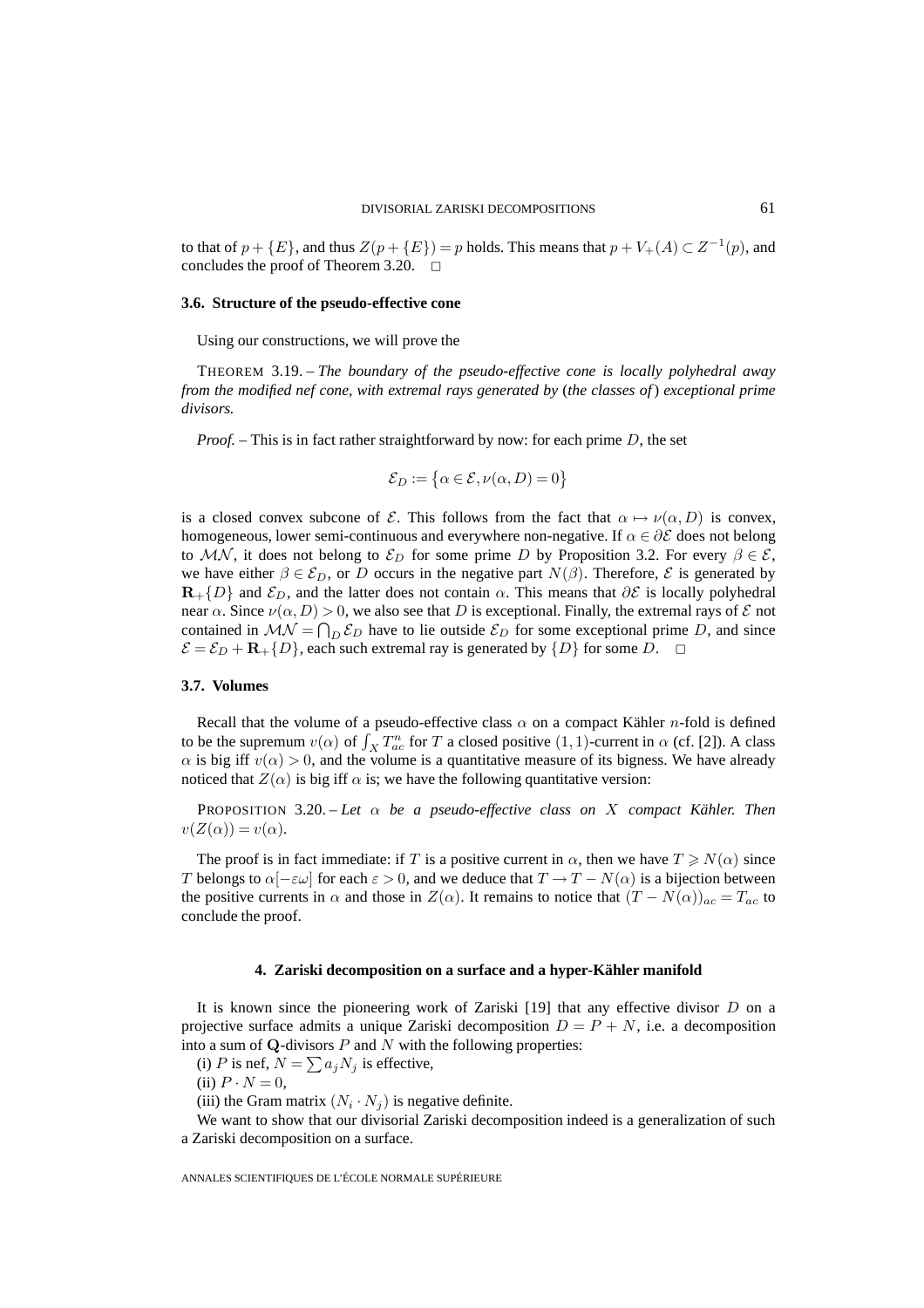to that of  $p + \{E\}$ , and thus  $Z(p + \{E\}) = p$  holds. This means that  $p + V_+(A) \subset Z^{-1}(p)$ , and concludes the proof of Theorem 3.20.  $\Box$ 

#### **3.6. Structure of the pseudo-effective cone**

Using our constructions, we will prove the

THEOREM 3.19. – *The boundary of the pseudo-effective cone is locally polyhedral away from the modified nef cone, with extremal rays generated by* (*the classes of*) *exceptional prime divisors.*

*Proof. –* This is in fact rather straightforward by now: for each prime D, the set

$$
\mathcal{E}_D := \{ \alpha \in \mathcal{E}, \nu(\alpha, D) = 0 \}
$$

is a closed convex subcone of E. This follows from the fact that  $\alpha \mapsto \nu(\alpha, D)$  is convex, homogeneous, lower semi-continuous and everywhere non-negative. If  $\alpha \in \partial \mathcal{E}$  does not belong to MN, it does not belong to  $\mathcal{E}_D$  for some prime D by Proposition 3.2. For every  $\beta \in \mathcal{E}$ , we have either  $\beta \in \mathcal{E}_D$ , or D occurs in the negative part  $N(\beta)$ . Therefore,  $\mathcal{E}$  is generated by  $\mathbf{R}_+$ {D} and  $\mathcal{E}_D$ , and the latter does not contain  $\alpha$ . This means that  $\partial \mathcal{E}$  is locally polyhedral near  $\alpha$ . Since  $\nu(\alpha, D) > 0$ , we also see that D is exceptional. Finally, the extremal rays of  $\mathcal E$  not contained in  $MN = \bigcap_D \mathcal{E}_D$  have to lie outside  $\mathcal{E}_D$  for some exceptional prime D, and since  $\mathcal{E} = \mathcal{E}_D + \mathbf{R}_+ \{D\}$ , each such extremal ray is generated by  $\{D\}$  for some D.  $\Box$ 

#### **3.7. Volumes**

Recall that the volume of a pseudo-effective class  $\alpha$  on a compact Kähler *n*-fold is defined to be the supremum  $v(\alpha)$  of  $\int_X T_{ac}^n$  for T a closed positive  $(1, 1)$ -current in  $\alpha$  (cf. [2]). A class  $\alpha$  is big iff  $v(\alpha) > 0$ , and the volume is a quantitative measure of its bigness. We have already noticed that  $Z(\alpha)$  is big iff  $\alpha$  is; we have the following quantitative version:

PROPOSITION 3.20. – Let  $\alpha$  be a pseudo-effective class on X compact Kähler. Then  $v(Z(\alpha)) = v(\alpha)$ .

The proof is in fact immediate: if T is a positive current in  $\alpha$ , then we have  $T \ge N(\alpha)$  since T belongs to  $\alpha[-\epsilon\omega]$  for each  $\epsilon > 0$ , and we deduce that  $T \to T - N(\alpha)$  is a bijection between the positive currents in  $\alpha$  and those in  $Z(\alpha)$ . It remains to notice that  $(T - N(\alpha))_{ac} = T_{ac}$  to conclude the proof.

#### **4. Zariski decomposition on a surface and a hyper-Kähler manifold**

It is known since the pioneering work of Zariski  $[19]$  that any effective divisor D on a projective surface admits a unique Zariski decomposition  $D = P + N$ , i.e. a decomposition into a sum of  $Q$ -divisors  $P$  and  $N$  with the following properties:

(i) P is nef,  $N = \sum a_j N_j$  is effective,

(ii)  $P \cdot N = 0$ ,

(iii) the Gram matrix  $(N_i \cdot N_j)$  is negative definite.

We want to show that our divisorial Zariski decomposition indeed is a generalization of such a Zariski decomposition on a surface.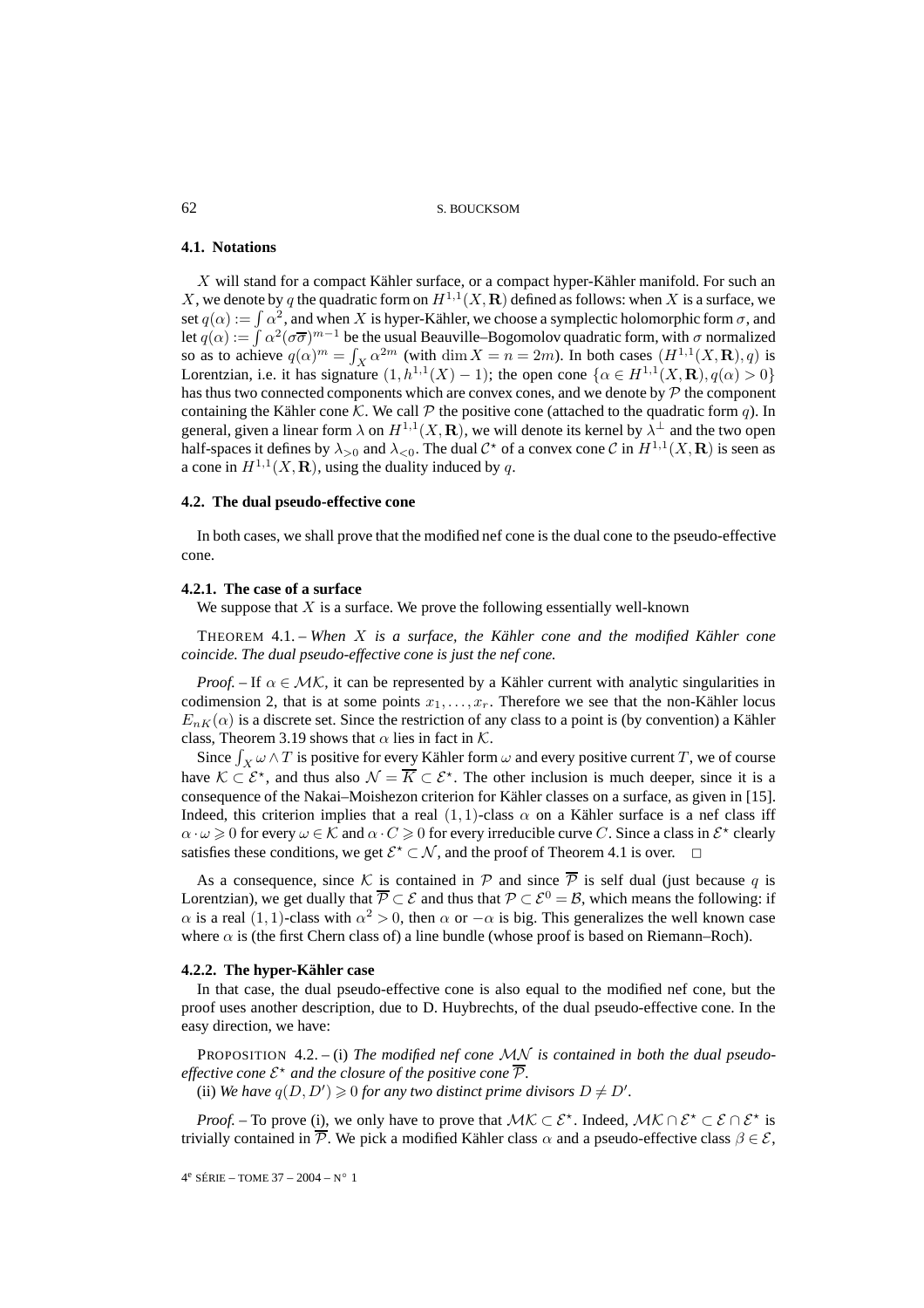#### **4.1. Notations**

X will stand for a compact Kähler surface, or a compact hyper-Kähler manifold. For such an X, we denote by q the quadratic form on  $H^{1,1}(X,\mathbf{R})$  defined as follows: when X is a surface, we set  $q(\alpha) := \int \alpha^2$ , and when X is hyper-Kähler, we choose a symplectic holomorphic form  $\sigma$ , and let  $q(\alpha) := \int \alpha^2(\sigma \overline{\sigma})^{m-1}$  be the usual Beauville–Bogomolov quadratic form, with  $\sigma$  normalized so as to achieve  $q(\alpha)^m = \int_X \alpha^{2m}$  (with dim  $X = n = 2m$ ). In both cases  $(H^{1,1}(X, \mathbf{R}), q)$  is Lorentzian, i.e. it has signature  $(1, h^{1,1}(X) - 1)$ ; the open cone  $\{\alpha \in H^{1,1}(X, \mathbf{R}), q(\alpha) > 0\}$ has thus two connected components which are convex cones, and we denote by  $\mathcal P$  the component containing the Kähler cone K. We call  $P$  the positive cone (attached to the quadratic form q). In general, given a linear form  $\lambda$  on  $H^{1,1}(X,\mathbf{R})$ , we will denote its kernel by  $\lambda^{\perp}$  and the two open half-spaces it defines by  $\lambda_{>0}$  and  $\lambda_{<0}$ . The dual  $\mathcal{C}^*$  of a convex cone  $\mathcal{C}$  in  $H^{1,1}(X,\mathbf{R})$  is seen as a cone in  $H^{1,1}(X,\mathbf{R})$ , using the duality induced by q.

#### **4.2. The dual pseudo-effective cone**

In both cases, we shall prove that the modified nef cone is the dual cone to the pseudo-effective cone.

#### **4.2.1. The case of a surface**

We suppose that  $X$  is a surface. We prove the following essentially well-known

THEOREM 4.1. – *When* X *is a surface, the Kähler cone and the modified Kähler cone coincide. The dual pseudo-effective cone is just the nef cone.*

*Proof.* – If  $\alpha \in \mathcal{MK}$ , it can be represented by a Kähler current with analytic singularities in codimension 2, that is at some points  $x_1, \ldots, x_r$ . Therefore we see that the non-Kähler locus  $E_{nK}(\alpha)$  is a discrete set. Since the restriction of any class to a point is (by convention) a Kähler class, Theorem 3.19 shows that  $\alpha$  lies in fact in  $K$ .

Since  $\int_X \omega \wedge T$  is positive for every Kähler form  $\omega$  and every positive current  $T$ , we of course have  $\mathcal{K} \subset \mathcal{E}^*$ , and thus also  $\mathcal{N} = \overline{K} \subset \mathcal{E}^*$ . The other inclusion is much deeper, since it is a consequence of the Nakai–Moishezon criterion for Kähler classes on a surface, as given in [15]. Indeed, this criterion implies that a real  $(1, 1)$ -class  $\alpha$  on a Kähler surface is a nef class iff  $\alpha \cdot \omega \geq 0$  for every  $\omega \in \mathcal{K}$  and  $\alpha \cdot C \geq 0$  for every irreducible curve C. Since a class in  $\mathcal{E}^*$  clearly satisfies these conditions, we get  $\mathcal{E}^* \subset \mathcal{N}$ , and the proof of Theorem 4.1 is over.  $\Box$ 

As a consequence, since K is contained in P and since  $\overline{P}$  is self dual (just because q is Lorentzian), we get dually that  $\overline{P} \subset \mathcal{E}$  and thus that  $\mathcal{P} \subset \mathcal{E}^0 = \mathcal{B}$ , which means the following: if  $\alpha$  is a real (1, 1)-class with  $\alpha^2 > 0$ , then  $\alpha$  or  $-\alpha$  is big. This generalizes the well known case where  $\alpha$  is (the first Chern class of) a line bundle (whose proof is based on Riemann–Roch).

#### **4.2.2. The hyper-Kähler case**

In that case, the dual pseudo-effective cone is also equal to the modified nef cone, but the proof uses another description, due to D. Huybrechts, of the dual pseudo-effective cone. In the easy direction, we have:

PROPOSITION 4.2. – (i) *The modified nef cone* MN *is contained in both the dual pseudoeffective cone*  $\mathcal{E}^*$  and the closure of the positive cone  $\overline{\mathcal{P}}$ *.* 

(ii) We have  $q(D, D') \geq 0$  for any two distinct prime divisors  $D \neq D'$ .

*Proof.* – To prove (i), we only have to prove that  $MK \subset \mathcal{E}^*$ . Indeed,  $MK \cap \mathcal{E}^* \subset \mathcal{E} \cap \mathcal{E}^*$  is trivially contained in  $\overline{P}$ . We pick a modified Kähler class  $\alpha$  and a pseudo-effective class  $\beta \in \mathcal{E}$ ,

 $4^e$  SÉRIE – TOME 37 – 2004 – N° 1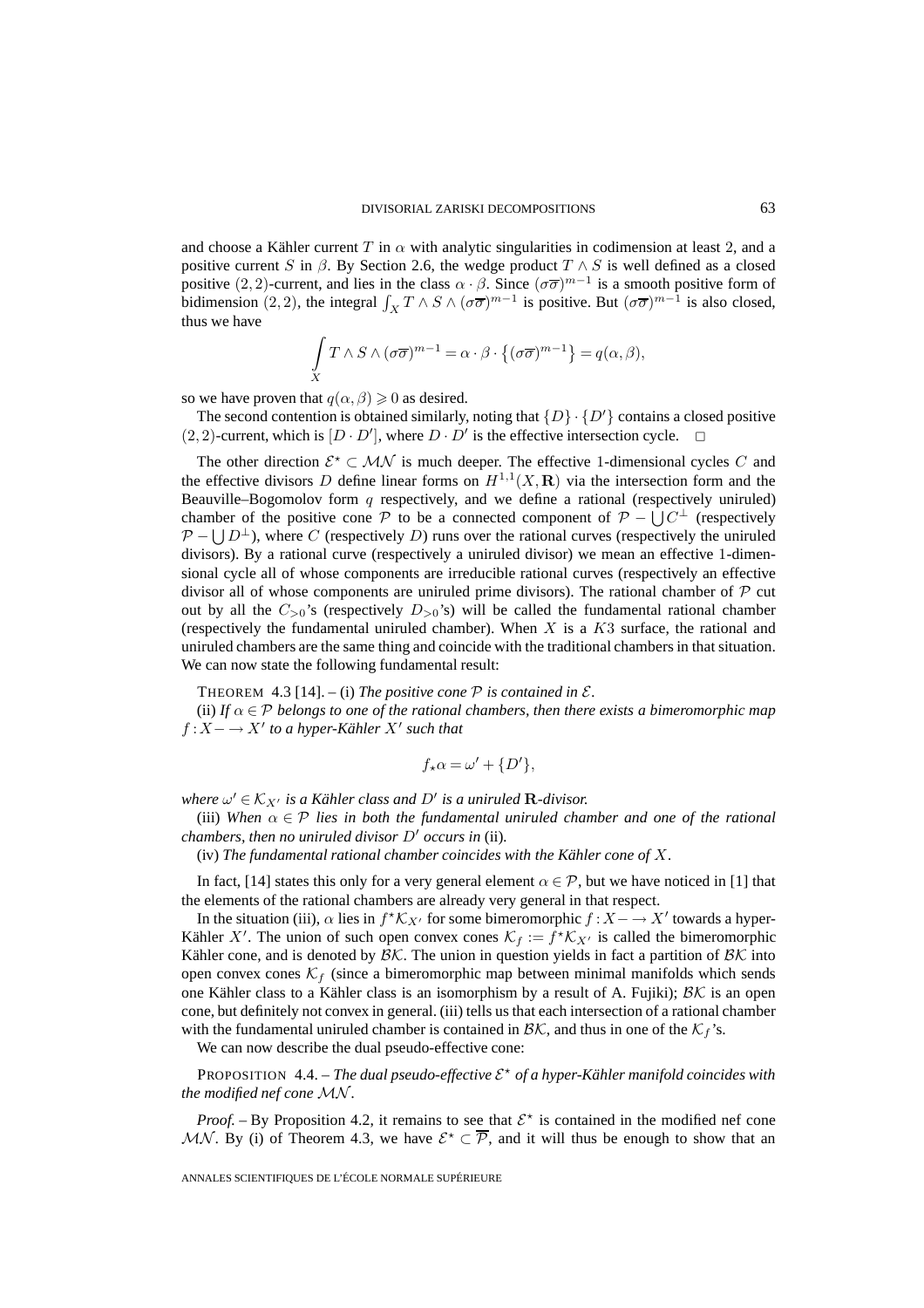and choose a Kähler current T in  $\alpha$  with analytic singularities in codimension at least 2, and a positive current S in  $\beta$ . By Section 2.6, the wedge product  $T \wedge S$  is well defined as a closed positive (2, 2)-current, and lies in the class  $\alpha \cdot \beta$ . Since  $(\sigma \overline{\sigma})^{m-1}$  is a smooth positive form of bidimension (2, 2), the integral  $\int_X T \wedge S \wedge (\sigma \overline{\sigma})^{m-1}$  is positive. But  $(\sigma \overline{\sigma})^{m-1}$  is also closed, thus we have

$$
\int\limits_X T \wedge S \wedge (\sigma \overline{\sigma})^{m-1} = \alpha \cdot \beta \cdot \{ (\sigma \overline{\sigma})^{m-1} \} = q(\alpha, \beta),
$$

so we have proven that  $q(\alpha, \beta) \geq 0$  as desired.

The second contention is obtained similarly, noting that  $\{D\} \cdot \{D'\}$  contains a closed positive  $(2, 2)$ -current, which is  $[D \cdot D']$ , where  $D \cdot D'$  is the effective intersection cycle.  $\Box$ 

The other direction  $\mathcal{E}^* \subset \mathcal{MN}$  is much deeper. The effective 1-dimensional cycles C and the effective divisors D define linear forms on  $H^{1,1}(X,\mathbf{R})$  via the intersection form and the Beauville–Bogomolov form  $q$  respectively, and we define a rational (respectively uniruled) chamber of the positive cone P to be a connected component of  $P - \bigcup C^{\perp}$  (respectively  $\mathcal{P} - \bigcup D^{\perp}$ ), where C (respectively D) runs over the rational curves (respectively the uniruled divisors). By a rational curve (respectively a uniruled divisor) we mean an effective 1-dimensional cycle all of whose components are irreducible rational curves (respectively an effective divisor all of whose components are uniruled prime divisors). The rational chamber of  $\mathcal P$  cut out by all the  $C_{>0}$ 's (respectively  $D_{>0}$ 's) will be called the fundamental rational chamber (respectively the fundamental uniruled chamber). When  $X$  is a  $K3$  surface, the rational and uniruled chambers are the same thing and coincide with the traditional chambers in that situation. We can now state the following fundamental result:

THEOREM 4.3 [14]. – (i) *The positive cone*  $P$  *is contained in*  $E$ *.* 

(ii) If  $\alpha \in \mathcal{P}$  *belongs to one of the rational chambers, then there exists a bimeromorphic map*  $f: X \longrightarrow X'$  to a hyper-Kähler X' such that

$$
f_{\star}\alpha = \omega' + \{D'\},\
$$

*where*  $\omega' \in \mathcal{K}_{X'}$  *is a Kähler class and*  $D'$  *is a uniruled* **R***-divisor.* 

(iii) When  $\alpha \in \mathcal{P}$  *lies in both the fundamental uniruled chamber and one of the rational chambers, then no uniruled divisor*  $D'$  *occurs in (ii).* 

(iv) *The fundamental rational chamber coincides with the Kähler cone of* X*.*

In fact, [14] states this only for a very general element  $\alpha \in \mathcal{P}$ , but we have noticed in [1] that the elements of the rational chambers are already very general in that respect.

In the situation (iii),  $\alpha$  lies in  $f^{\star} \mathcal{K}_{X'}$  for some bimeromorphic  $f : X \to X'$  towards a hyper-Kähler X'. The union of such open convex cones  $\mathcal{K}_f := f^{\star} \mathcal{K}_{X'}$  is called the bimeromorphic Kähler cone, and is denoted by  $\mathcal{B}\mathcal{K}$ . The union in question yields in fact a partition of  $\mathcal{B}\mathcal{K}$  into open convex cones  $K_f$  (since a bimeromorphic map between minimal manifolds which sends one Kähler class to a Kähler class is an isomorphism by a result of A. Fujiki);  $\beta K$  is an open cone, but definitely not convex in general. (iii) tells us that each intersection of a rational chamber with the fundamental uniruled chamber is contained in  $\mathcal{BK}$ , and thus in one of the  $\mathcal{K}_f$ 's.

We can now describe the dual pseudo-effective cone:

PROPOSITION 4.4. – *The dual pseudo-effective* E *of a hyper-Kähler manifold coincides with the modified nef cone* MN *.*

*Proof.* – By Proposition 4.2, it remains to see that  $\mathcal{E}^*$  is contained in the modified nef cone MN. By (i) of Theorem 4.3, we have  $\mathcal{E}^{\star} \subset \overline{\mathcal{P}}$ , and it will thus be enough to show that an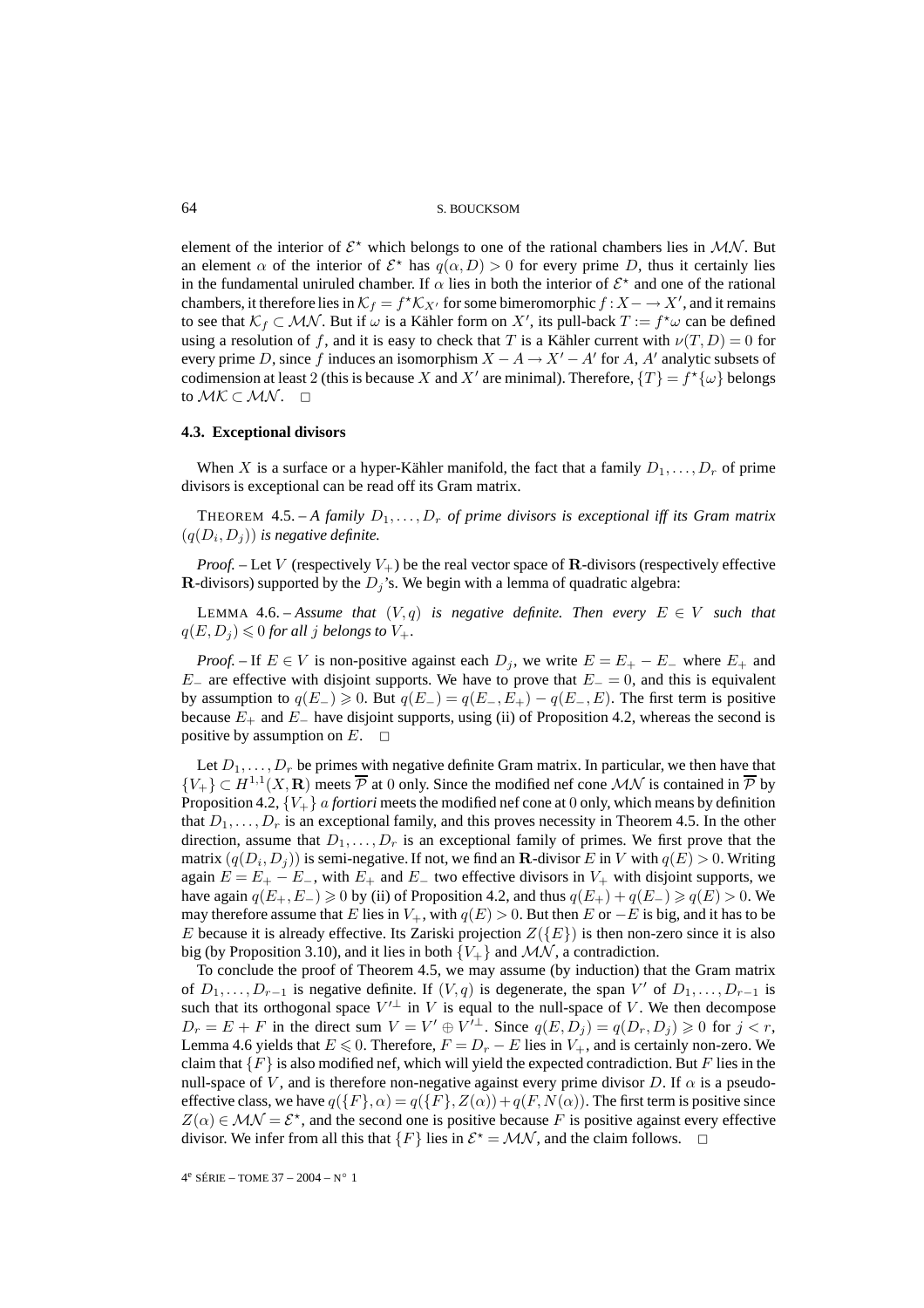element of the interior of  $\mathcal{E}^*$  which belongs to one of the rational chambers lies in  $\mathcal{MN}$ . But an element  $\alpha$  of the interior of  $\mathcal{E}^*$  has  $q(\alpha, D) > 0$  for every prime D, thus it certainly lies in the fundamental uniruled chamber. If  $\alpha$  lies in both the interior of  $\mathcal{E}^*$  and one of the rational chambers, it therefore lies in  $\mathcal{K}_f = f^* \mathcal{K}_{X'}$  for some bimeromorphic  $f : X \to X'$ , and it remains to see that  $\mathcal{K}_f \subset \mathcal{MN}$ . But if  $\omega$  is a Kähler form on X', its pull-back  $T := f^* \omega$  can be defined using a resolution of f, and it is easy to check that T is a Kähler current with  $\nu(T,D)=0$  for every prime D, since f induces an isomorphism  $X - A \rightarrow X' - A'$  for A, A' analytic subsets of codimension at least 2 (this is because X and X' are minimal). Therefore,  $\{T\} = f^*\{\omega\}$  belongs to  $\mathcal{MK} \subset \mathcal{MN}$ . □

#### **4.3. Exceptional divisors**

When X is a surface or a hyper-Kähler manifold, the fact that a family  $D_1, \ldots, D_r$  of prime divisors is exceptional can be read off its Gram matrix.

THEOREM 4.5. – A family  $D_1, \ldots, D_r$  of prime divisors is exceptional iff its Gram matrix  $(q(D_i, D_j))$  *is negative definite.* 

*Proof.* – Let V (respectively  $V_+$ ) be the real vector space of **R**-divisors (respectively effective **R**-divisors) supported by the  $D_i$ 's. We begin with a lemma of quadratic algebra:

LEMMA 4.6. – *Assume that*  $(V, q)$  *is negative definite. Then every*  $E \in V$  *such that*  $q(E, D_j) \leqslant 0$  for all j belongs to  $V_+$ .

*Proof.* – If  $E \in V$  is non-positive against each  $D_j$ , we write  $E = E_+ - E_-$  where  $E_+$  and  $E_$  are effective with disjoint supports. We have to prove that  $E_$  = 0, and this is equivalent by assumption to  $q(E_{-}) \geq 0$ . But  $q(E_{-}) = q(E_{-}, E_{+}) - q(E_{-}, E)$ . The first term is positive because  $E_+$  and  $E_-$  have disjoint supports, using (ii) of Proposition 4.2, whereas the second is positive by assumption on  $E_+$ positive by assumption on  $E$ .

Let  $D_1, \ldots, D_r$  be primes with negative definite Gram matrix. In particular, we then have that  ${V_{+}} \subset H^{1,1}(X,\mathbf{R})$  meets  $\overline{\mathcal{P}}$  at 0 only. Since the modified nef cone MN is contained in  $\overline{\mathcal{P}}$  by Proposition 4.2,  ${V_+}$  *a fortiori* meets the modified nef cone at 0 only, which means by definition that  $D_1, \ldots, D_r$  is an exceptional family, and this proves necessity in Theorem 4.5. In the other direction, assume that  $D_1, \ldots, D_r$  is an exceptional family of primes. We first prove that the matrix  $(q(D_i, D_j))$  is semi-negative. If not, we find an **R**-divisor E in V with  $q(E) > 0$ . Writing again  $E = E_+ - E_-$ , with  $E_+$  and  $E_-$  two effective divisors in  $V_+$  with disjoint supports, we have again  $q(E_+, E_-) \ge 0$  by (ii) of Proposition 4.2, and thus  $q(E_+) + q(E_-) \ge q(E) > 0$ . We may therefore assume that E lies in  $V_+$ , with  $q(E) > 0$ . But then E or  $-E$  is big, and it has to be E because it is already effective. Its Zariski projection  $Z({E})$  is then non-zero since it is also big (by Proposition 3.10), and it lies in both  $\{V_+\}$  and  $\mathcal{MN}$ , a contradiction.

To conclude the proof of Theorem 4.5, we may assume (by induction) that the Gram matrix of  $D_1, \ldots, D_{r-1}$  is negative definite. If  $(V, q)$  is degenerate, the span V' of  $D_1, \ldots, D_{r-1}$  is such that its orthogonal space  $V'^{\perp}$  in V is equal to the null-space of V. We then decompose  $D_r = E + F$  in the direct sum  $V = V' \oplus V'^{\perp}$ . Since  $q(E, D_i) = q(D_r, D_i) \geq 0$  for  $j < r$ , Lemma 4.6 yields that  $E \le 0$ . Therefore,  $F = D_r - E$  lies in  $V_+$ , and is certainly non-zero. We claim that  ${F}$  is also modified nef, which will yield the expected contradiction. But F lies in the null-space of V, and is therefore non-negative against every prime divisor D. If  $\alpha$  is a pseudoeffective class, we have  $q(\{F\}, \alpha) = q(\{F\}, Z(\alpha)) + q(F, N(\alpha))$ . The first term is positive since  $Z(\alpha) \in \mathcal{MN} = \mathcal{E}^*$ , and the second one is positive because F is positive against every effective divisor. We infer from all this that  $\{F\}$  lies in  $\mathcal{E}^* = \mathcal{MN}$ , and the claim follows.  $\Box$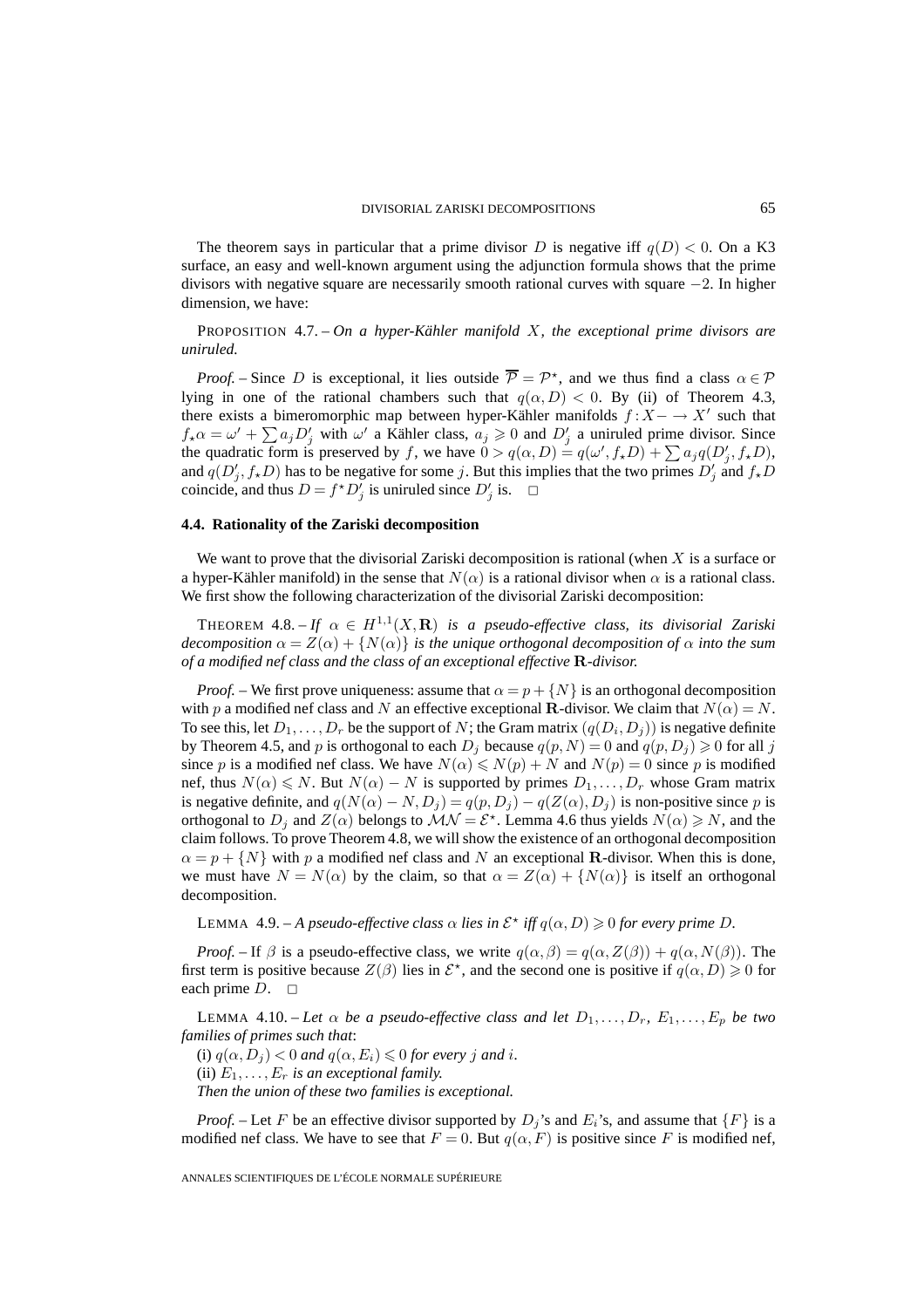The theorem says in particular that a prime divisor D is negative iff  $q(D) < 0$ . On a K3 surface, an easy and well-known argument using the adjunction formula shows that the prime divisors with negative square are necessarily smooth rational curves with square −2. In higher dimension, we have:

PROPOSITION 4.7. – *On a hyper-Kähler manifold* X*, the exceptional prime divisors are uniruled.*

*Proof.* – Since D is exceptional, it lies outside  $\overline{P} = P^*$ , and we thus find a class  $\alpha \in P$ lying in one of the rational chambers such that  $q(\alpha, D) < 0$ . By (ii) of Theorem 4.3, there exists a bimeromorphic map between hyper-Kähler manifolds  $f : X \to X'$  such that  $f_{\star}\alpha = \omega' + \sum a_j D'_j$  with  $\omega'$  a Kähler class,  $a_j \geq 0$  and  $D'_j$  a uniruled prime divisor. Since the quadratic form is preserved by f, we have  $0 > q(\alpha, D) = q(\omega', f_{\star}D) + \sum a_j q(D'_j, f_{\star}D)$ , and  $q(D'_j, f_*D)$  has to be negative for some j. But this implies that the two primes  $D'_j$  and  $f_*D$ coincide, and thus  $D = f^* D'_j$  is uniruled since  $D'_j$  is.  $\Box$ 

#### **4.4. Rationality of the Zariski decomposition**

We want to prove that the divisorial Zariski decomposition is rational (when  $X$  is a surface or a hyper-Kähler manifold) in the sense that  $N(\alpha)$  is a rational divisor when  $\alpha$  is a rational class. We first show the following characterization of the divisorial Zariski decomposition:

THEOREM 4.8. – If  $\alpha \in H^{1,1}(X,\mathbf{R})$  is a pseudo-effective class, its divisorial Zariski *decomposition*  $\alpha = Z(\alpha) + \{N(\alpha)\}\$  *is the unique orthogonal decomposition of*  $\alpha$  *into the sum of a modified nef class and the class of an exceptional effective* **R***-divisor.*

*Proof.* – We first prove uniqueness: assume that  $\alpha = p + \{N\}$  is an orthogonal decomposition with p a modified nef class and N an effective exceptional **R**-divisor. We claim that  $N(\alpha) = N$ . To see this, let  $D_1, \ldots, D_r$  be the support of N; the Gram matrix  $(q(D_i, D_j))$  is negative definite by Theorem 4.5, and p is orthogonal to each  $D_j$  because  $q(p, N) = 0$  and  $q(p, D_j) \geq 0$  for all j since p is a modified nef class. We have  $N(\alpha) \leq N(p) + N$  and  $N(p) = 0$  since p is modified nef, thus  $N(\alpha) \leq N$ . But  $N(\alpha) - N$  is supported by primes  $D_1, \ldots, D_r$  whose Gram matrix is negative definite, and  $q(N(\alpha) - N, D_i) = q(p, D_i) - q(Z(\alpha), D_i)$  is non-positive since p is orthogonal to  $D_j$  and  $Z(\alpha)$  belongs to  $\mathcal{MN} = \mathcal{E}^*$ . Lemma 4.6 thus yields  $N(\alpha) \geq N$ , and the claim follows. To prove Theorem 4.8, we will show the existence of an orthogonal decomposition  $\alpha = p + \{N\}$  with p a modified nef class and N an exceptional **R**-divisor. When this is done, we must have  $N = N(\alpha)$  by the claim, so that  $\alpha = Z(\alpha) + \{N(\alpha)\}\$ is itself an orthogonal decomposition.

LEMMA 4.9. – *A pseudo-effective class*  $\alpha$  *lies in*  $\mathcal{E}^{\star}$  *iff*  $q(\alpha, D) \geq 0$  *for every prime* D.

*Proof.* – If  $\beta$  is a pseudo-effective class, we write  $q(\alpha, \beta) = q(\alpha, Z(\beta)) + q(\alpha, N(\beta))$ . The first term is positive because  $Z(\beta)$  lies in  $\mathcal{E}^*$ , and the second one is positive if  $q(\alpha, D) \geq 0$  for each prime  $D. \square$ 

LEMMA 4.10. – Let  $\alpha$  be a pseudo-effective class and let  $D_1, \ldots, D_r$ ,  $E_1, \ldots, E_p$  be two *families of primes such that*:

(i)  $q(\alpha, D_j) < 0$  and  $q(\alpha, E_i) \leq 0$  for every j and i. (ii)  $E_1, \ldots, E_r$  *is an exceptional family. Then the union of these two families is exceptional.*

*Proof.* – Let F be an effective divisor supported by  $D_j$ 's and  $E_i$ 's, and assume that  $\{F\}$  is a modified nef class. We have to see that  $F = 0$ . But  $q(\alpha, F)$  is positive since F is modified nef,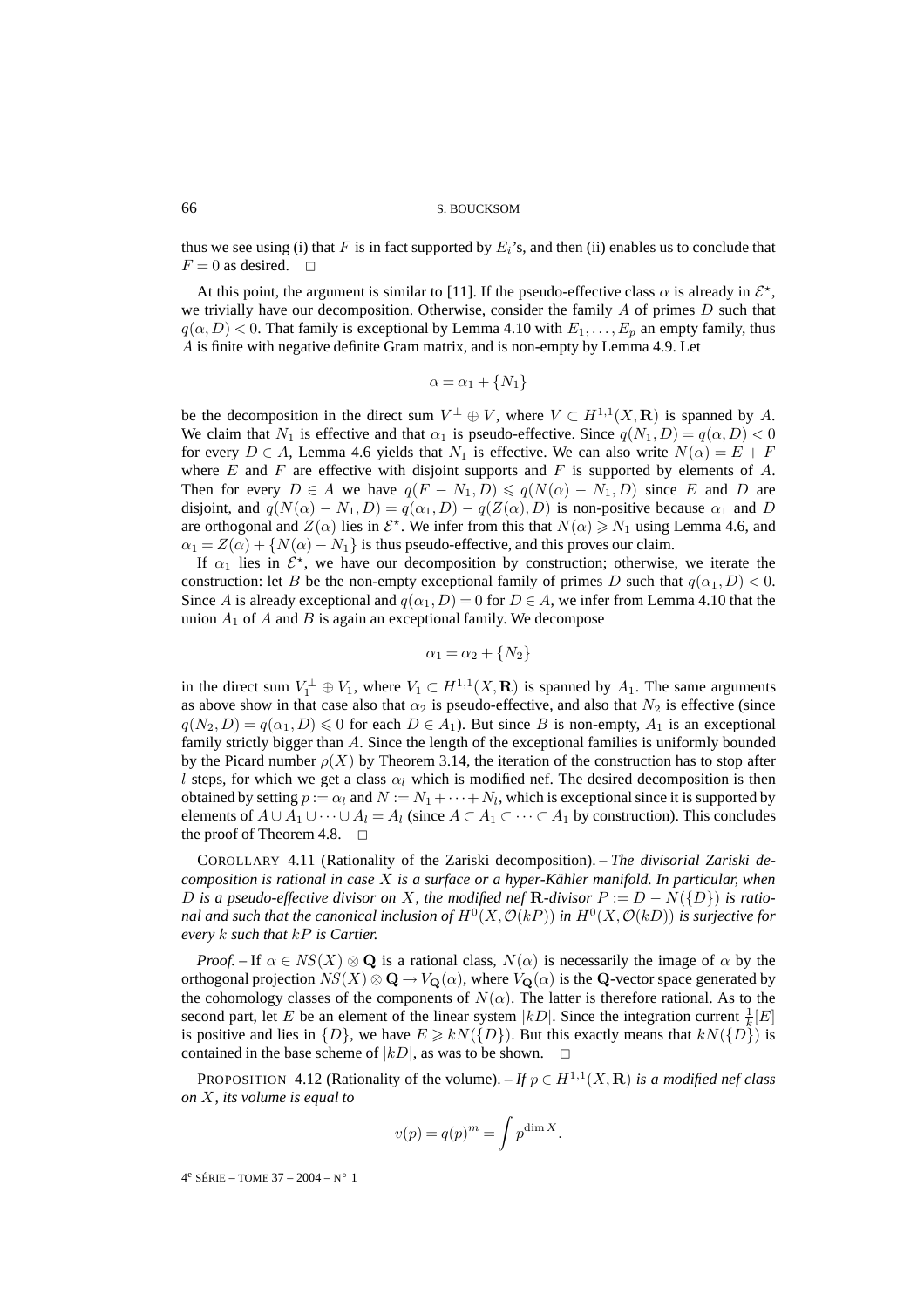thus we see using (i) that F is in fact supported by  $E_i$ 's, and then (ii) enables us to conclude that  $F = 0$  as desired.  $\Box$ 

At this point, the argument is similar to [11]. If the pseudo-effective class  $\alpha$  is already in  $\mathcal{E}^*$ , we trivially have our decomposition. Otherwise, consider the family  $A$  of primes  $D$  such that  $q(\alpha, D) < 0$ . That family is exceptional by Lemma 4.10 with  $E_1, \ldots, E_p$  an empty family, thus A is finite with negative definite Gram matrix, and is non-empty by Lemma 4.9. Let

$$
\alpha = \alpha_1 + \{N_1\}
$$

be the decomposition in the direct sum  $V^{\perp} \oplus V$ , where  $V \subset H^{1,1}(X,\mathbf{R})$  is spanned by A. We claim that  $N_1$  is effective and that  $\alpha_1$  is pseudo-effective. Since  $q(N_1, D) = q(\alpha, D) < 0$ for every  $D \in A$ , Lemma 4.6 yields that  $N_1$  is effective. We can also write  $N(\alpha) = E + F$ where  $E$  and  $F$  are effective with disjoint supports and  $F$  is supported by elements of  $A$ . Then for every  $D \in A$  we have  $q(F - N_1, D) \leq q(N(\alpha) - N_1, D)$  since E and D are disjoint, and  $q(N(\alpha) - N_1, D) = q(\alpha_1, D) - q(Z(\alpha), D)$  is non-positive because  $\alpha_1$  and D are orthogonal and  $Z(\alpha)$  lies in  $\mathcal{E}^*$ . We infer from this that  $N(\alpha) \geq N_1$  using Lemma 4.6, and  $\alpha_1 = Z(\alpha) + \{N(\alpha) - N_1\}$  is thus pseudo-effective, and this proves our claim.

If  $\alpha_1$  lies in  $\mathcal{E}^*$ , we have our decomposition by construction; otherwise, we iterate the construction: let B be the non-empty exceptional family of primes D such that  $q(\alpha_1, D) < 0$ . Since A is already exceptional and  $q(\alpha_1, D) = 0$  for  $D \in A$ , we infer from Lemma 4.10 that the union  $A_1$  of A and B is again an exceptional family. We decompose

$$
\alpha_1 = \alpha_2 + \{N_2\}
$$

in the direct sum  $V_1^{\perp} \oplus V_1$ , where  $V_1 \subset H^{1,1}(X,\mathbf{R})$  is spanned by  $A_1$ . The same arguments as above show in that case also that  $\alpha_2$  is pseudo-effective, and also that  $N_2$  is effective (since  $q(N_2, D) = q(\alpha_1, D) \leq 0$  for each  $D \in A_1$ ). But since B is non-empty,  $A_1$  is an exceptional family strictly bigger than A. Since the length of the exceptional families is uniformly bounded by the Picard number  $\rho(X)$  by Theorem 3.14, the iteration of the construction has to stop after l steps, for which we get a class  $\alpha_l$  which is modified nef. The desired decomposition is then obtained by setting  $p := \alpha_l$  and  $N := N_1 + \cdots + N_l$ , which is exceptional since it is supported by elements of  $A \cup A_1 \cup \cdots \cup A_l = A_l$  (since  $A \subset A_1 \subset \cdots \subset A_1$  by construction). This concludes the proof of Theorem 4.8.  $\Box$ 

COROLLARY 4.11 (Rationality of the Zariski decomposition). – *The divisorial Zariski decomposition is rational in case* X *is a surface or a hyper-Kähler manifold. In particular, when* D is a pseudo-effective divisor on X, the modified nef **R**-divisor  $P := D - N({D})$  is ratio*nal and such that the canonical inclusion of*  $H^0(X, \mathcal{O}(kP))$  *in*  $H^0(X, \mathcal{O}(kD))$  *is surjective for every* k *such that* kP *is Cartier.*

*Proof.* – If  $\alpha \in NS(X) \otimes \mathbf{Q}$  is a rational class,  $N(\alpha)$  is necessarily the image of  $\alpha$  by the orthogonal projection  $NS(X) \otimes \mathbf{Q} \rightarrow V_{\mathbf{Q}}(\alpha)$ , where  $V_{\mathbf{Q}}(\alpha)$  is the **Q**-vector space generated by the cohomology classes of the components of  $N(\alpha)$ . The latter is therefore rational. As to the second part, let E be an element of the linear system  $|kD|$ . Since the integration current  $\frac{1}{k}[E]$ is positive and lies in  $\{D\}$ , we have  $E \geq kN(\{D\})$ . But this exactly means that  $kN(\{D\})$  is contained in the base scheme of  $|kD|$ , as was to be shown.  $\Box$ 

PROPOSITION 4.12 (Rationality of the volume). – *If*  $p \in H^{1,1}(X,\mathbf{R})$  *is a modified nef class on* X*, its volume is equal to*

$$
v(p) = q(p)^m = \int p^{\dim X}.
$$

4e SÉRIE – TOME 37 – 2004 – N◦ 1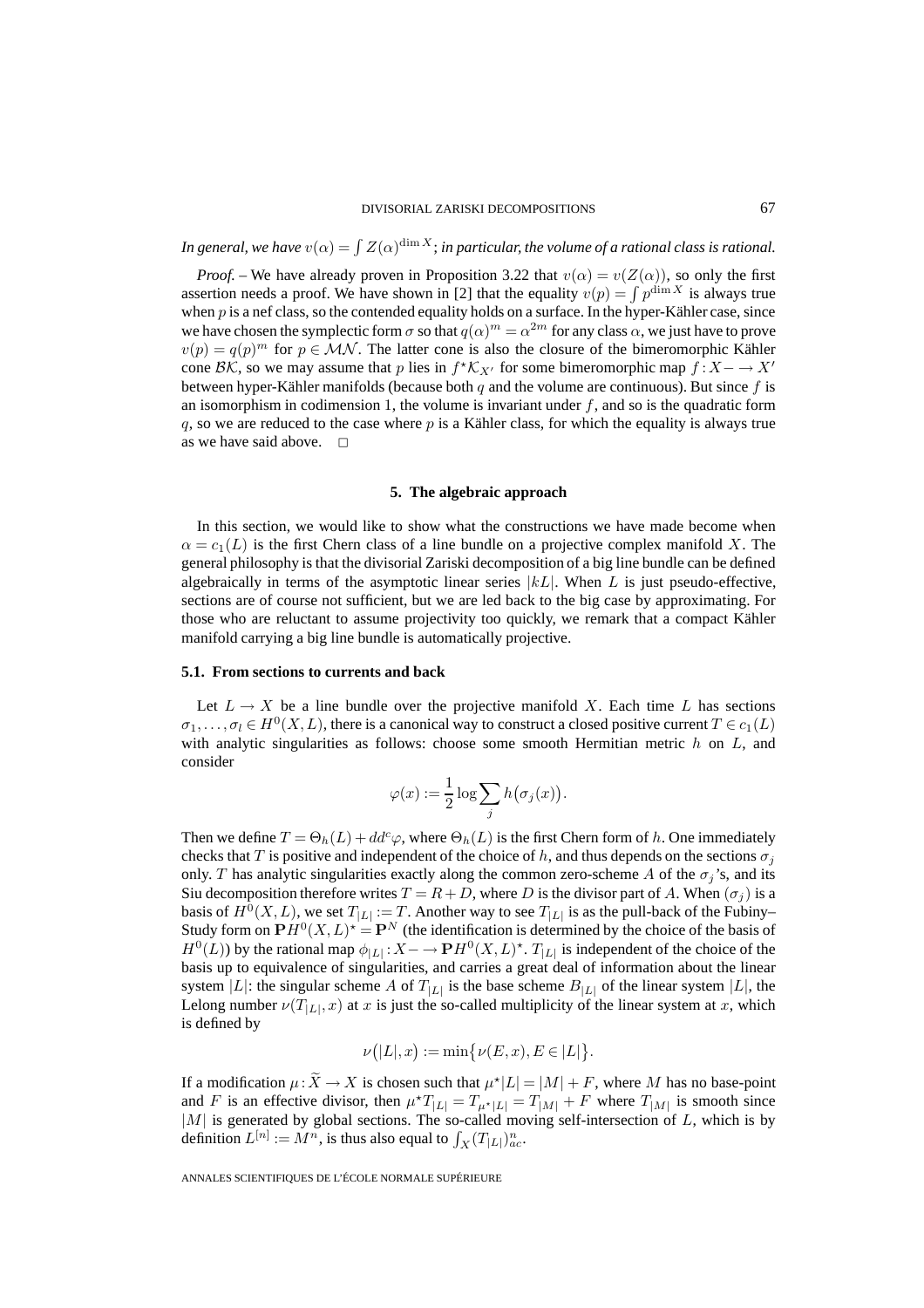*In general, we have*  $v(\alpha) = \int Z(\alpha)^{\dim X}$ ; *in particular, the volume of a rational class is rational.* 

*Proof.* – We have already proven in Proposition 3.22 that  $v(\alpha) = v(Z(\alpha))$ , so only the first assertion needs a proof. We have shown in [2] that the equality  $v(p) = \int p^{\dim X}$  is always true when  $p$  is a nef class, so the contended equality holds on a surface. In the hyper-Kähler case, since we have chosen the symplectic form  $\sigma$  so that  $q(\alpha)^m = \alpha^{2m}$  for any class  $\alpha$ , we just have to prove  $v(p) = q(p)^m$  for  $p \in \mathcal{MN}$ . The latter cone is also the closure of the bimeromorphic Kähler cone BK, so we may assume that p lies in  $f^{\star} K_{X}$  for some bimeromorphic map  $f : X \to X'$ between hyper-Kähler manifolds (because both q and the volume are continuous). But since f is an isomorphism in codimension 1, the volume is invariant under  $f$ , and so is the quadratic form q, so we are reduced to the case where  $p$  is a Kähler class, for which the equality is always true as we have said above.  $\Box$ 

#### **5. The algebraic approach**

In this section, we would like to show what the constructions we have made become when  $\alpha = c_1(L)$  is the first Chern class of a line bundle on a projective complex manifold X. The general philosophy is that the divisorial Zariski decomposition of a big line bundle can be defined algebraically in terms of the asymptotic linear series  $|kL|$ . When L is just pseudo-effective, sections are of course not sufficient, but we are led back to the big case by approximating. For those who are reluctant to assume projectivity too quickly, we remark that a compact Kähler manifold carrying a big line bundle is automatically projective.

#### **5.1. From sections to currents and back**

Let  $L \to X$  be a line bundle over the projective manifold X. Each time L has sections  $\sigma_1,\ldots,\sigma_l \in H^0(X,L)$ , there is a canonical way to construct a closed positive current  $T \in c_1(L)$ with analytic singularities as follows: choose some smooth Hermitian metric  $h$  on  $L$ , and consider

$$
\varphi(x) := \frac{1}{2} \log \sum_j h(\sigma_j(x)).
$$

Then we define  $T = \Theta_h(L) + dd^c \varphi$ , where  $\Theta_h(L)$  is the first Chern form of h. One immediately checks that T is positive and independent of the choice of h, and thus depends on the sections  $\sigma_i$ only. T has analytic singularities exactly along the common zero-scheme A of the  $\sigma_i$ 's, and its Siu decomposition therefore writes  $T = R + D$ , where D is the divisor part of A. When  $(\sigma_i)$  is a basis of  $H^0(X, L)$ , we set  $T_{|L|} := T$ . Another way to see  $T_{|L|}$  is as the pull-back of the Fubiny– Study form on  $\mathbf{P}H^0(X, L)^* = \mathbf{P}^N$  (the identification is determined by the choice of the basis of  $H^0(L)$ ) by the rational map  $\phi_{|L|}: X \to \mathbf{P} H^0(X, L)^*$ .  $T_{|L|}$  is independent of the choice of the basis up to equivalence of singularities, and carries a great deal of information about the linear system |L|: the singular scheme A of  $T_{|L|}$  is the base scheme  $B_{|L|}$  of the linear system |L|, the Lelong number  $\nu(T_{|L|}, x)$  at x is just the so-called multiplicity of the linear system at x, which is defined by

$$
\nu(|L|,x) := \min\{\nu(E,x), E \in |L|\}.
$$

If a modification  $\mu: X \to X$  is chosen such that  $\mu^*|L| = |M| + F$ , where M has no base-point and F is an effective divisor, then  $\mu^*T_{|L|} = T_{\mu^*|L|} = T_{|M|} + F$  where  $T_{|M|}$  is smooth since  $|M|$  is generated by global sections. The so-called moving self-intersection of L, which is by definition  $L^{[n]} := M^n$ , is thus also equal to  $\int_X (T_{|L|})^n_{ac}$ .

ANNALES SCIENTIFIQUES DE L'ÉCOLE NORMALE SUPÉRIEURE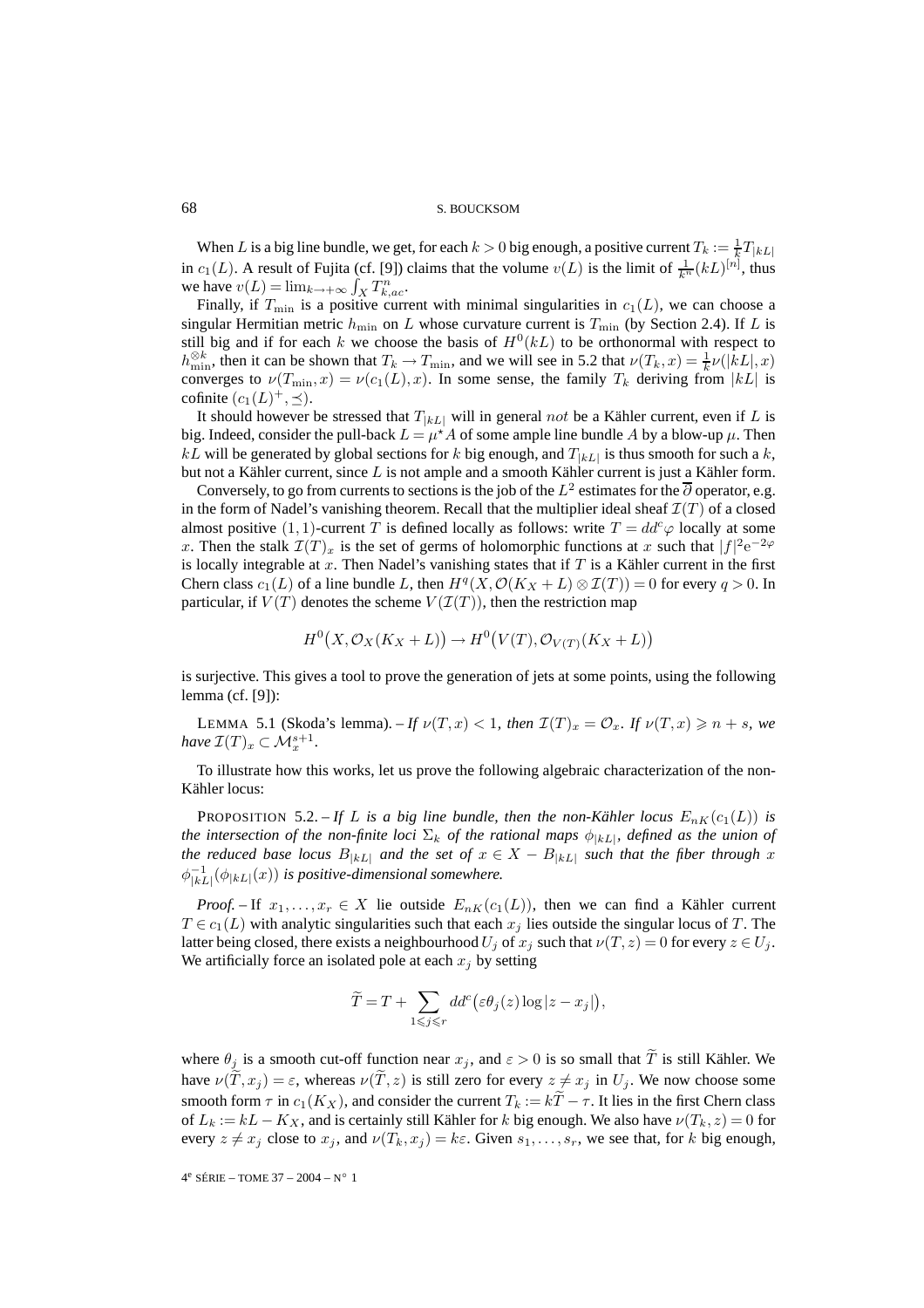When L is a big line bundle, we get, for each  $k > 0$  big enough, a positive current  $T_k := \frac{1}{k}T_{|kL|}$ in  $c_1(L)$ . A result of Fujita (cf. [9]) claims that the volume  $v(L)$  is the limit of  $\frac{1}{k^n}(kL)^{[n]}$ , thus we have  $v(L) = \lim_{k \to +\infty} \int_X T_{k,ac}^n$ .

Finally, if  $T_{\text{min}}$  is a positive current with minimal singularities in  $c_1(L)$ , we can choose a singular Hermitian metric  $h_{\min}$  on L whose curvature current is  $T_{\min}$  (by Section 2.4). If L is still big and if for each k we choose the basis of  $H^0(kL)$  to be orthonormal with respect to  $h_{\min}^{\otimes k}$ , then it can be shown that  $T_k \to T_{\min}$ , and we will see in 5.2 that  $\nu(T_k, x) = \frac{1}{k}\nu(|kL|, x)$ converges to  $\nu(T_{\min}, x) = \nu(c_1(L), x)$ . In some sense, the family  $T_k$  deriving from  $|kL|$  is cofinite  $(c_1(L)^+,\preceq)$ .

It should however be stressed that  $T_{|kL|}$  will in general not be a Kähler current, even if L is big. Indeed, consider the pull-back  $L = \mu^* A$  of some ample line bundle A by a blow-up  $\mu$ . Then  $kL$  will be generated by global sections for k big enough, and  $T_{kL}$  is thus smooth for such a k, but not a Kähler current, since L is not ample and a smooth Kähler current is just a Kähler form.

Conversely, to go from currents to sections is the job of the  $L^2$  estimates for the  $\overline{\partial}$  operator, e.g. in the form of Nadel's vanishing theorem. Recall that the multiplier ideal sheaf  $\mathcal{I}(T)$  of a closed almost positive (1, 1)-current T is defined locally as follows: write  $T = dd^c\varphi$  locally at some x. Then the stalk  $\mathcal{I}(T)_x$  is the set of germs of holomorphic functions at x such that  $|f|^2e^{-2\varphi}$ is locally integrable at  $x$ . Then Nadel's vanishing states that if  $T$  is a Kähler current in the first Chern class  $c_1(L)$  of a line bundle L, then  $H^q(X, \mathcal{O}(K_X + L) \otimes \mathcal{I}(T)) = 0$  for every  $q > 0$ . In particular, if  $V(T)$  denotes the scheme  $V(\mathcal{I}(T))$ , then the restriction map

$$
H^0(X, \mathcal{O}_X(K_X + L)) \to H^0(V(T), \mathcal{O}_{V(T)}(K_X + L))
$$

is surjective. This gives a tool to prove the generation of jets at some points, using the following lemma (cf. [9]):

LEMMA 5.1 (Skoda's lemma). – If  $\nu(T, x) < 1$ , then  $\mathcal{I}(T)_x = \mathcal{O}_x$ . If  $\nu(T, x) \geq n + s$ , we *have*  $\mathcal{I}(T)_x \subset \mathcal{M}_x^{s+1}$ .

To illustrate how this works, let us prove the following algebraic characterization of the non-Kähler locus:

PROPOSITION 5.2. – If L is a big line bundle, then the non-Kähler locus  $E_{nK}(c_1(L))$  is *the intersection of the non-finite loci*  $\Sigma_k$  *of the rational maps*  $\phi_{|kL|}$ *, defined as the union of the reduced base locus*  $B_{|kL|}$  *and the set of*  $x \in X - B_{|kL|}$  *such that the fiber through* x  $\phi_{|kL|}^{-1}(\phi_{|kL|}(x))$  is positive-dimensional somewhere.

*Proof.* – If  $x_1, \ldots, x_r \in X$  lie outside  $E_{nK}(c_1(L))$ , then we can find a Kähler current  $T \in c_1(L)$  with analytic singularities such that each  $x_j$  lies outside the singular locus of T. The latter being closed, there exists a neighbourhood  $U_j$  of  $x_j$  such that  $\nu(T, z) = 0$  for every  $z \in U_j$ . We artificially force an isolated pole at each  $x_i$  by setting

$$
\widetilde{T} = T + \sum_{1 \leq j \leq r} dd^c(\varepsilon \theta_j(z) \log |z - x_j|),
$$

where  $\theta_j$  is a smooth cut-off function near  $x_j$ , and  $\varepsilon > 0$  is so small that T is still Kähler. We have  $\nu(T, x_j) = \varepsilon$ , whereas  $\nu(T, z)$  is still zero for every  $z \neq x_j$  in  $U_j$ . We now choose some smooth form  $\tau$  in  $c_1(K_X)$ , and consider the current  $T_k := kT - \tau$ . It lies in the first Chern class of  $L_k := kL - K_X$ , and is certainly still Kähler for k big enough. We also have  $\nu(T_k, z) = 0$  for every  $z \neq x_j$  close to  $x_j$ , and  $\nu(T_k, x_j) = k\varepsilon$ . Given  $s_1, \ldots, s_r$ , we see that, for k big enough,

4e SÉRIE – TOME 37 – 2004 – N◦ 1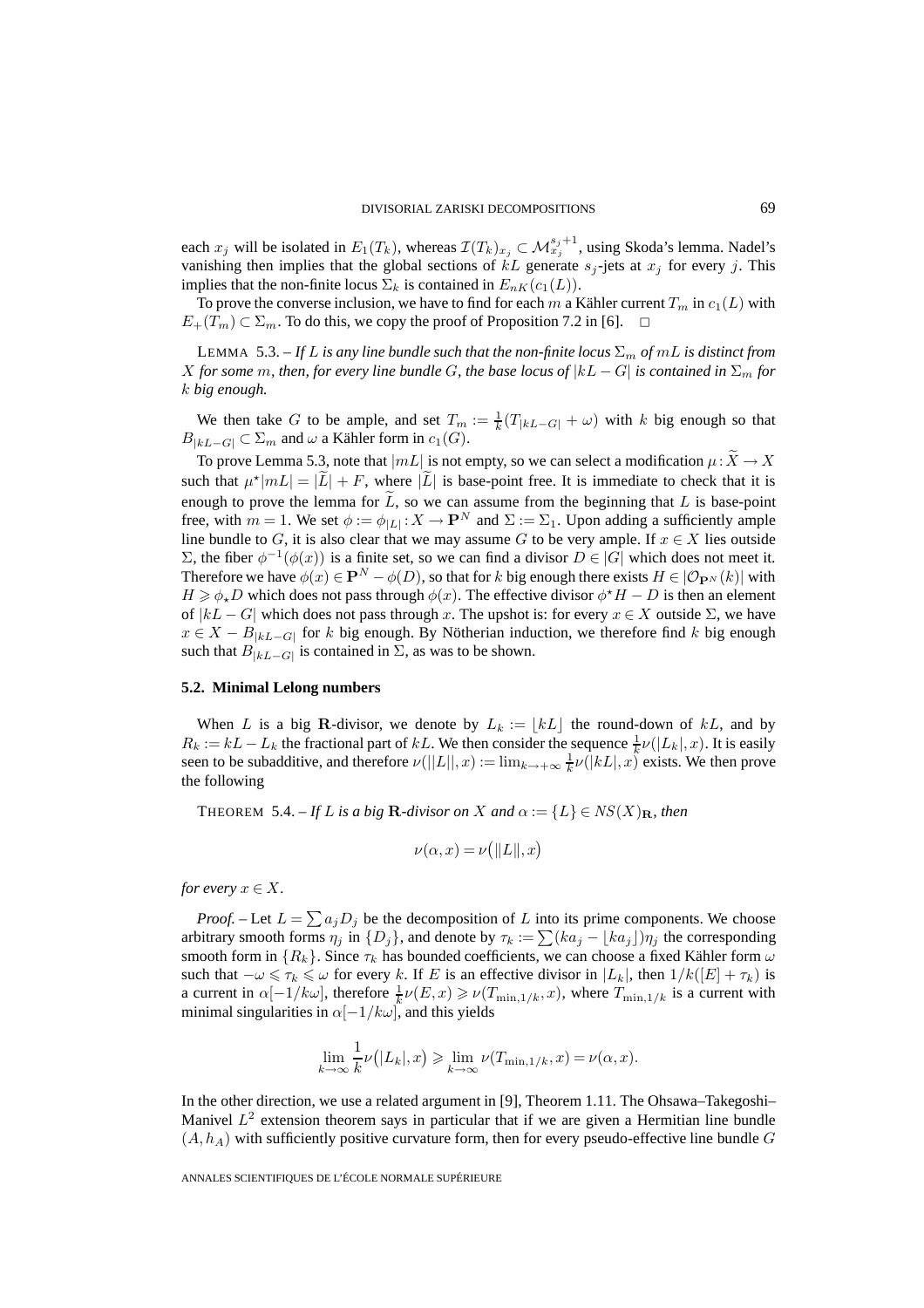each  $x_j$  will be isolated in  $E_1(T_k)$ , whereas  $\mathcal{I}(T_k)_{x_j} \subset \mathcal{M}_{x_j}^{s_j+1}$ , using Skoda's lemma. Nadel's vanishing then implies that the global sections of  $kL$  generate  $s_j$ -jets at  $x_j$  for every j. This implies that the non-finite locus  $\Sigma_k$  is contained in  $E_{nK}(c_1(L))$ .

To prove the converse inclusion, we have to find for each m a Kähler current  $T_m$  in  $c_1(L)$  with  $E_+(T_m) \subset \Sigma_m$ . To do this, we copy the proof of Proposition 7.2 in [6].  $\Box$ 

LEMMA 5.3. – *If* L *is any line bundle such that the non-finite locus*  $\Sigma_m$  *of mL is distinct from* X for some m, then, for every line bundle G, the base locus of  $|kL - G|$  is contained in  $\Sigma_m$  for k *big enough.*

We then take G to be ample, and set  $T_m := \frac{1}{k}(T_{|kL-G|} + \omega)$  with k big enough so that  $B_{|kL-G|} \subset \Sigma_m$  and  $\omega$  a Kähler form in  $c_1(G)$ .

To prove Lemma 5.3, note that  $|mL|$  is not empty, so we can select a modification  $\mu: X \to X$ such that  $\mu^*|mL| = |\tilde{L}| + F$ , where  $|\tilde{L}|$  is base-point free. It is immediate to check that it is enough to prove the lemma for  $L$ , so we can assume from the beginning that  $L$  is base-point free, with  $m = 1$ . We set  $\phi := \phi_{|L|} : X \to \mathbf{P}^N$  and  $\Sigma := \Sigma_1$ . Upon adding a sufficiently ample line bundle to G, it is also clear that we may assume G to be very ample. If  $x \in X$  lies outside Σ, the fiber  $φ^{-1}(φ(x))$  is a finite set, so we can find a divisor  $D ∈ |G|$  which does not meet it. Therefore we have  $\phi(x) \in \mathbf{P}^N - \phi(D)$ , so that for k big enough there exists  $H \in (\mathcal{O}_{\mathbf{P}^N}(k))$  with  $H \ge \phi_* D$  which does not pass through  $\phi(x)$ . The effective divisor  $\phi^* H - D$  is then an element of  $|kL - G|$  which does not pass through x. The upshot is: for every  $x \in X$  outside  $\Sigma$ , we have  $x \in X - B_{kL-G}$  for k big enough. By Nötherian induction, we therefore find k big enough such that  $B_{|kL-G|}$  is contained in  $\Sigma$ , as was to be shown.

#### **5.2. Minimal Lelong numbers**

When L is a big **R**-divisor, we denote by  $L_k := \lfloor kL \rfloor$  the round-down of kL, and by  $R_k := kL - L_k$  the fractional part of kL. We then consider the sequence  $\frac{1}{k} \nu(|L_k|, x)$ . It is easily seen to be subadditive, and therefore  $\nu(||L||, x) := \lim_{k \to +\infty} \frac{1}{k} \nu(|kL|, x)$  exists. We then prove the following

THEOREM 5.4. – If L is a big **R**-divisor on X and  $\alpha := \{L\} \in NS(X)_{\mathbf{R}}$ , then

$$
\nu(\alpha, x) = \nu(||L||, x)
$$

*for every*  $x \in X$ .

*Proof.* – Let  $L = \sum a_j D_j$  be the decomposition of L into its prime components. We choose arbitrary smooth forms  $\eta_j$  in  $\{D_j\}$ , and denote by  $\tau_k := \sum (ka_j - \lfloor ka_j \rfloor) \eta_j$  the corresponding smooth form in  $\{R_k\}$ . Since  $\tau_k$  has bounded coefficients, we can choose a fixed Kähler form  $\omega$ such that  $-\omega \leq \tau_k \leq \omega$  for every k. If E is an effective divisor in  $|L_k|$ , then  $1/k([E] + \tau_k)$  is a current in  $\alpha[-1/k\omega]$ , therefore  $\frac{1}{k}\nu(E,x) \ge \nu(T_{\min,1/k},x)$ , where  $T_{\min,1/k}$  is a current with minimal singularities in  $\alpha$ [-1/k $\omega$ ], and this yields

$$
\lim_{k \to \infty} \frac{1}{k} \nu(|L_k|, x) \ge \lim_{k \to \infty} \nu(T_{\min, 1/k}, x) = \nu(\alpha, x).
$$

In the other direction, we use a related argument in [9], Theorem 1.11. The Ohsawa–Takegoshi– Manivel  $L^2$  extension theorem says in particular that if we are given a Hermitian line bundle  $(A, h<sub>A</sub>)$  with sufficiently positive curvature form, then for every pseudo-effective line bundle G

ANNALES SCIENTIFIQUES DE L'ÉCOLE NORMALE SUPÉRIEURE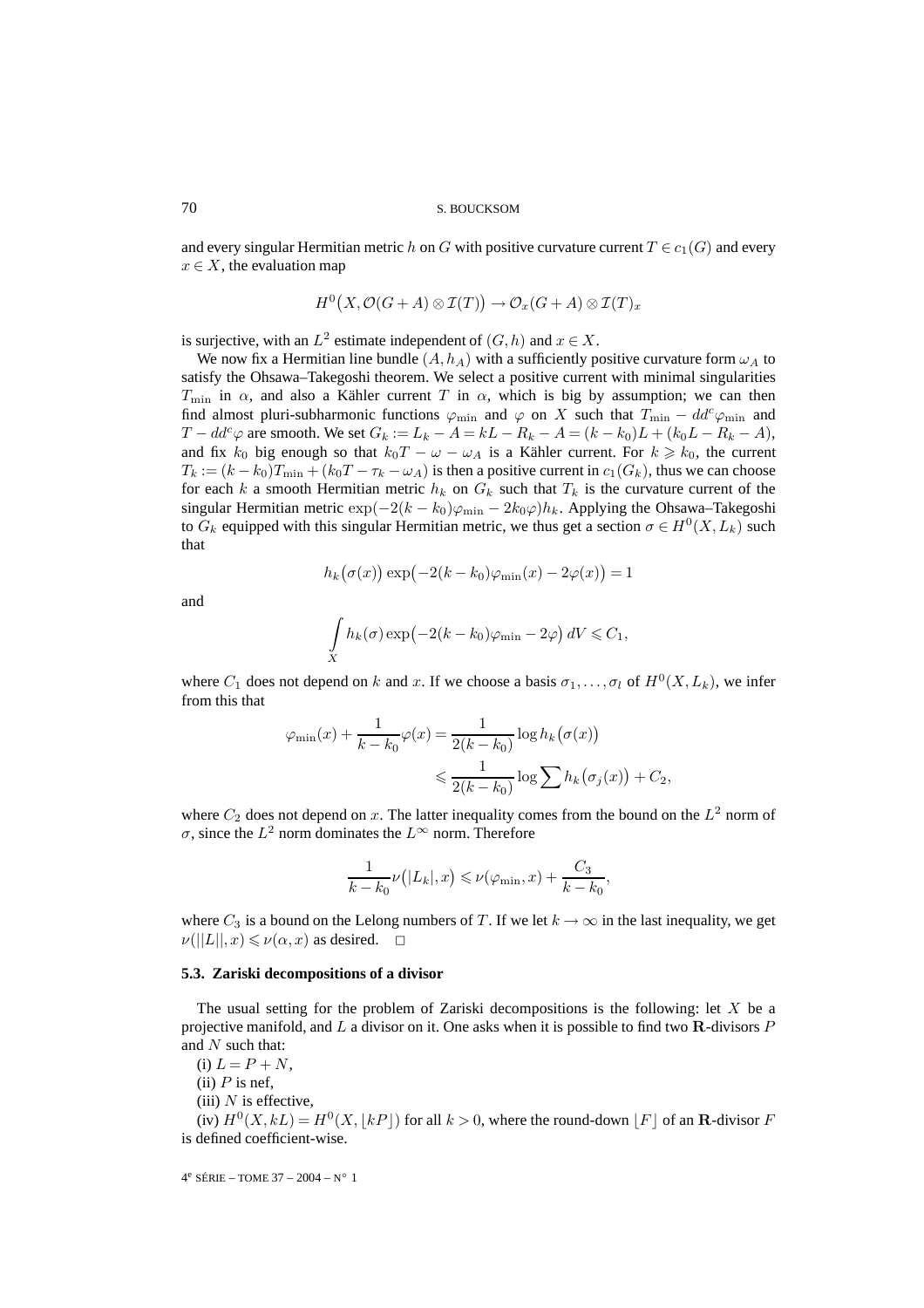and every singular Hermitian metric h on G with positive curvature current  $T \in c_1(G)$  and every  $x \in X$ , the evaluation map

$$
H^0(X, \mathcal{O}(G+A) \otimes \mathcal{I}(T)) \to \mathcal{O}_x(G+A) \otimes \mathcal{I}(T)_x
$$

is surjective, with an  $L^2$  estimate independent of  $(G, h)$  and  $x \in X$ .

We now fix a Hermitian line bundle  $(A, h_A)$  with a sufficiently positive curvature form  $\omega_A$  to satisfy the Ohsawa–Takegoshi theorem. We select a positive current with minimal singularities  $T_{\text{min}}$  in  $\alpha$ , and also a Kähler current T in  $\alpha$ , which is big by assumption; we can then find almost pluri-subharmonic functions  $\varphi_{\rm min}$  and  $\varphi$  on X such that  $T_{\rm min} - dd^c \varphi_{\rm min}$  and  $T - dd^c\varphi$  are smooth. We set  $G_k := L_k - A = kL - R_k - A = (k - k_0)L + (k_0L - R_k - A),$ and fix  $k_0$  big enough so that  $k_0T - \omega - \omega_A$  is a Kähler current. For  $k \geq k_0$ , the current  $T_k := (k - k_0)T_{\min} + (k_0T - \tau_k - \omega_A)$  is then a positive current in  $c_1(G_k)$ , thus we can choose for each k a smooth Hermitian metric  $h_k$  on  $G_k$  such that  $T_k$  is the curvature current of the singular Hermitian metric  $\exp(-2(k - k_0)\varphi_{\min} - 2k_0\varphi)h_k$ . Applying the Ohsawa–Takegoshi to  $G_k$  equipped with this singular Hermitian metric, we thus get a section  $\sigma \in H^0(X, L_k)$  such that

$$
h_k(\sigma(x)) \exp(-2(k - k_0)\varphi_{\min}(x) - 2\varphi(x)) = 1
$$

and

$$
\int\limits_X h_k(\sigma) \exp\bigl(-2(k-k_0)\varphi_{\min} - 2\varphi\bigr) dV \leqslant C_1,
$$

where  $C_1$  does not depend on k and x. If we choose a basis  $\sigma_1, \ldots, \sigma_l$  of  $H^0(X, L_k)$ , we infer from this that

$$
\varphi_{\min}(x) + \frac{1}{k - k_0} \varphi(x) = \frac{1}{2(k - k_0)} \log h_k(\sigma(x))
$$
  

$$
\leq \frac{1}{2(k - k_0)} \log \sum h_k(\sigma_j(x)) + C_2,
$$

where  $C_2$  does not depend on x. The latter inequality comes from the bound on the  $L^2$  norm of σ, since the  $L^2$  norm dominates the  $L^{\infty}$  norm. Therefore

$$
\frac{1}{k-k_0}\nu(|L_k|,x) \leqslant \nu(\varphi_{\min},x) + \frac{C_3}{k-k_0},
$$

where  $C_3$  is a bound on the Lelong numbers of T. If we let  $k \to \infty$  in the last inequality, we get  $\nu(||L||,x) \leqslant \nu(\alpha, x)$  as desired.  $\Box$ 

#### **5.3. Zariski decompositions of a divisor**

The usual setting for the problem of Zariski decompositions is the following: let  $X$  be a projective manifold, and L a divisor on it. One asks when it is possible to find two **R**-divisors P and  $N$  such that:

(i)  $L = P + N$ ,

(ii)  $P$  is nef,

(iii)  $N$  is effective,

(iv)  $H^0(X, kL) = H^0(X, \lfloor kP \rfloor)$  for all  $k > 0$ , where the round-down  $\lfloor F \rfloor$  of an **R**-divisor F is defined coefficient-wise.

$$
4^e\ \text{SÉRIE} -\text{TOME 37} - 2004 - N^\circ\ 1
$$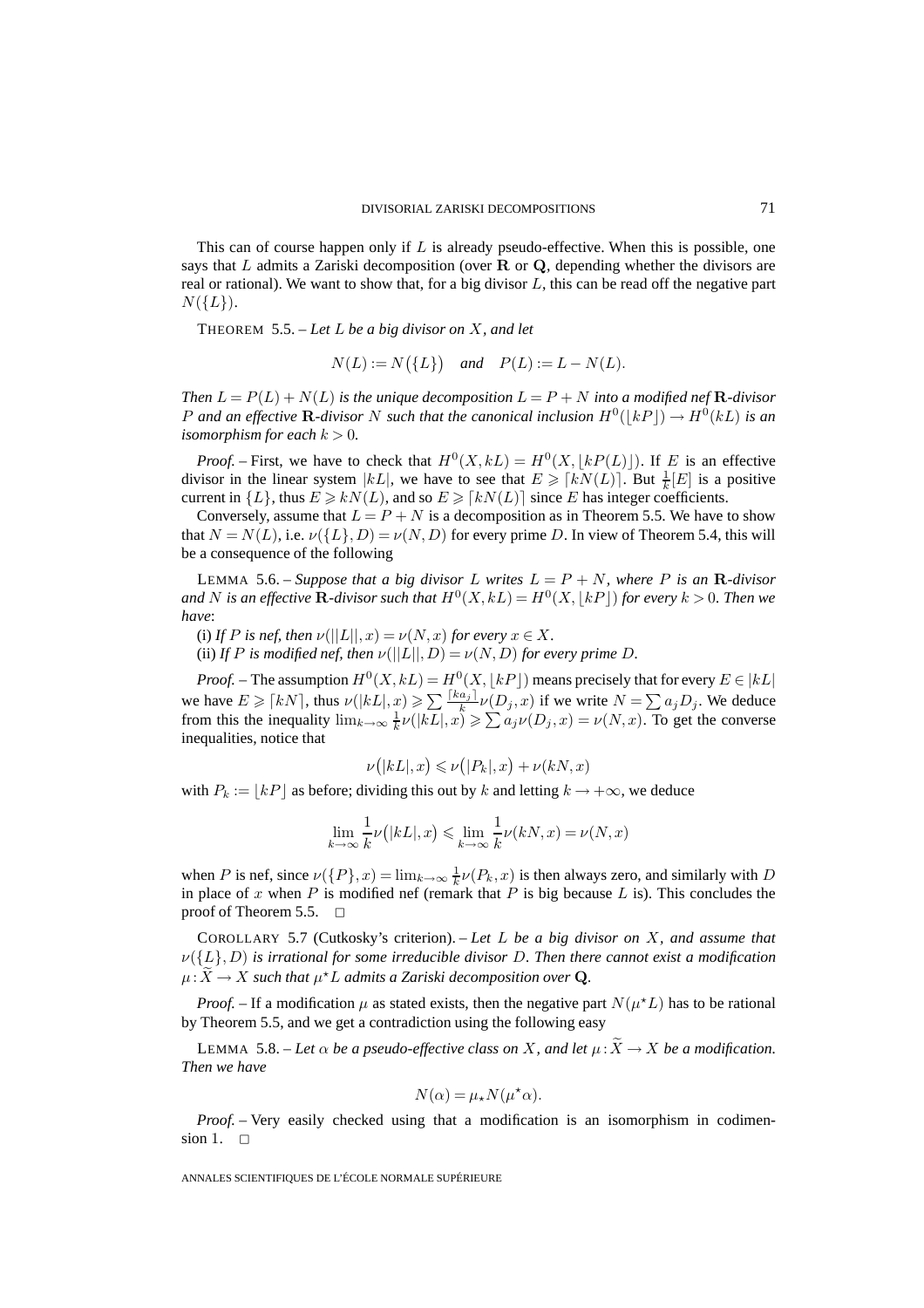This can of course happen only if  $L$  is already pseudo-effective. When this is possible, one says that L admits a Zariski decomposition (over **R** or **Q**, depending whether the divisors are real or rational). We want to show that, for a big divisor  $L$ , this can be read off the negative part  $N({L}).$ 

THEOREM 5.5. – *Let* L *be a big divisor on* X*, and let*

$$
N(L) := N(\lbrace L \rbrace) \quad \text{and} \quad P(L) := L - N(L).
$$

*Then*  $L = P(L) + N(L)$  *is the unique decomposition*  $L = P + N$  *into a modified nef* **R***-divisor* P and an effective **R**-divisor N such that the canonical inclusion  $H^0(|kP|) \to H^0(kL)$  is an *isomorphism for each*  $k > 0$ *.* 

*Proof.* – First, we have to check that  $H^0(X, kL) = H^0(X, [kP(L)])$ . If E is an effective divisor in the linear system  $|kL|$ , we have to see that  $E \geq kN(L)$ . But  $\frac{1}{k}[E]$  is a positive current in  $\{L\}$ , thus  $E \ge kN(L)$ , and so  $E \ge \lceil kN(L) \rceil$  since E has integer coefficients.

Conversely, assume that  $L = P + N$  is a decomposition as in Theorem 5.5. We have to show that  $N = N(L)$ , i.e.  $\nu({L}, D) = \nu(N, D)$  for every prime D. In view of Theorem 5.4, this will be a consequence of the following

LEMMA 5.6. – *Suppose that a big divisor* L writes  $L = P + N$ *, where* P is an **R**-divisor and  $N$  is an effective  ${\bf R}$ -divisor such that  $H^0(X,kL) = H^0(X,\lfloor kP \rfloor)$  for every  $k > 0$ . Then we *have*:

(i) If P is nef, then  $\nu(||L||,x) = \nu(N,x)$  for every  $x \in X$ .

(ii) *If* P *is modified nef, then*  $\nu(||L||, D) = \nu(N, D)$  *for every prime D.* 

*Proof.* – The assumption  $H^0(X, kL) = H^0(X, \lfloor kP \rfloor)$  means precisely that for every  $E \in |kL|$ we have  $E \geqslant \lceil kN \rceil$ , thus  $\nu(|kL|, x) \geqslant \sum_{k} \frac{\lceil ka_j \rceil}{k} \nu(D_j, x)$  if we write  $N = \sum a_j D_j$ . We deduce from this the inequality  $\lim_{k\to\infty}\frac{1}{k}\nu(|k\overline{L}|,x)\geqslant\sum a_j\nu(D_j,x)=\nu(N,x)$ . To get the converse inequalities, notice that

$$
\nu(|kL|,x) \leqslant \nu(|P_k|,x) + \nu(kN,x)
$$

with  $P_k := \lfloor kP \rfloor$  as before; dividing this out by k and letting  $k \to +\infty$ , we deduce

$$
\lim_{k \to \infty} \frac{1}{k} \nu(|kL|, x) \le \lim_{k \to \infty} \frac{1}{k} \nu(kN, x) = \nu(N, x)
$$

when P is nef, since  $\nu({P}, x) = \lim_{k \to \infty} \frac{1}{k}\nu(P_k, x)$  is then always zero, and similarly with D in place of x when P is modified nef (remark that P is big because L is). This concludes the proof of Theorem 5.5.  $\Box$ 

COROLLARY 5.7 (Cutkosky's criterion). – *Let* L *be a big divisor on* X*, and assume that* ν({L}, D) *is irrational for some irreducible divisor* D*. Then there cannot exist a modification*  $\mu\!:\!\widetilde{X}\to X$  such that  $\mu^{\star}L$  admits a Zariski decomposition over  $\mathbf{Q}$ .

*Proof.* – If a modification  $\mu$  as stated exists, then the negative part  $N(\mu^*L)$  has to be rational by Theorem 5.5, and we get a contradiction using the following easy

LEMMA 5.8. – Let  $\alpha$  be a pseudo-effective class on X, and let  $\mu$  :  $X \to X$  be a modification. *Then we have*

$$
N(\alpha) = \mu_{\star} N(\mu^{\star} \alpha).
$$

*Proof.* – Very easily checked using that a modification is an isomorphism in codimension 1.  $\square$ 

ANNALES SCIENTIFIQUES DE L'ÉCOLE NORMALE SUPÉRIEURE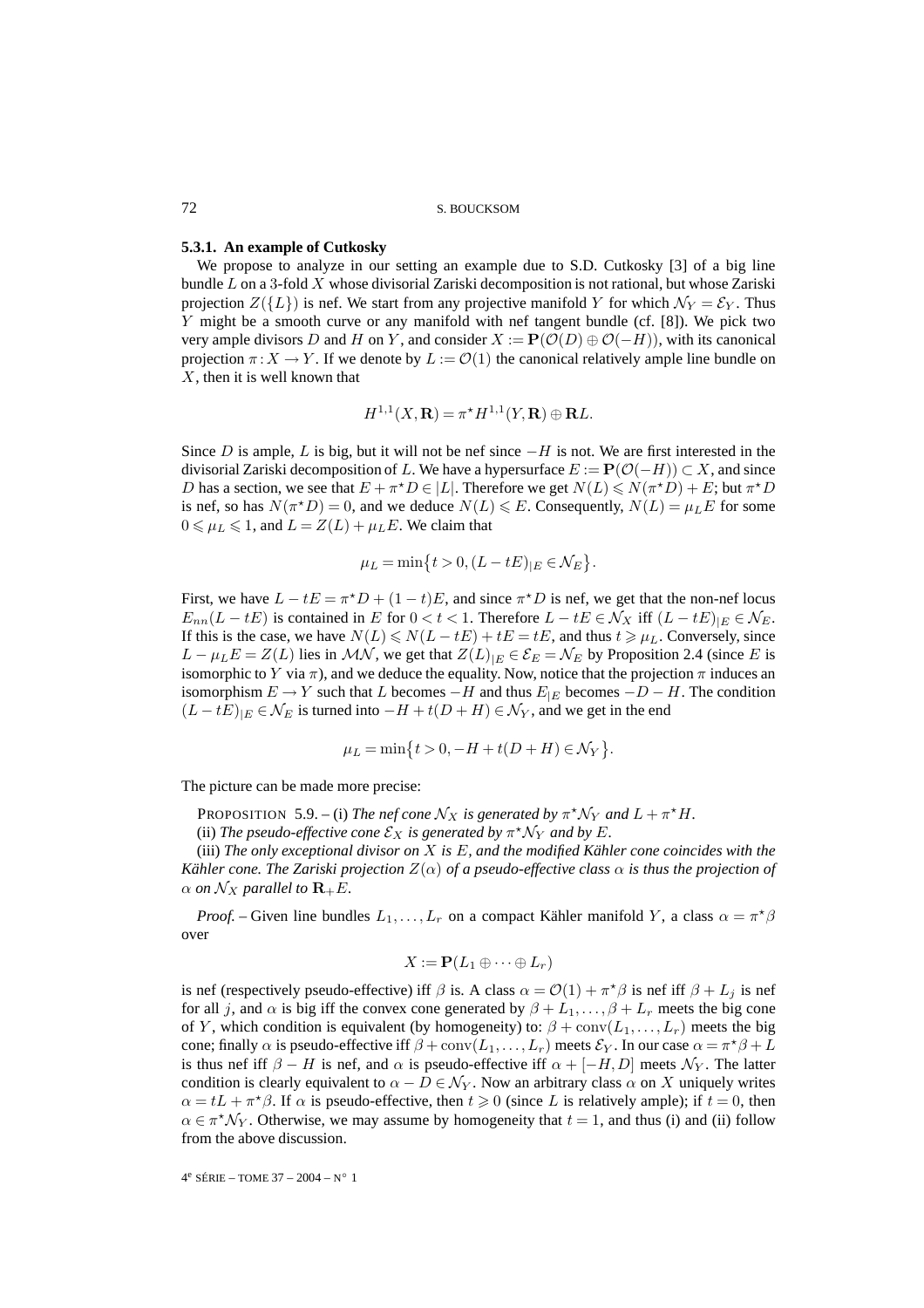#### **5.3.1. An example of Cutkosky**

We propose to analyze in our setting an example due to S.D. Cutkosky [3] of a big line bundle  $L$  on a 3-fold  $X$  whose divisorial Zariski decomposition is not rational, but whose Zariski projection  $Z({L})$  is nef. We start from any projective manifold Y for which  $\mathcal{N}_Y = \mathcal{E}_Y$ . Thus Y might be a smooth curve or any manifold with nef tangent bundle (cf. [8]). We pick two very ample divisors D and H on Y, and consider  $X := P(\mathcal{O}(D) \oplus \mathcal{O}(-H))$ , with its canonical projection  $\pi: X \to Y$ . If we denote by  $L := \mathcal{O}(1)$  the canonical relatively ample line bundle on  $X$ , then it is well known that

$$
H^{1,1}(X,\mathbf{R}) = \pi^* H^{1,1}(Y,\mathbf{R}) \oplus \mathbf{R}L.
$$

Since D is ample, L is big, but it will not be nef since  $-H$  is not. We are first interested in the divisorial Zariski decomposition of L. We have a hypersurface  $E := \mathbf{P}(\mathcal{O}(-H)) \subset X$ , and since D has a section, we see that  $E + \pi^* D \in |L|$ . Therefore we get  $N(L) \le N(\pi^* D) + E$ ; but  $\pi^* D$ is nef, so has  $N(\pi^*D) = 0$ , and we deduce  $N(L) \leq E$ . Consequently,  $N(L) = \mu_L E$  for some  $0 \leq \mu_L \leq 1$ , and  $L = Z(L) + \mu_L E$ . We claim that

$$
\mu_L=\min\bigl\{t>0,(L-tE)_{|E}\in\mathcal{N}_E\bigr\}.
$$

First, we have  $L - tE = \pi^*D + (1 - t)E$ , and since  $\pi^*D$  is nef, we get that the non-nef locus  $E_{nn}(L - tE)$  is contained in E for  $0 < t < 1$ . Therefore  $L - tE \in \mathcal{N}_X$  iff  $(L - tE)|_E \in \mathcal{N}_E$ . If this is the case, we have  $N(L) \le N(L - tE) + tE = tE$ , and thus  $t \ge \mu_L$ . Conversely, since  $L - \mu_L E = Z(L)$  lies in  $\mathcal{M}\mathcal{N}$ , we get that  $Z(L)_{|E} \in \mathcal{E}_E = \mathcal{N}_E$  by Proposition 2.4 (since E is isomorphic to Y via  $\pi$ ), and we deduce the equality. Now, notice that the projection  $\pi$  induces an isomorphism  $E \to Y$  such that L becomes  $-H$  and thus  $E_{|E}$  becomes  $-D-H$ . The condition  $(L - tE)_{|E} \in \mathcal{N}_E$  is turned into  $-H + t(D + H) \in \mathcal{N}_Y$ , and we get in the end

$$
\mu_L = \min\{t > 0, -H + t(D + H) \in \mathcal{N}_Y\}.
$$

The picture can be made more precise:

PROPOSITION 5.9. – (i) *The nef cone*  $\mathcal{N}_X$  *is generated by*  $\pi^* \mathcal{N}_Y$  *and*  $L + \pi^* H$ *.* 

(ii) *The pseudo-effective cone*  $\mathcal{E}_X$  *is generated by*  $\pi^* \mathcal{N}_Y$  *and by* E.

(iii) *The only exceptional divisor on* X *is* E*, and the modified Kähler cone coincides with the Kähler cone. The Zariski projection* Z(α) *of a pseudo-effective class* α *is thus the projection of*  $\alpha$  *on*  $\mathcal{N}_X$  *parallel to*  $\mathbf{R}_+E$ *.* 

*Proof.* – Given line bundles  $L_1, \ldots, L_r$  on a compact Kähler manifold Y, a class  $\alpha = \pi^* \beta$ over

$$
X:=\mathbf{P}(L_1\oplus\cdots\oplus L_r)
$$

is nef (respectively pseudo-effective) iff  $\beta$  is. A class  $\alpha = \mathcal{O}(1) + \pi^* \beta$  is nef iff  $\beta + L_j$  is nef for all j, and  $\alpha$  is big iff the convex cone generated by  $\beta + L_1, \ldots, \beta + L_r$  meets the big cone of Y, which condition is equivalent (by homogeneity) to:  $\beta + \text{conv}(L_1,\ldots,L_r)$  meets the big cone; finally  $\alpha$  is pseudo-effective iff  $\beta + \text{conv}(L_1, \dots, L_r)$  meets  $\mathcal{E}_Y$ . In our case  $\alpha = \pi^* \beta + L$ is thus nef iff  $\beta - H$  is nef, and  $\alpha$  is pseudo-effective iff  $\alpha + [-H, D]$  meets  $\mathcal{N}_Y$ . The latter condition is clearly equivalent to  $\alpha - D \in \mathcal{N}_Y$ . Now an arbitrary class  $\alpha$  on X uniquely writes  $\alpha = tL + \pi^* \beta$ . If  $\alpha$  is pseudo-effective, then  $t \ge 0$  (since L is relatively ample); if  $t = 0$ , then  $\alpha \in \pi^* \mathcal{N}_Y$ . Otherwise, we may assume by homogeneity that  $t = 1$ , and thus (i) and (ii) follow from the above discussion.

 $4^e$  SÉRIE – TOME 37 – 2004 – N° 1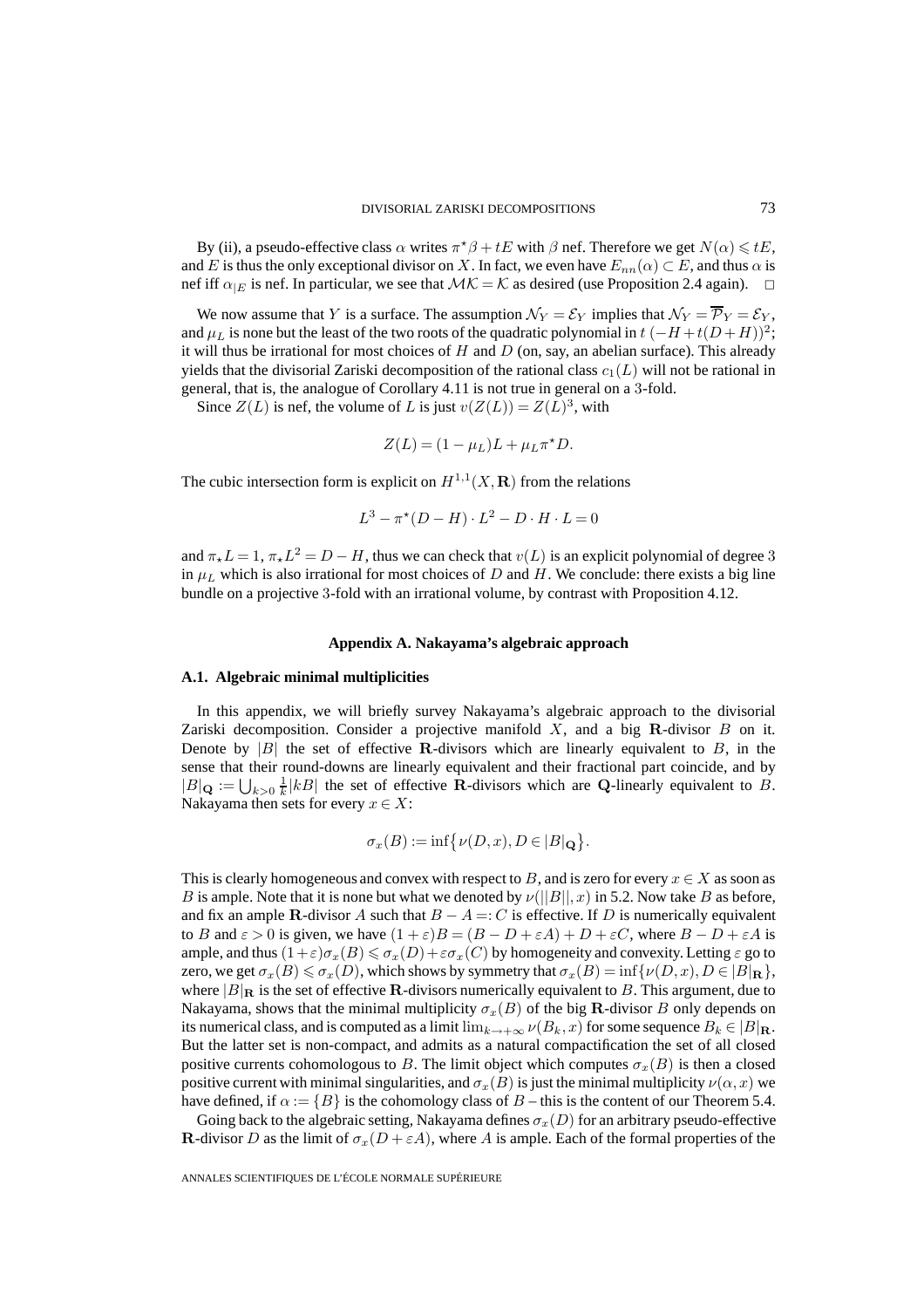By (ii), a pseudo-effective class  $\alpha$  writes  $\pi^* \beta + tE$  with  $\beta$  nef. Therefore we get  $N(\alpha) \leq tE$ , and E is thus the only exceptional divisor on X. In fact, we even have  $E_{nn}(\alpha) \subset E$ , and thus  $\alpha$  is nef iff  $\alpha_{|E}$  is nef. In particular, we see that  $\mathcal{MK} = \mathcal{K}$  as desired (use Proposition 2.4 again).  $\Box$ 

We now assume that Y is a surface. The assumption  $\mathcal{N}_Y = \mathcal{E}_Y$  implies that  $\mathcal{N}_Y = \overline{\mathcal{P}}_Y = \mathcal{E}_Y$ , and  $\mu_L$  is none but the least of the two roots of the quadratic polynomial in  $t$  ( $-H$  +t( $D + H$ ))<sup>2</sup>; it will thus be irrational for most choices of  $H$  and  $D$  (on, say, an abelian surface). This already yields that the divisorial Zariski decomposition of the rational class  $c_1(L)$  will not be rational in general, that is, the analogue of Corollary 4.11 is not true in general on a 3-fold.

Since  $Z(L)$  is nef, the volume of L is just  $v(Z(L)) = Z(L)^3$ , with

$$
Z(L) = (1 - \mu_L)L + \mu_L \pi^* D.
$$

The cubic intersection form is explicit on  $H^{1,1}(X,\mathbf{R})$  from the relations

$$
L^3 - \pi^*(D - H) \cdot L^2 - D \cdot H \cdot L = 0
$$

and  $\pi_{\star}L = 1$ ,  $\pi_{\star}L^2 = D - H$ , thus we can check that  $v(L)$  is an explicit polynomial of degree 3 in  $\mu_L$  which is also irrational for most choices of D and H. We conclude: there exists a big line bundle on a projective 3-fold with an irrational volume, by contrast with Proposition 4.12.

#### **Appendix A. Nakayama's algebraic approach**

#### **A.1. Algebraic minimal multiplicities**

In this appendix, we will briefly survey Nakayama's algebraic approach to the divisorial Zariski decomposition. Consider a projective manifold X, and a big **R**-divisor B on it. Denote by  $|B|$  the set of effective **R**-divisors which are linearly equivalent to B, in the sense that their round-downs are linearly equivalent and their fractional part coincide, and by  $|B|_Q := \bigcup_{k>0} \frac{1}{k} |kB|$  the set of effective **R**-divisors which are **Q**-linearly equivalent to *B*. Nakayama then sets for every  $x \in X$ :

$$
\sigma_x(B):=\inf\bigl\{\nu(D,x),D\in |B|_{\mathbf Q}\bigr\}.
$$

This is clearly homogeneous and convex with respect to B, and is zero for every  $x \in X$  as soon as B is ample. Note that it is none but what we denoted by  $\nu(||B||, x)$  in 5.2. Now take B as before, and fix an ample **R**-divisor A such that  $B - A =: C$  is effective. If D is numerically equivalent to B and  $\varepsilon > 0$  is given, we have  $(1 + \varepsilon)B = (B - D + \varepsilon A) + D + \varepsilon C$ , where  $B - D + \varepsilon A$  is ample, and thus  $(1+\varepsilon)\sigma_x(B) \leqslant \sigma_x(D)+\varepsilon\sigma_x(C)$  by homogeneity and convexity. Letting  $\varepsilon$  go to zero, we get  $\sigma_x(B) \leq \sigma_x(D)$ , which shows by symmetry that  $\sigma_x(B) = \inf \{ \nu(D, x), D \in |B|_{\mathbf{R}} \},$ where  $|B|_R$  is the set of effective **R**-divisors numerically equivalent to B. This argument, due to Nakayama, shows that the minimal multiplicity  $\sigma_x(B)$  of the big **R**-divisor B only depends on its numerical class, and is computed as a limit  $\lim_{k\to+\infty} \nu(B_k, x)$  for some sequence  $B_k \in |B|_{\mathbf{R}}$ . But the latter set is non-compact, and admits as a natural compactification the set of all closed positive currents cohomologous to B. The limit object which computes  $\sigma_x(B)$  is then a closed positive current with minimal singularities, and  $\sigma_x(B)$  is just the minimal multiplicity  $\nu(\alpha, x)$  we have defined, if  $\alpha := \{B\}$  is the cohomology class of  $B$  – this is the content of our Theorem 5.4.

Going back to the algebraic setting, Nakayama defines  $\sigma_x(D)$  for an arbitrary pseudo-effective **R**-divisor D as the limit of  $\sigma_x(D + \varepsilon A)$ , where A is ample. Each of the formal properties of the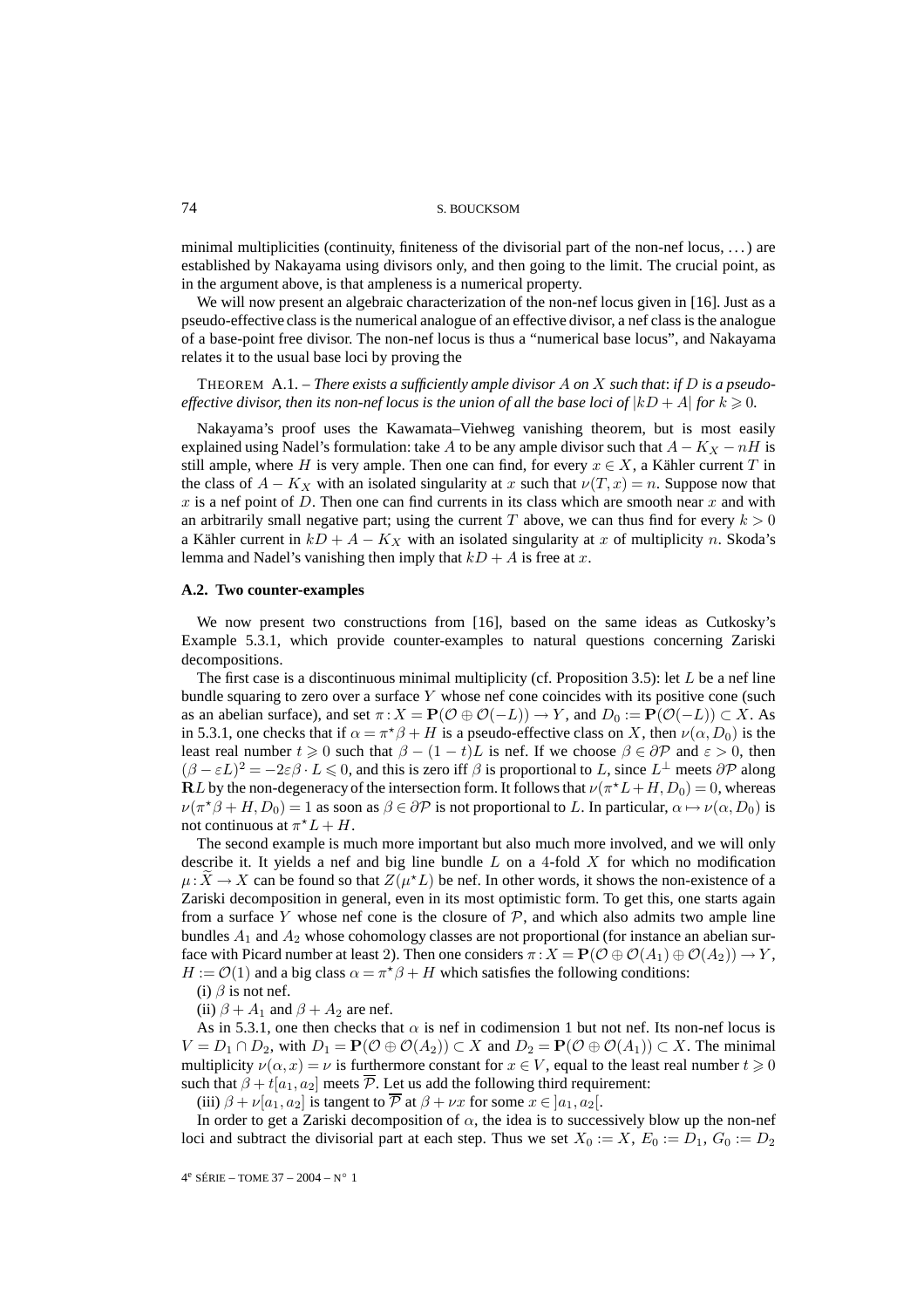minimal multiplicities (continuity, finiteness of the divisorial part of the non-nef locus, . . . ) are established by Nakayama using divisors only, and then going to the limit. The crucial point, as in the argument above, is that ampleness is a numerical property.

We will now present an algebraic characterization of the non-nef locus given in [16]. Just as a pseudo-effective class is the numerical analogue of an effective divisor, a nef class is the analogue of a base-point free divisor. The non-nef locus is thus a "numerical base locus", and Nakayama relates it to the usual base loci by proving the

THEOREM A.1. – *There exists a sufficiently ample divisor* A *on* X *such that*: *if* D *is a pseudoeffective divisor, then its non-nef locus is the union of all the base loci of*  $|kD + A|$  *for*  $k \ge 0$ *.* 

Nakayama's proof uses the Kawamata–Viehweg vanishing theorem, but is most easily explained using Nadel's formulation: take A to be any ample divisor such that  $A - K_X - nH$  is still ample, where H is very ample. Then one can find, for every  $x \in X$ , a Kähler current T in the class of  $A - K_X$  with an isolated singularity at x such that  $\nu(T, x) = n$ . Suppose now that  $x$  is a nef point of D. Then one can find currents in its class which are smooth near  $x$  and with an arbitrarily small negative part; using the current T above, we can thus find for every  $k > 0$ a Kähler current in  $kD + A - K_X$  with an isolated singularity at x of multiplicity n. Skoda's lemma and Nadel's vanishing then imply that  $kD + A$  is free at x.

#### **A.2. Two counter-examples**

We now present two constructions from [16], based on the same ideas as Cutkosky's Example 5.3.1, which provide counter-examples to natural questions concerning Zariski decompositions.

The first case is a discontinuous minimal multiplicity (cf. Proposition 3.5): let  $L$  be a nef line bundle squaring to zero over a surface  $Y$  whose nef cone coincides with its positive cone (such as an abelian surface), and set  $\pi$ :  $X = P(\mathcal{O} \oplus \mathcal{O}(-L)) \rightarrow Y$ , and  $D_0 := P(\mathcal{O}(-L)) \subset X$ . As in 5.3.1, one checks that if  $\alpha = \pi^* \beta + H$  is a pseudo-effective class on X, then  $\nu(\alpha, D_0)$  is the least real number  $t \ge 0$  such that  $\beta - (1 - t)L$  is nef. If we choose  $\beta \in \partial P$  and  $\varepsilon > 0$ , then  $(\beta - \varepsilon L)^2 = -2\varepsilon \beta \cdot L \le 0$ , and this is zero iff  $\beta$  is proportional to L, since  $L^{\perp}$  meets  $\partial \mathcal{P}$  along **R**L by the non-degeneracy of the intersection form. It follows that  $\nu(\pi^*L + H, D_0) = 0$ , whereas  $\nu(\pi^*\beta + H, D_0) = 1$  as soon as  $\beta \in \partial \mathcal{P}$  is not proportional to L. In particular,  $\alpha \mapsto \nu(\alpha, D_0)$  is not continuous at  $\pi^*L + H$ .

The second example is much more important but also much more involved, and we will only describe it. It yields a nef and big line bundle  $L$  on a 4-fold  $X$  for which no modification  $\mu: \widetilde{X} \to X$  can be found so that  $Z(\mu^*L)$  be nef. In other words, it shows the non-existence of a Zariski decomposition in general, even in its most optimistic form. To get this, one starts again from a surface Y whose nef cone is the closure of  $P$ , and which also admits two ample line bundles  $A_1$  and  $A_2$  whose cohomology classes are not proportional (for instance an abelian surface with Picard number at least 2). Then one considers  $\pi$  :  $X = P(\mathcal{O} \oplus \mathcal{O}(A_1) \oplus \mathcal{O}(A_2)) \rightarrow Y$ ,  $H := \mathcal{O}(1)$  and a big class  $\alpha = \pi^* \beta + H$  which satisfies the following conditions:

(i)  $\beta$  is not nef.

(ii)  $\beta + A_1$  and  $\beta + A_2$  are nef.

As in 5.3.1, one then checks that  $\alpha$  is nef in codimension 1 but not nef. Its non-nef locus is  $V = D_1 \cap D_2$ , with  $D_1 = \mathbf{P}(\mathcal{O} \oplus \mathcal{O}(A_2)) \subset X$  and  $D_2 = \mathbf{P}(\mathcal{O} \oplus \mathcal{O}(A_1)) \subset X$ . The minimal multiplicity  $\nu(\alpha, x) = \nu$  is furthermore constant for  $x \in V$ , equal to the least real number  $t \geq 0$ such that  $\beta + t[a_1, a_2]$  meets  $\overline{P}$ . Let us add the following third requirement:

(iii)  $\beta + \nu[a_1, a_2]$  is tangent to  $\overline{P}$  at  $\beta + \nu x$  for some  $x \in [a_1, a_2]$ .

In order to get a Zariski decomposition of  $\alpha$ , the idea is to successively blow up the non-nef loci and subtract the divisorial part at each step. Thus we set  $X_0 := X$ ,  $E_0 := D_1$ ,  $G_0 := D_2$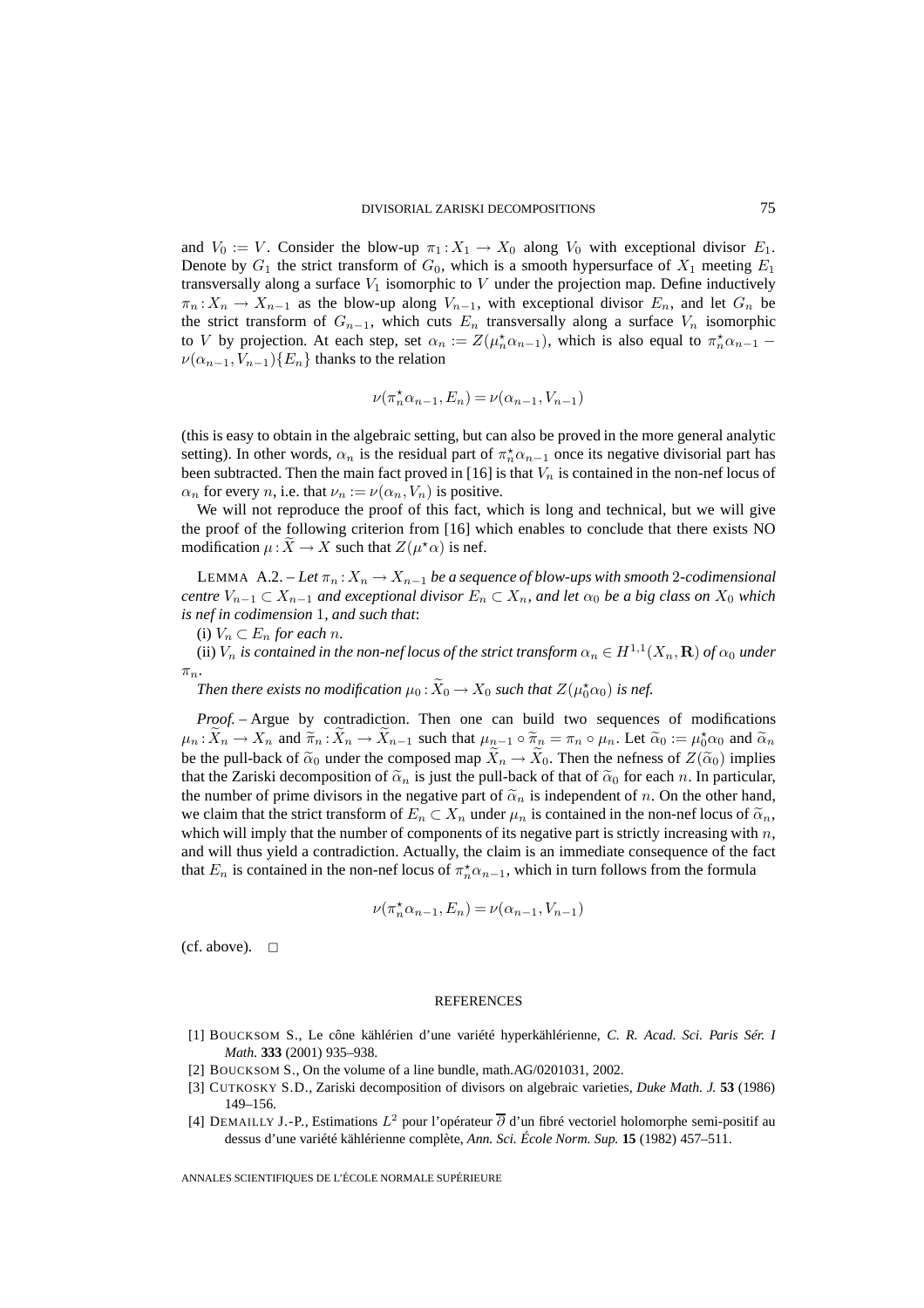and  $V_0 := V$ . Consider the blow-up  $\pi_1 : X_1 \to X_0$  along  $V_0$  with exceptional divisor  $E_1$ . Denote by  $G_1$  the strict transform of  $G_0$ , which is a smooth hypersurface of  $X_1$  meeting  $E_1$ transversally along a surface  $V_1$  isomorphic to  $V$  under the projection map. Define inductively  $\pi_n: X_n \to X_{n-1}$  as the blow-up along  $V_{n-1}$ , with exceptional divisor  $E_n$ , and let  $G_n$  be the strict transform of  $G_{n-1}$ , which cuts  $E_n$  transversally along a surface  $V_n$  isomorphic to V by projection. At each step, set  $\alpha_n := Z(\mu_n^* \alpha_{n-1})$ , which is also equal to  $\pi_n^* \alpha_{n-1}$  –  $\nu(\alpha_{n-1}, V_{n-1})\{E_n\}$  thanks to the relation

$$
\nu(\pi_n^{\star}\alpha_{n-1},E_n)=\nu(\alpha_{n-1},V_{n-1})
$$

(this is easy to obtain in the algebraic setting, but can also be proved in the more general analytic setting). In other words,  $\alpha_n$  is the residual part of  $\pi_n^* \alpha_{n-1}$  once its negative divisorial part has been subtracted. Then the main fact proved in [16] is that  $V_n$  is contained in the non-nef locus of  $\alpha_n$  for every *n*, i.e. that  $\nu_n := \nu(\alpha_n, V_n)$  is positive.

We will not reproduce the proof of this fact, which is long and technical, but we will give the proof of the following criterion from [16] which enables to conclude that there exists NO modification  $\mu: X \to X$  such that  $Z(\mu^* \alpha)$  is nef.

LEMMA A.2. – Let  $\pi_n: X_n \to X_{n-1}$  be a sequence of blow-ups with smooth 2-codimensional *centre*  $V_{n-1} \subset X_{n-1}$  *and exceptional divisor*  $E_n \subset X_n$ *, and let*  $\alpha_0$  *be a big class on*  $X_0$  *which is nef in codimension* 1*, and such that*:

(i)  $V_n \subset E_n$  *for each n.* 

(ii)  $V_n$  *is contained in the non-nef locus of the strict transform*  $\alpha_n \in H^{1,1}(X_n,\mathbf{R})$  *of*  $\alpha_0$  *under*  $\pi_n$ .

Then there exists no modification  $\mu_0$  :  $\widetilde{X}_0 \to X_0$  such that  $Z(\mu_0^{\star} \alpha_0)$  is nef.

*Proof. –* Argue by contradiction. Then one can build two sequences of modifications  $\mu_n: \tilde{X}_n \to X_n$  and  $\tilde{\pi}_n: \tilde{X}_n \to \tilde{X}_{n-1}$  such that  $\mu_{n-1} \circ \tilde{\pi}_n = \pi_n \circ \mu_n$ . Let  $\tilde{\alpha}_0 := \mu_0^{\star} \alpha_0$  and  $\tilde{\alpha}_n$ be the pull-back of  $\tilde{\alpha}_0$  under the composed map  $X_n \to X_0$ . Then the nefness of  $Z(\tilde{\alpha}_0)$  implies that the Zariski decomposition of  $\tilde{\alpha}_n$  is just the pull-back of that of  $\tilde{\alpha}_0$  for each n. In particular, the number of prime divisors in the negative part of  $\tilde{\alpha}_n$  is independent of n. On the other hand, we claim that the strict transform of  $E_n \subset X_n$  under  $\mu_n$  is contained in the non-nef locus of  $\tilde{\alpha}_n$ , which will imply that the number of components of its negative part is strictly increasing with  $n$ , and will thus yield a contradiction. Actually, the claim is an immediate consequence of the fact that  $E_n$  is contained in the non-nef locus of  $\pi_n^* \alpha_{n-1}$ , which in turn follows from the formula

$$
\nu(\pi_n^{\star}\alpha_{n-1},E_n)=\nu(\alpha_{n-1},V_{n-1})
$$

(cf. above).  $\square$ 

#### **REFERENCES**

- [1] BOUCKSOM S., Le cône kählérien d'une variété hyperkählérienne, *C. R. Acad. Sci. Paris Sér. I Math.* **333** (2001) 935–938.
- [2] BOUCKSOM S., On the volume of a line bundle, math.AG/0201031, 2002.
- [3] CUTKOSKY S.D., Zariski decomposition of divisors on algebraic varieties, *Duke Math. J.* **53** (1986) 149–156.
- [4] DEMAILLY J.-P., Estimations  $L^2$  pour l'opérateur  $\overline{\partial}$  d'un fibré vectoriel holomorphe semi-positif au dessus d'une variété kählérienne complète, *Ann. Sci. École Norm. Sup.* **15** (1982) 457–511.